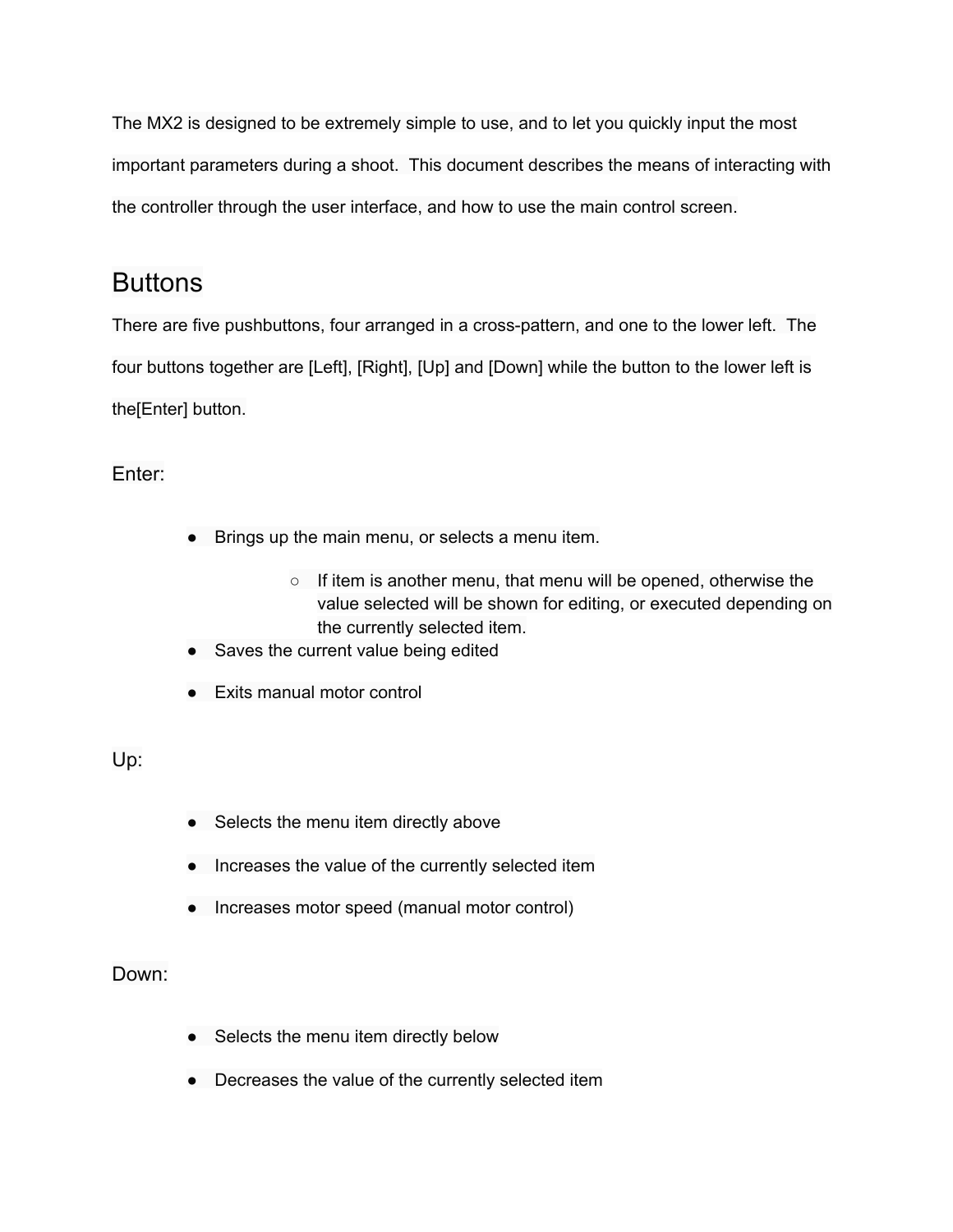The MX2 is designed to be extremely simple to use, and to let you quickly input the most important parameters during a shoot. This document describes the means of interacting with the controller through the user interface, and how to use the main control screen.

## **Buttons**

There are five pushbuttons, four arranged in a cross-pattern, and one to the lower left. The four buttons together are [Left], [Right], [Up] and [Down] while the button to the lower left is the[Enter] button.

Enter:

- Brings up the main menu, or selects a menu item.
	- If item is another menu, that menu will be opened, otherwise the value selected will be shown for editing, or executed depending on the currently selected item.
- Saves the current value being edited
- Exits manual motor control

Up:

- Selects the menu item directly above
- Increases the value of the currently selected item
- Increases motor speed (manual motor control)

## Down:

- Selects the menu item directly below
- Decreases the value of the currently selected item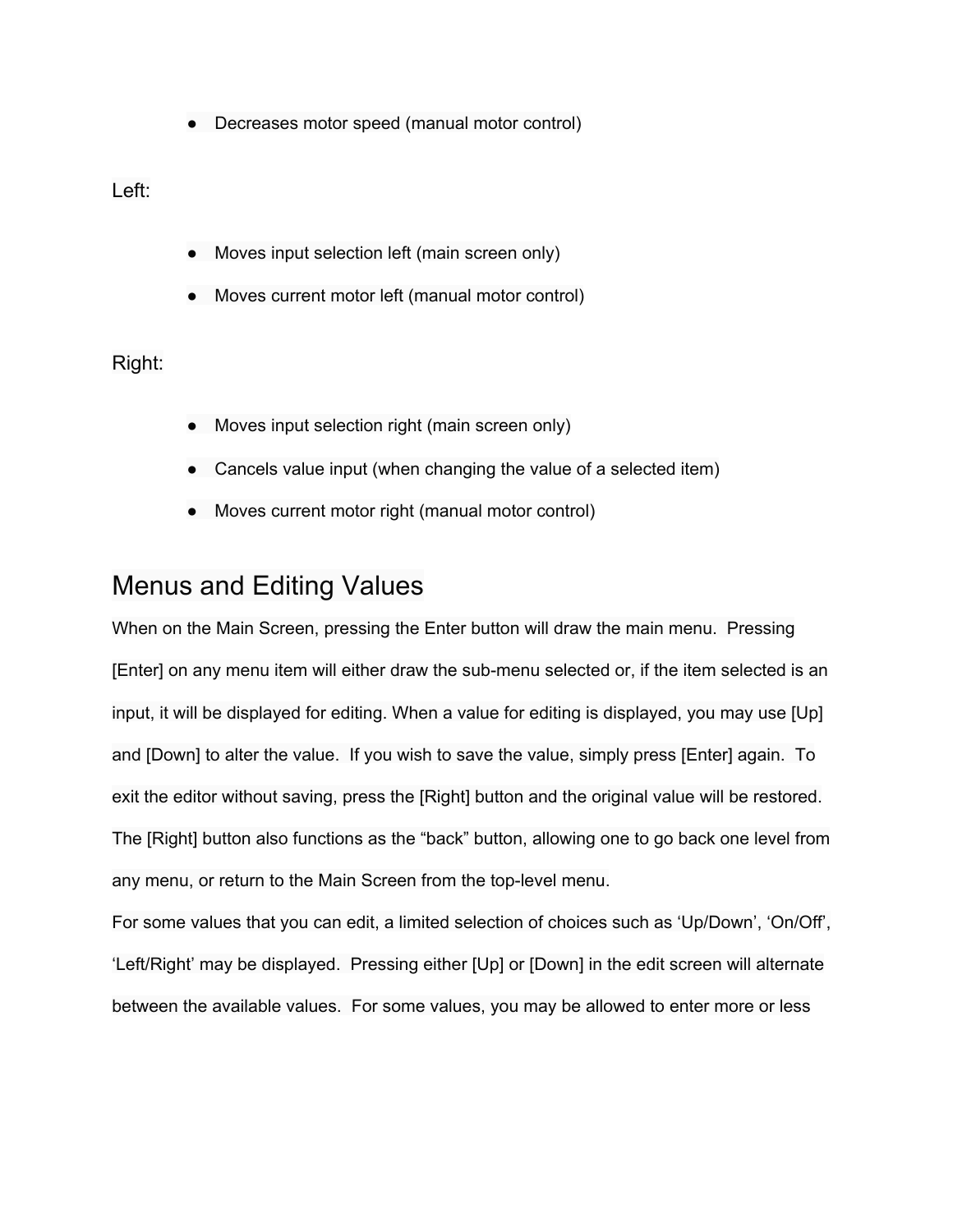● Decreases motor speed (manual motor control)

Left:

- Moves input selection left (main screen only)
- Moves current motor left (manual motor control)

### Right:

- Moves input selection right (main screen only)
- Cancels value input (when changing the value of a selected item)
- Moves current motor right (manual motor control)

## Menus and Editing Values

When on the Main Screen, pressing the Enter button will draw the main menu. Pressing [Enter] on any menu item will either draw the sub-menu selected or, if the item selected is an input, it will be displayed for editing. When a value for editing is displayed, you may use [Up] and [Down] to alter the value. If you wish to save the value, simply press [Enter] again. To exit the editor without saving, press the [Right] button and the original value will be restored. The [Right] button also functions as the "back" button, allowing one to go back one level from any menu, or return to the Main Screen from the top-level menu.

For some values that you can edit, a limited selection of choices such as 'Up/Down', 'On/Off', 'Left/Right' may be displayed. Pressing either [Up] or [Down] in the edit screen will alternate between the available values. For some values, you may be allowed to enter more or less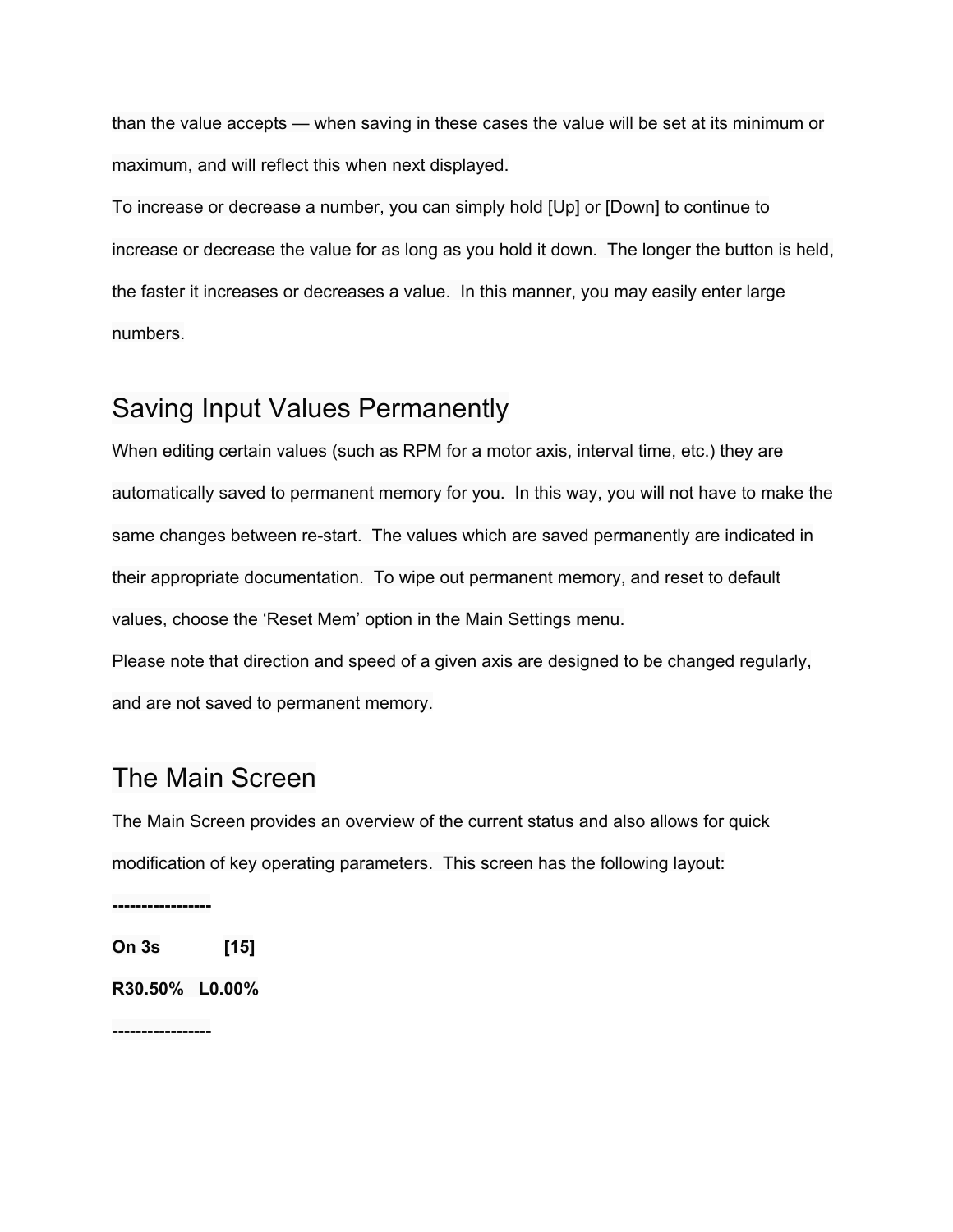than the value accepts — when saving in these cases the value will be set at its minimum or maximum, and will reflect this when next displayed.

To increase or decrease a number, you can simply hold [Up] or [Down] to continue to increase or decrease the value for as long as you hold it down. The longer the button is held, the faster it increases or decreases a value. In this manner, you may easily enter large numbers.

## Saving Input Values Permanently

When editing certain values (such as RPM for a motor axis, interval time, etc.) they are automatically saved to permanent memory for you. In this way, you will not have to make the same changes between re-start. The values which are saved permanently are indicated in their appropriate documentation. To wipe out permanent memory, and reset to default values, choose the 'Reset Mem' option in the Main Settings menu. Please note that direction and speed of a given axis are designed to be changed regularly, and are not saved to permanent memory.

## The Main Screen

The Main Screen provides an overview of the current status and also allows for quick modification of key operating parameters. This screen has the following layout:

-----------------

**On 3s [15]**

**R30.50% L0.00%**

-----------------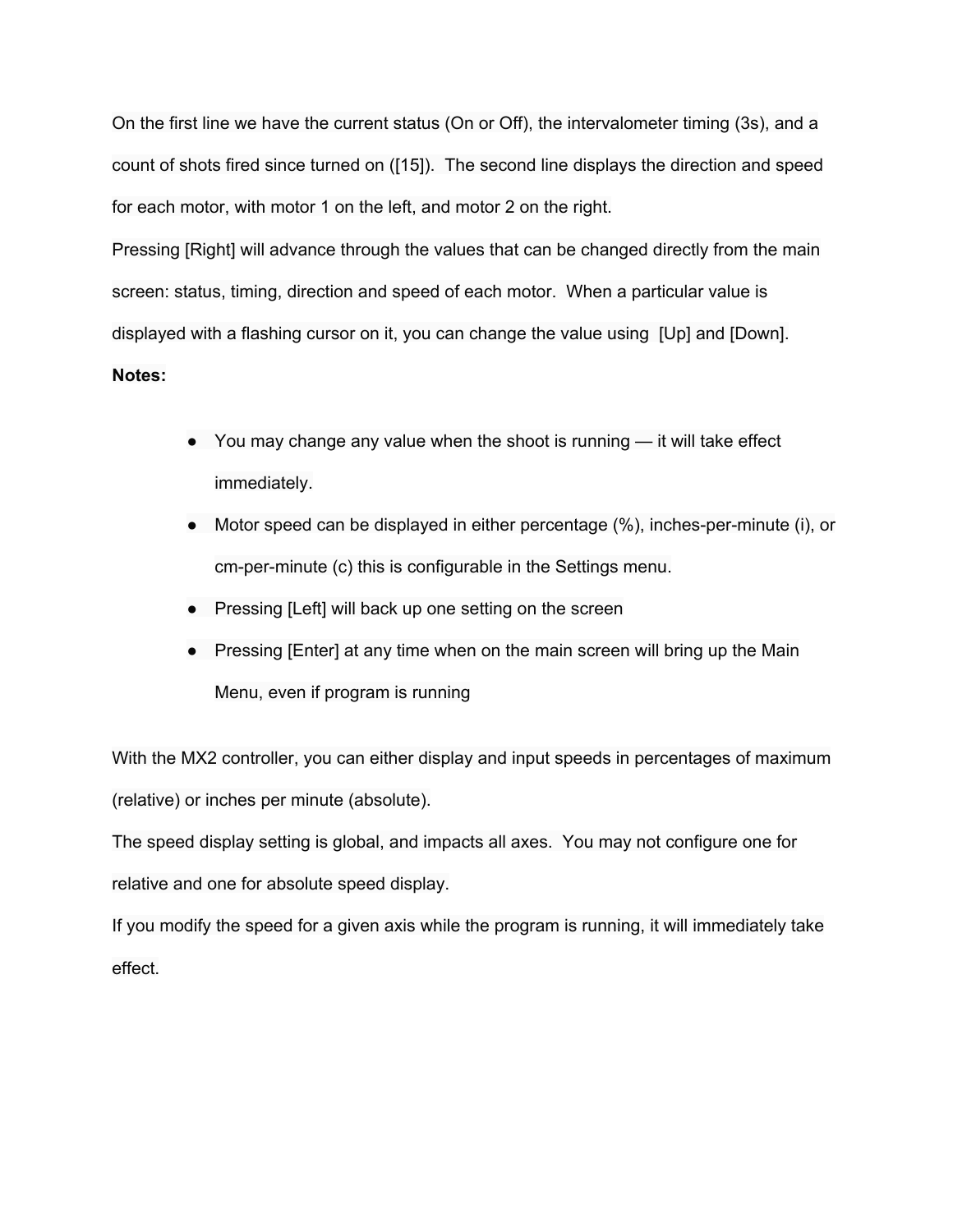On the first line we have the current status (On or Off), the intervalometer timing (3s), and a count of shots fired since turned on ([15]). The second line displays the direction and speed for each motor, with motor 1 on the left, and motor 2 on the right.

Pressing [Right] will advance through the values that can be changed directly from the main screen: status, timing, direction and speed of each motor. When a particular value is displayed with a flashing cursor on it, you can change the value using [Up] and [Down]. **Notes:**

- You may change any value when the shoot is running it will take effect immediately.
- Motor speed can be displayed in either percentage  $(\%)$ , inches-per-minute (i), or cm-per-minute (c) this is configurable in the Settings menu.
- Pressing [Left] will back up one setting on the screen
- Pressing [Enter] at any time when on the main screen will bring up the Main Menu, even if program is running

With the MX2 controller, you can either display and input speeds in percentages of maximum (relative) or inches per minute (absolute).

The speed display setting is global, and impacts all axes. You may not configure one for relative and one for absolute speed display.

If you modify the speed for a given axis while the program is running, it will immediately take effect.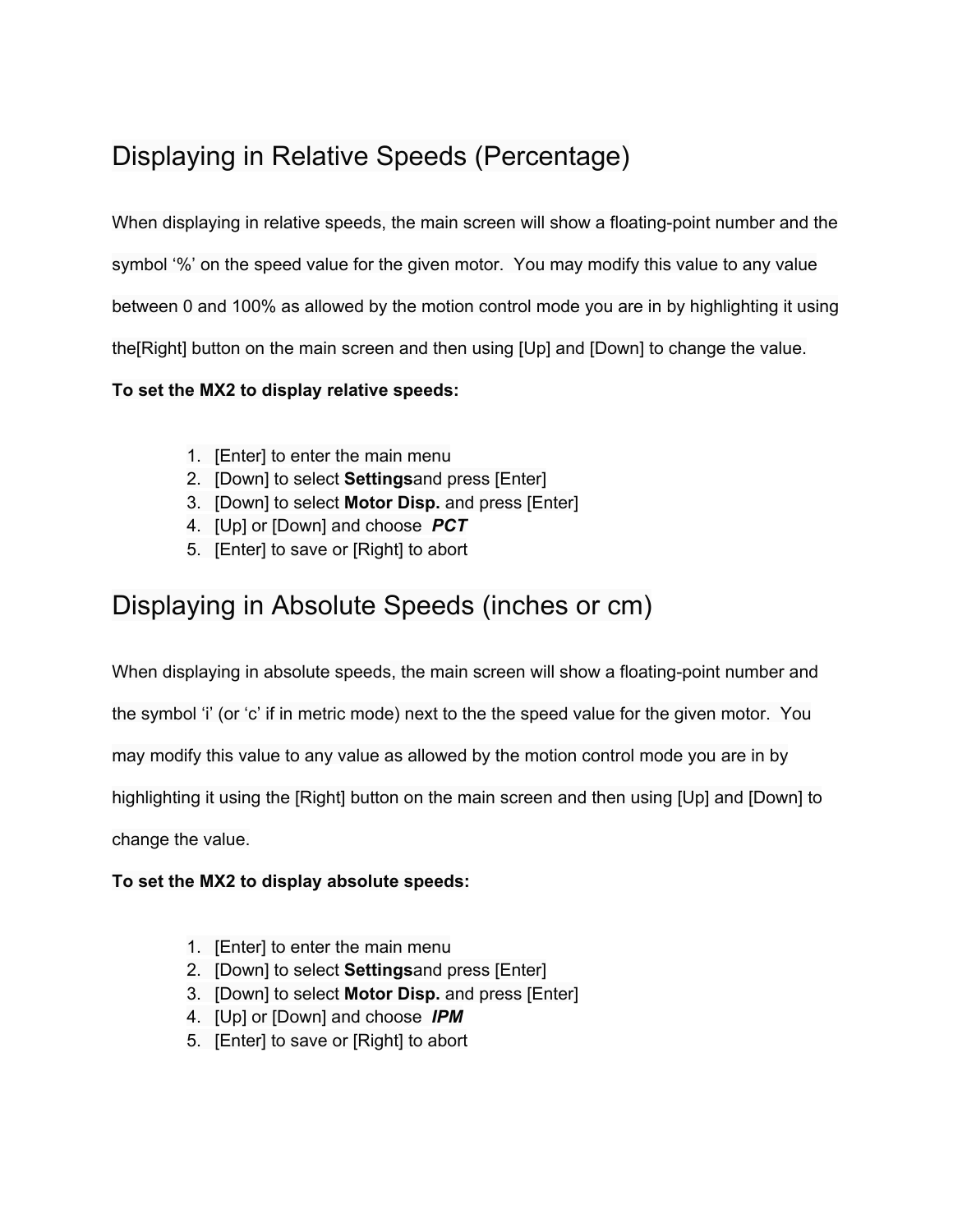# Displaying in Relative Speeds (Percentage)

When displaying in relative speeds, the main screen will show a floating-point number and the symbol '%' on the speed value for the given motor. You may modify this value to any value between 0 and 100% as allowed by the motion control mode you are in by highlighting it using the[Right] button on the main screen and then using [Up] and [Down] to change the value.

### **To set the MX2 to display relative speeds:**

- 1. [Enter] to enter the main menu
- 2. [Down] to select **Settings**and press [Enter]
- 3. [Down] to select **Motor Disp.** and press [Enter]
- 4. [Up] or [Down] and choose *PCT*
- 5. [Enter] to save or [Right] to abort

# Displaying in Absolute Speeds (inches or cm)

When displaying in absolute speeds, the main screen will show a floating-point number and

the symbol 'i' (or 'c' if in metric mode) next to the the speed value for the given motor. You

may modify this value to any value as allowed by the motion control mode you are in by

highlighting it using the [Right] button on the main screen and then using [Up] and [Down] to

change the value.

### **To set the MX2 to display absolute speeds:**

- 1. [Enter] to enter the main menu
- 2. [Down] to select **Settings**and press [Enter]
- 3. [Down] to select **Motor Disp.** and press [Enter]
- 4. [Up] or [Down] and choose *IPM*
- 5. [Enter] to save or [Right] to abort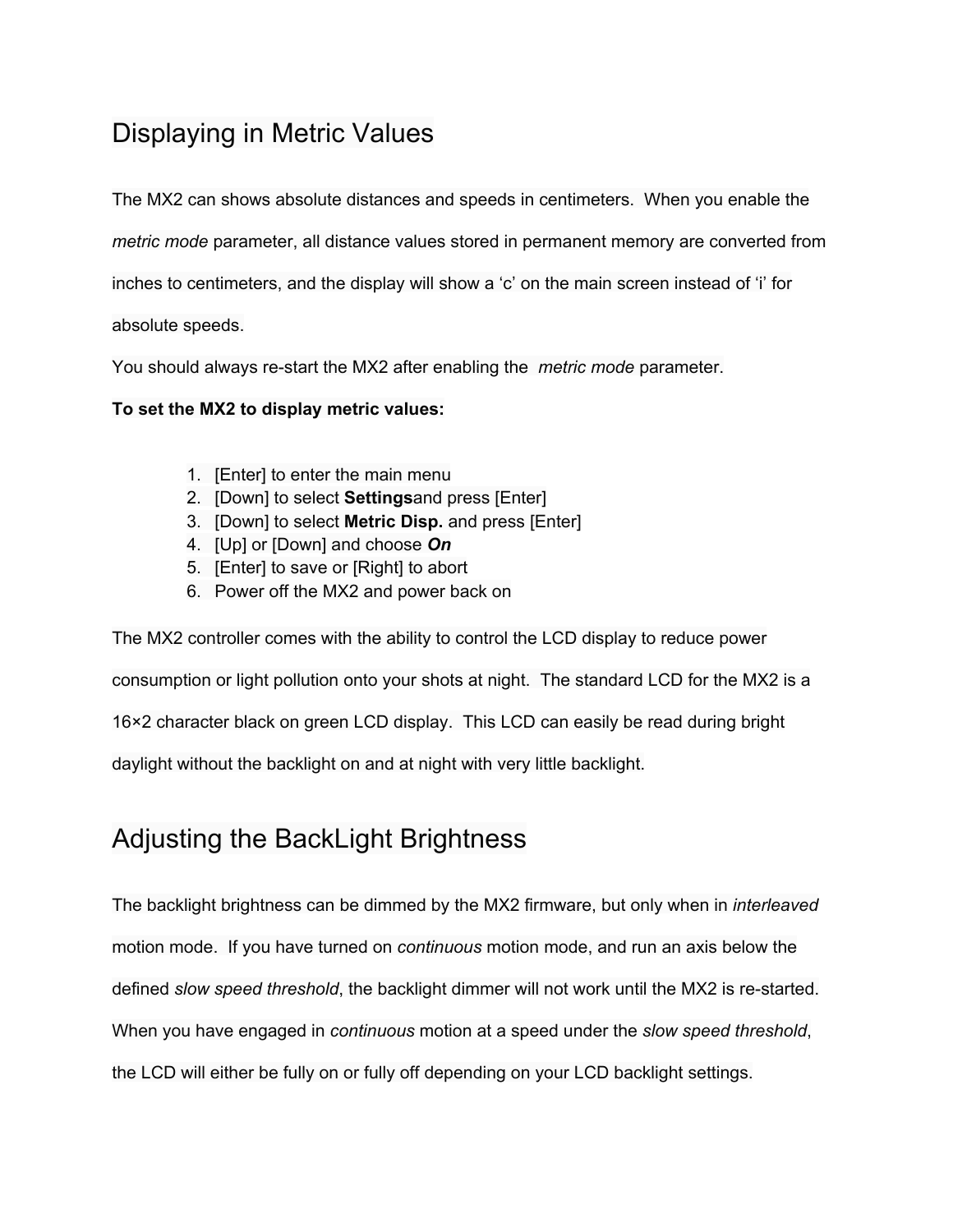# Displaying in Metric Values

The MX2 can shows absolute distances and speeds in centimeters. When you enable the

*metric mode* parameter, all distance values stored in permanent memory are converted from

inches to centimeters, and the display will show a 'c' on the main screen instead of 'i' for

absolute speeds.

You should always re-start the MX2 after enabling the *metric mode* parameter.

**To set the MX2 to display metric values:**

- 1. [Enter] to enter the main menu
- 2. [Down] to select **Settings**and press [Enter]
- 3. [Down] to select **Metric Disp.** and press [Enter]
- 4. [Up] or [Down] and choose *On*
- 5. [Enter] to save or [Right] to abort
- 6. Power off the MX2 and power back on

The MX2 controller comes with the ability to control the LCD display to reduce power consumption or light pollution onto your shots at night. The standard LCD for the MX2 is a 16×2 character black on green LCD display. This LCD can easily be read during bright daylight without the backlight on and at night with very little backlight.

# Adjusting the BackLight Brightness

The backlight brightness can be dimmed by the MX2 firmware, but only when in *interleaved* motion mode. If you have turned on *continuous* motion mode, and run an axis below the defined *slow speed threshold*, the backlight dimmer will not work until the MX2 is restarted. When you have engaged in *continuous* motion at a speed under the *slow speed threshold*, the LCD will either be fully on or fully off depending on your LCD backlight settings.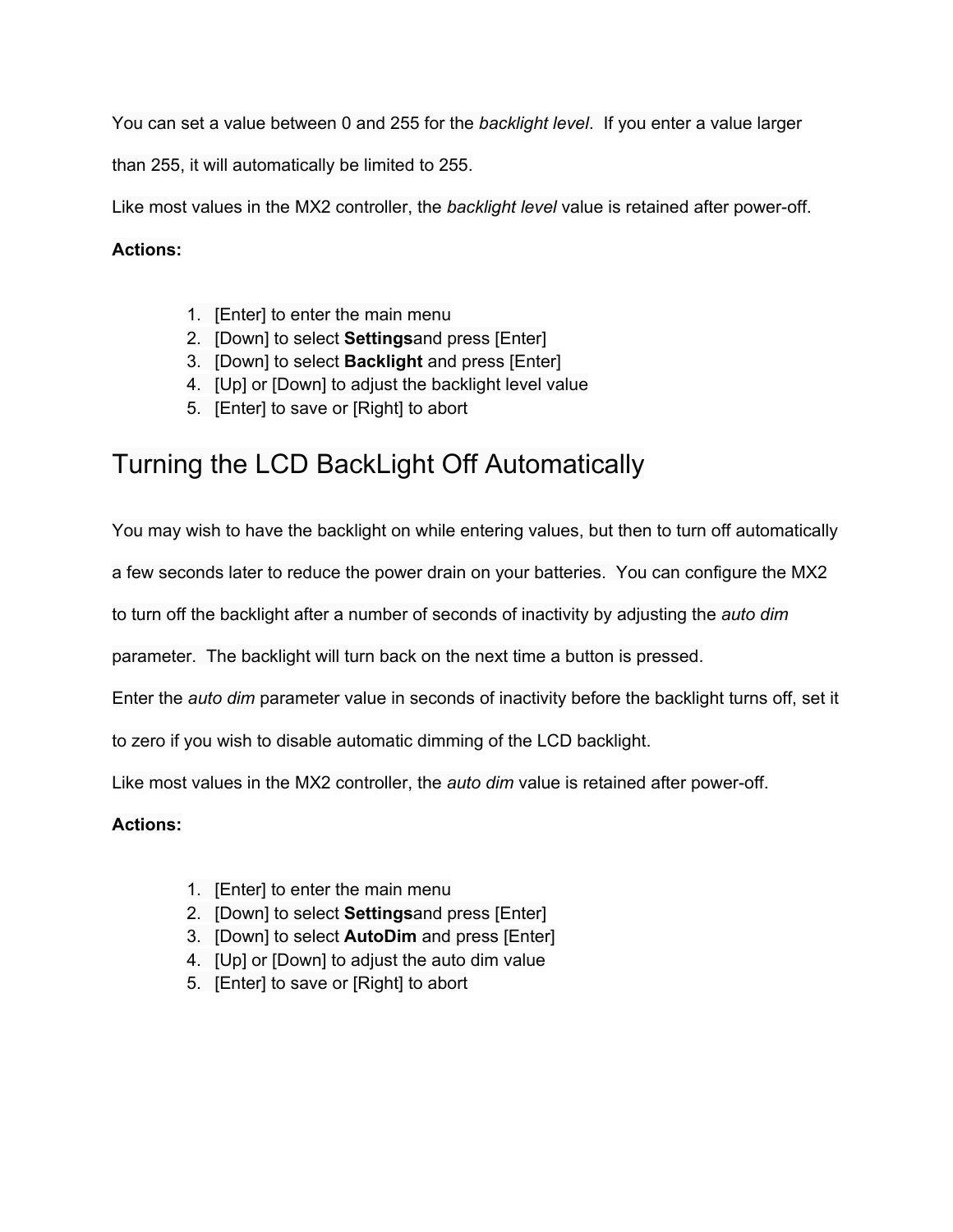You can set a value between 0 and 255 for the *backlight level*. If you enter a value larger

than 255, it will automatically be limited to 255.

Like most values in the MX2 controller, the *backlight level* value is retained after power-off.

### **Actions:**

- 1. [Enter] to enter the main menu
- 2. [Down] to select **Settings**and press [Enter]
- 3. [Down] to select **Backlight** and press [Enter]
- 4. [Up] or [Down] to adjust the backlight level value
- 5. [Enter] to save or [Right] to abort

# Turning the LCD BackLight Off Automatically

You may wish to have the backlight on while entering values, but then to turn off automatically

a few seconds later to reduce the power drain on your batteries. You can configure the MX2

to turn off the backlight after a number of seconds of inactivity by adjusting the *auto dim*

parameter. The backlight will turn back on the next time a button is pressed.

Enter the *auto dim* parameter value in seconds of inactivity before the backlight turns off, set it

to zero if you wish to disable automatic dimming of the LCD backlight.

Like most values in the MX2 controller, the *auto dim* value is retained after poweroff.

- 1. [Enter] to enter the main menu
- 2. [Down] to select **Settings**and press [Enter]
- 3. [Down] to select **AutoDim** and press [Enter]
- 4. [Up] or [Down] to adjust the auto dim value
- 5. [Enter] to save or [Right] to abort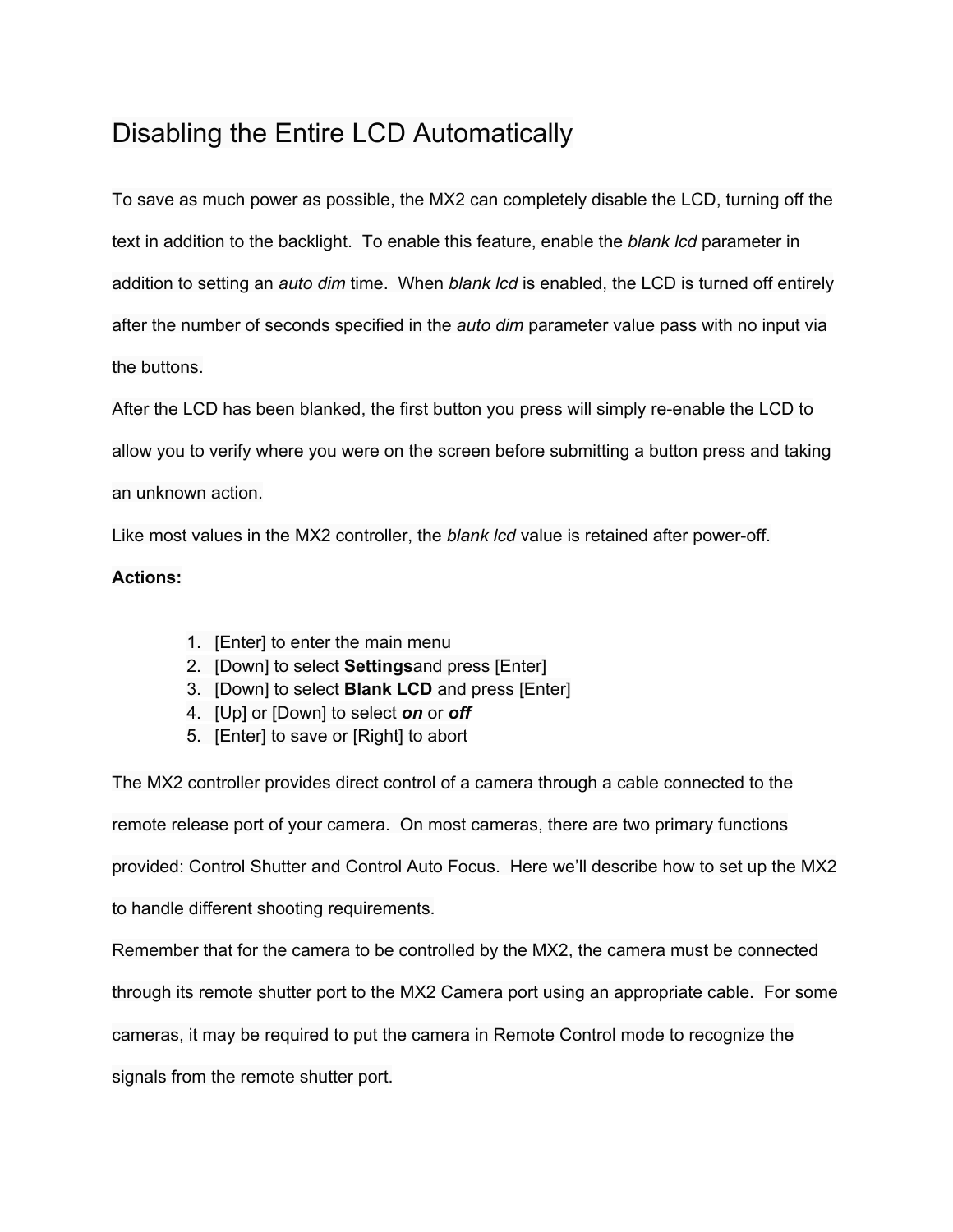# Disabling the Entire LCD Automatically

To save as much power as possible, the MX2 can completely disable the LCD, turning off the text in addition to the backlight. To enable this feature, enable the *blank lcd* parameter in addition to setting an *auto dim* time. When *blank lcd* is enabled, the LCD is turned off entirely after the number of seconds specified in the *auto dim* parameter value pass with no input via the buttons.

After the LCD has been blanked, the first button you press will simply re-enable the LCD to allow you to verify where you were on the screen before submitting a button press and taking an unknown action.

Like most values in the MX2 controller, the *blank lcd* value is retained after poweroff.

#### **Actions:**

- 1. [Enter] to enter the main menu
- 2. [Down] to select **Settings**and press [Enter]
- 3. [Down] to select **Blank LCD** and press [Enter]
- 4. [Up] or [Down] to select *on* or *off*
- 5. [Enter] to save or [Right] to abort

The MX2 controller provides direct control of a camera through a cable connected to the remote release port of your camera. On most cameras, there are two primary functions provided: Control Shutter and Control Auto Focus. Here we'll describe how to set up the MX2 to handle different shooting requirements.

Remember that for the camera to be controlled by the MX2, the camera must be connected

through its remote shutter port to the MX2 Camera port using an appropriate cable. For some

cameras, it may be required to put the camera in Remote Control mode to recognize the

signals from the remote shutter port.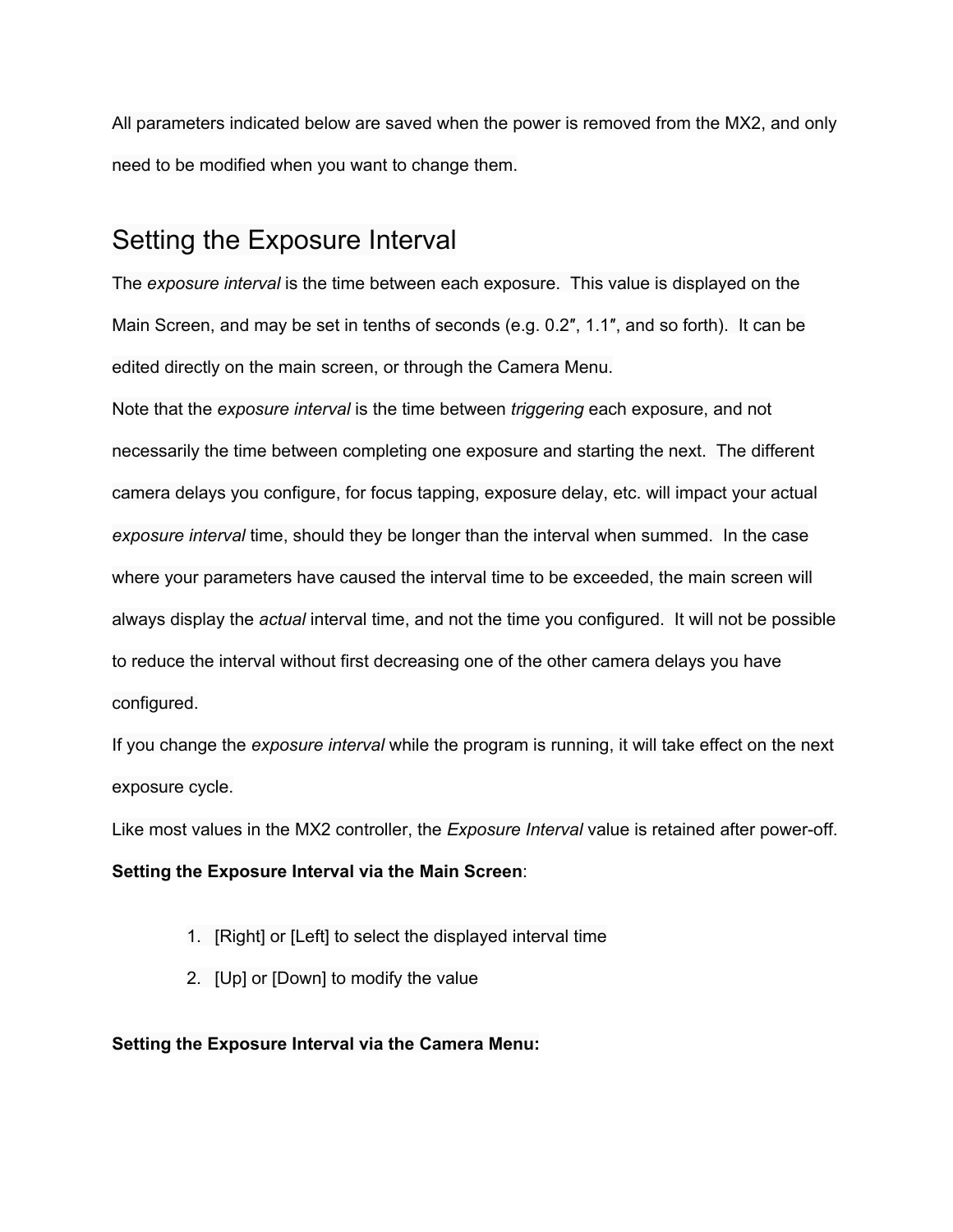All parameters indicated below are saved when the power is removed from the MX2, and only need to be modified when you want to change them.

## Setting the Exposure Interval

The *exposure interval* is the time between each exposure. This value is displayed on the Main Screen, and may be set in tenths of seconds (e.g. 0.2″, 1.1″, and so forth). It can be edited directly on the main screen, or through the Camera Menu.

Note that the *exposure interval* is the time between *triggering* each exposure, and not necessarily the time between completing one exposure and starting the next. The different camera delays you configure, for focus tapping, exposure delay, etc. will impact your actual *exposure interval* time, should they be longer than the interval when summed. In the case where your parameters have caused the interval time to be exceeded, the main screen will always display the *actual* interval time, and not the time you configured. It will not be possible to reduce the interval without first decreasing one of the other camera delays you have configured.

If you change the *exposure interval* while the program is running, it will take effect on the next exposure cycle.

Like most values in the MX2 controller, the *Exposure Interval* value is retained after power-off.

**Setting the Exposure Interval via the Main Screen**:

- 1. [Right] or [Left] to select the displayed interval time
- 2. [Up] or [Down] to modify the value

### **Setting the Exposure Interval via the Camera Menu:**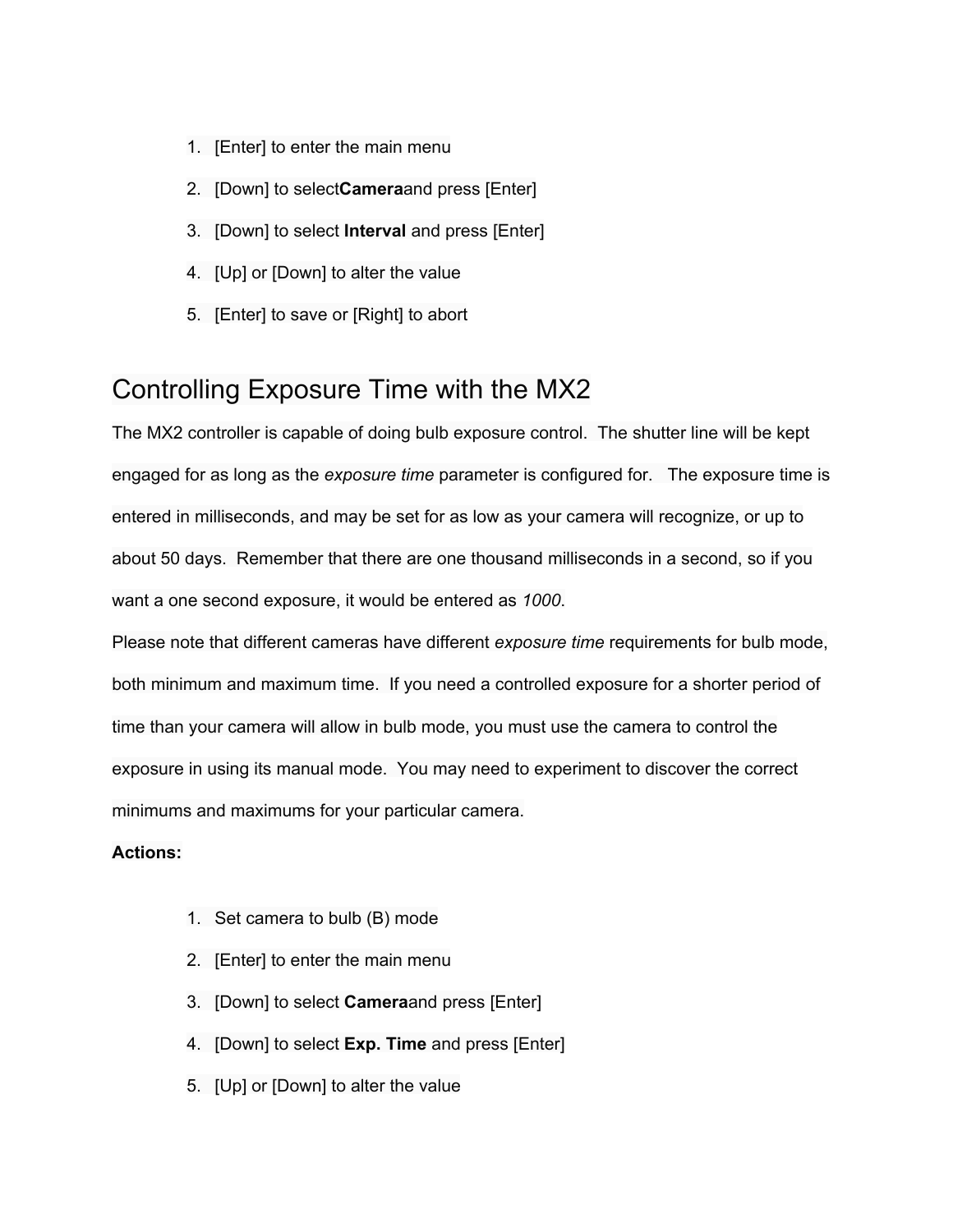- 1. [Enter] to enter the main menu
- 2. [Down] to select**Camera**and press [Enter]
- 3. [Down] to select **Interval** and press [Enter]
- 4. [Up] or [Down] to alter the value
- 5. [Enter] to save or [Right] to abort

## Controlling Exposure Time with the MX2

The MX2 controller is capable of doing bulb exposure control. The shutter line will be kept engaged for as long as the *exposure time* parameter is configured for. The exposure time is entered in milliseconds, and may be set for as low as your camera will recognize, or up to about 50 days. Remember that there are one thousand milliseconds in a second, so if you want a one second exposure, it would be entered as *1000*.

Please note that different cameras have different *exposure time* requirements for bulb mode, both minimum and maximum time. If you need a controlled exposure for a shorter period of time than your camera will allow in bulb mode, you must use the camera to control the exposure in using its manual mode. You may need to experiment to discover the correct minimums and maximums for your particular camera.

- 1. Set camera to bulb (B) mode
- 2. [Enter] to enter the main menu
- 3. [Down] to select **Camera**and press [Enter]
- 4. [Down] to select **Exp. Time** and press [Enter]
- 5. [Up] or [Down] to alter the value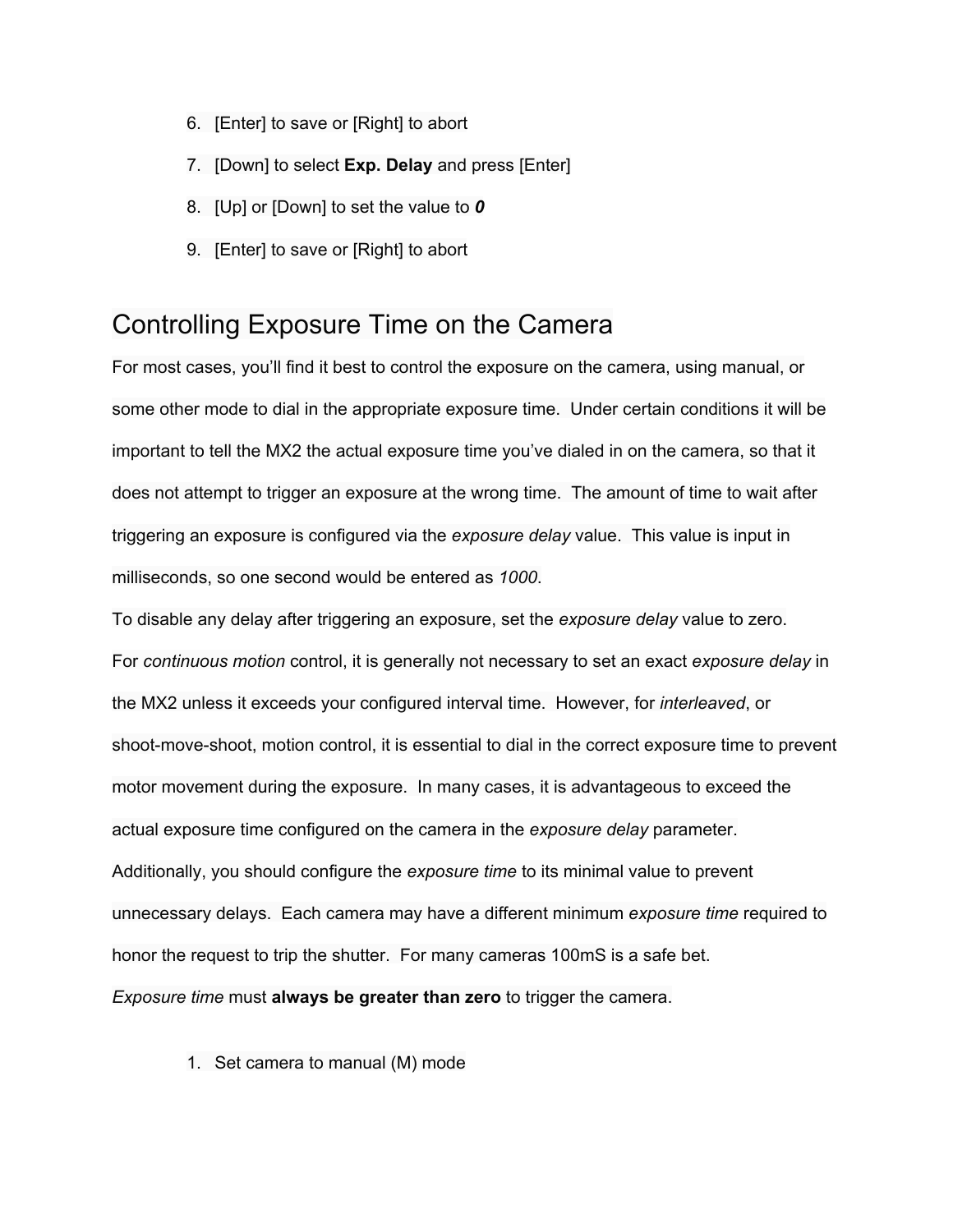- 6. [Enter] to save or [Right] to abort
- 7. [Down] to select **Exp. Delay** and press [Enter]
- 8. [Up] or [Down] to set the value to *0*
- 9. [Enter] to save or [Right] to abort

# Controlling Exposure Time on the Camera

For most cases, you'll find it best to control the exposure on the camera, using manual, or some other mode to dial in the appropriate exposure time. Under certain conditions it will be important to tell the MX2 the actual exposure time you've dialed in on the camera, so that it does not attempt to trigger an exposure at the wrong time. The amount of time to wait after triggering an exposure is configured via the *exposure delay* value. This value is input in milliseconds, so one second would be entered as *1000*.

To disable any delay after triggering an exposure, set the *exposure delay* value to zero. For *continuous motion* control, it is generally not necessary to set an exact *exposure delay* in the MX2 unless it exceeds your configured interval time. However, for *interleaved*, or shoot-move-shoot, motion control, it is essential to dial in the correct exposure time to prevent motor movement during the exposure. In many cases, it is advantageous to exceed the actual exposure time configured on the camera in the *exposure delay* parameter. Additionally, you should configure the *exposure time* to its minimal value to prevent unnecessary delays. Each camera may have a different minimum *exposure time* required to honor the request to trip the shutter. For many cameras 100mS is a safe bet. *Exposure time* must **always be greater than zero**to trigger the camera.

1. Set camera to manual (M) mode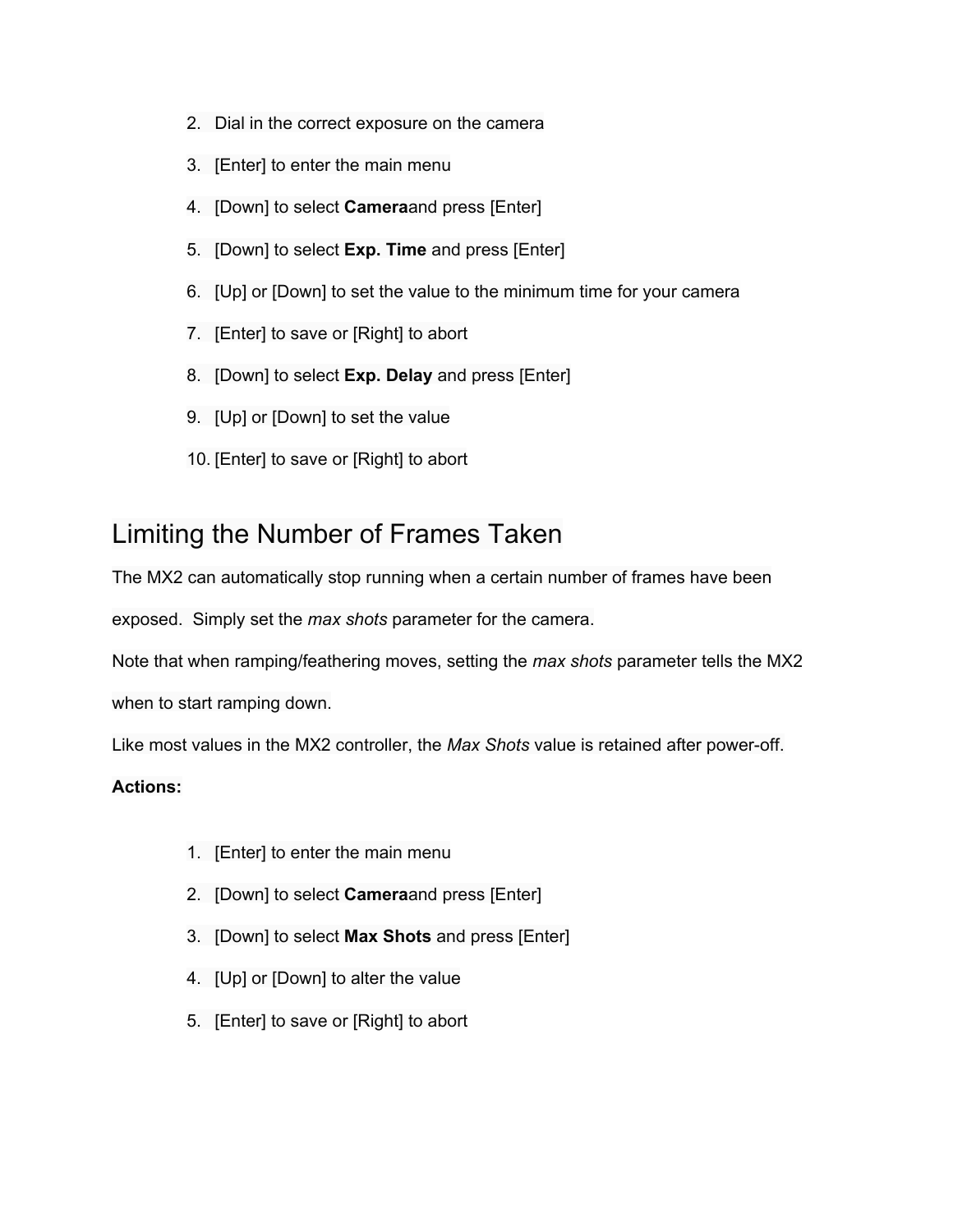- 2. Dial in the correct exposure on the camera
- 3. [Enter] to enter the main menu
- 4. [Down] to select **Camera**and press [Enter]
- 5. [Down] to select **Exp. Time** and press [Enter]
- 6. [Up] or [Down] to set the value to the minimum time for your camera
- 7. [Enter] to save or [Right] to abort
- 8. [Down] to select **Exp. Delay**and press [Enter]
- 9. [Up] or [Down] to set the value
- 10. [Enter] to save or [Right] to abort

## Limiting the Number of Frames Taken

The MX2 can automatically stop running when a certain number of frames have been

exposed. Simply set the *max shots* parameter for the camera.

Note that when ramping/feathering moves, setting the *max shots* parameter tells the MX2

when to start ramping down.

Like most values in the MX2 controller, the *Max Shots* value is retained after poweroff.

- 1. [Enter] to enter the main menu
- 2. [Down] to select **Camera**and press [Enter]
- 3. [Down] to select **Max Shots** and press [Enter]
- 4. [Up] or [Down] to alter the value
- 5. [Enter] to save or [Right] to abort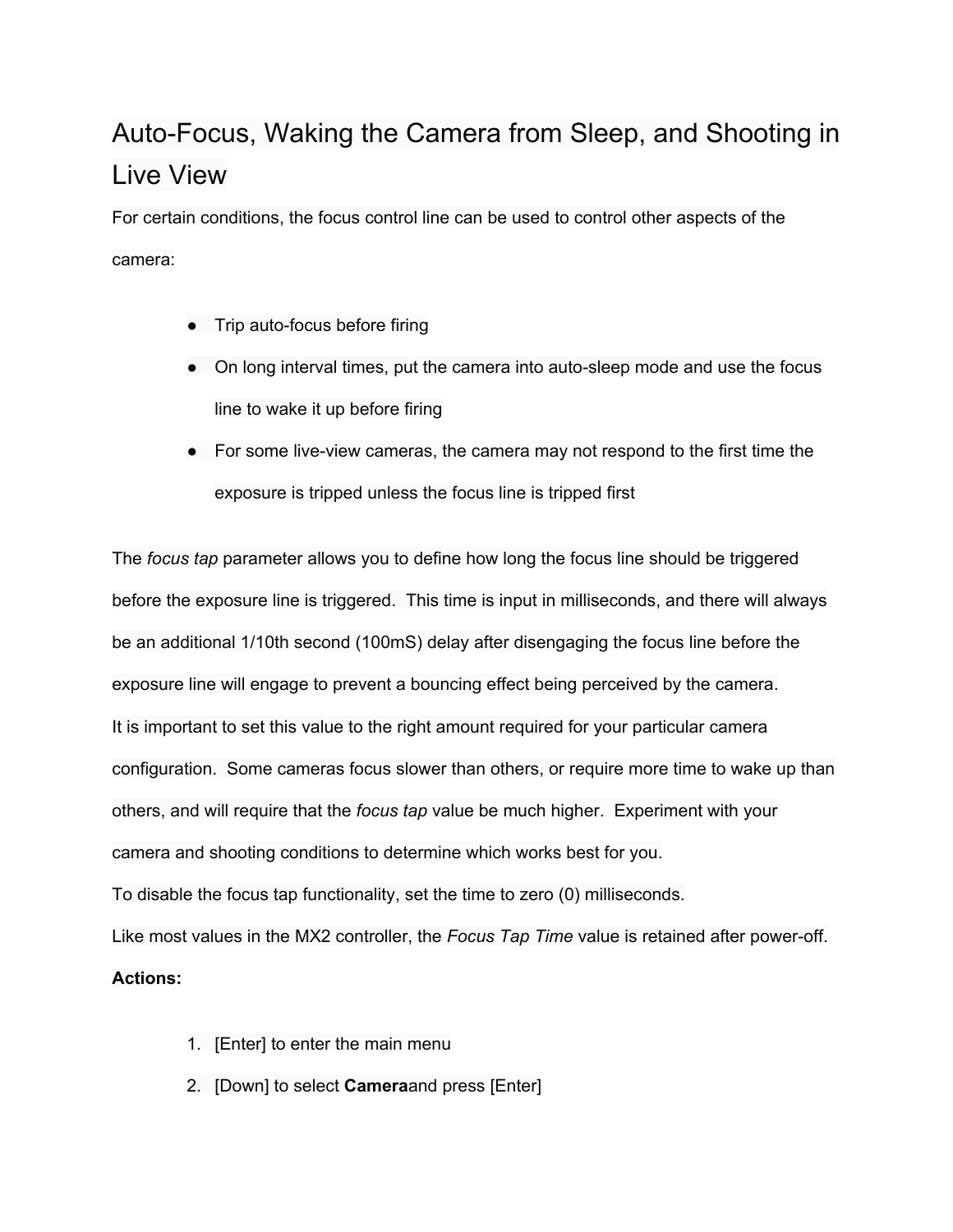# Auto-Focus, Waking the Camera from Sleep, and Shooting in Live View

For certain conditions, the focus control line can be used to control other aspects of the camera:

- $\bullet$  Trip auto-focus before firing
- On long interval times, put the camera into auto-sleep mode and use the focus line to wake it up before firing
- $\bullet$  For some live-view cameras, the camera may not respond to the first time the exposure is tripped unless the focus line is tripped first

The *focus tap* parameter allows you to define how long the focus line should be triggered before the exposure line is triggered. This time is input in milliseconds, and there will always be an additional 1/10th second (100mS) delay after disengaging the focus line before the exposure line will engage to prevent a bouncing effect being perceived by the camera. It is important to set this value to the right amount required for your particular camera configuration. Some cameras focus slower than others, or require more time to wake up than others, and will require that the *focus tap* value be much higher. Experiment with your camera and shooting conditions to determine which works best for you. To disable the focus tap functionality, set the time to zero (0) milliseconds.

Like most values in the MX2 controller, the *Focus Tap Time* value is retained after power-off.

- 1. [Enter] to enter the main menu
- 2. [Down] to select **Camera**and press [Enter]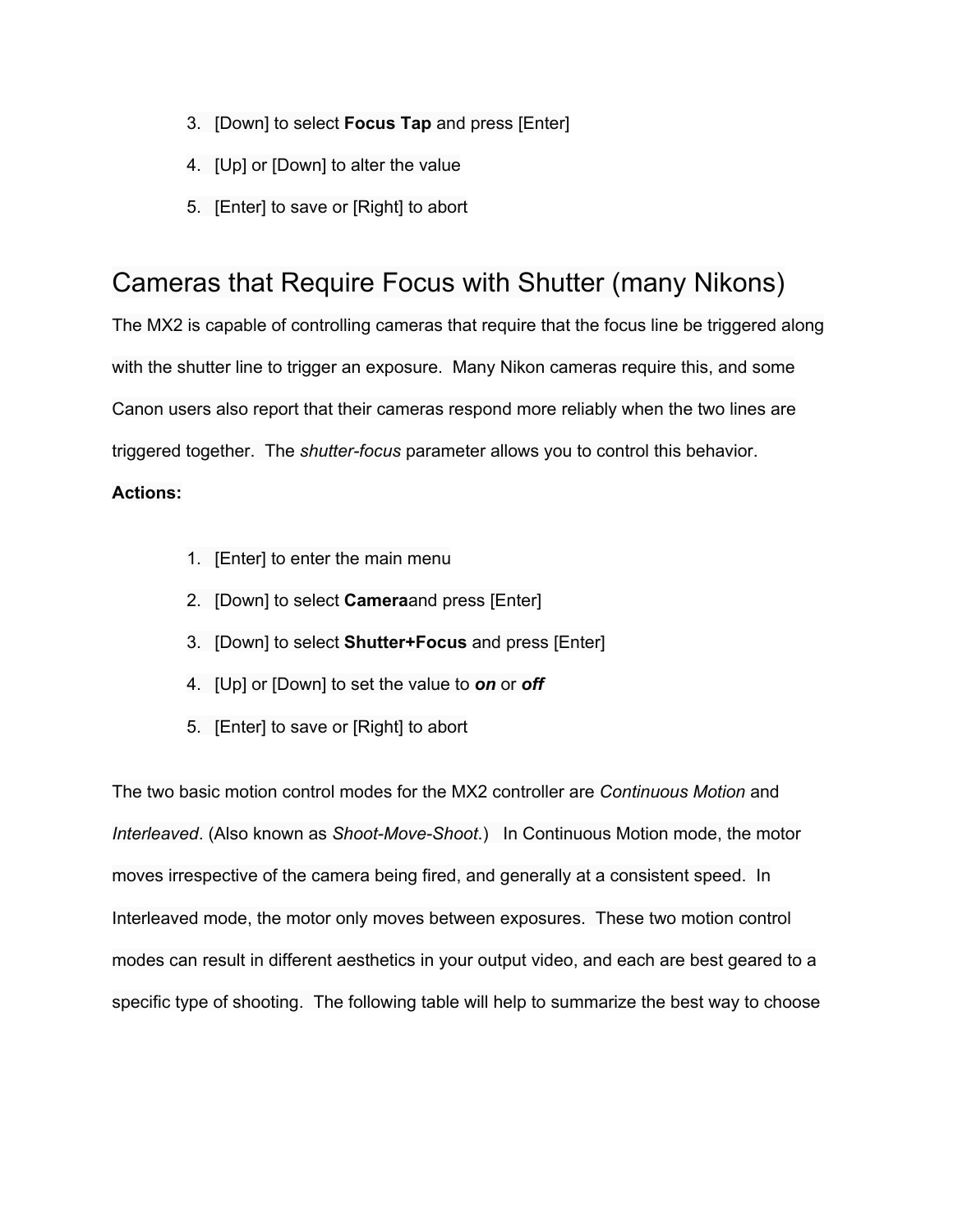- 3. [Down] to select **Focus Tap** and press [Enter]
- 4. [Up] or [Down] to alter the value
- 5. [Enter] to save or [Right] to abort

# Cameras that Require Focus with Shutter (many Nikons)

The MX2 is capable of controlling cameras that require that the focus line be triggered along with the shutter line to trigger an exposure. Many Nikon cameras require this, and some Canon users also report that their cameras respond more reliably when the two lines are triggered together. The *shutterfocus* parameter allows you to control this behavior.

### **Actions:**

- 1. [Enter] to enter the main menu
- 2. [Down] to select **Camera**and press [Enter]
- 3. [Down] to select **Shutter+Focus** and press [Enter]
- 4. [Up] or [Down] to set the value to *on*or *off*
- 5. [Enter] to save or [Right] to abort

The two basic motion control modes for the MX2 controller are *Continuous Motion* and *Interleaved*. (Also known as *Shoot-Move-Shoot*.) In Continuous Motion mode, the motor moves irrespective of the camera being fired, and generally at a consistent speed. In Interleaved mode, the motor only moves between exposures. These two motion control modes can result in different aesthetics in your output video, and each are best geared to a specific type of shooting. The following table will help to summarize the best way to choose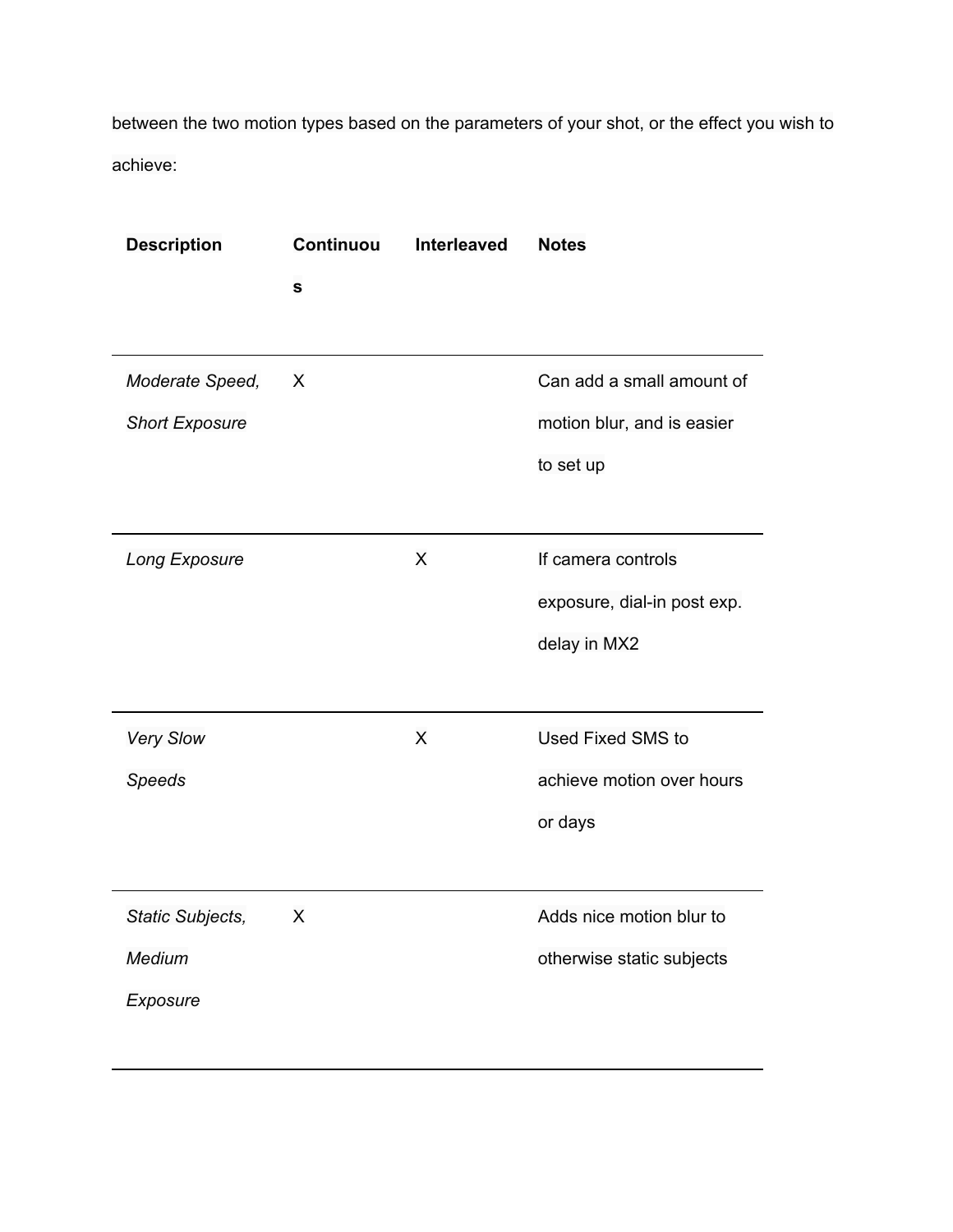between the two motion types based on the parameters of your shot, or the effect you wish to achieve:

| <b>Description</b>    | <b>Continuou</b> | Interleaved | <b>Notes</b>                |
|-----------------------|------------------|-------------|-----------------------------|
|                       | $\mathbf s$      |             |                             |
|                       |                  |             |                             |
| Moderate Speed,       | X                |             | Can add a small amount of   |
| <b>Short Exposure</b> |                  |             | motion blur, and is easier  |
|                       |                  |             | to set up                   |
|                       |                  |             |                             |
| Long Exposure         |                  | X           | If camera controls          |
|                       |                  |             | exposure, dial-in post exp. |
|                       |                  |             | delay in MX2                |
|                       |                  |             |                             |
| <b>Very Slow</b>      |                  | X           | <b>Used Fixed SMS to</b>    |
| <b>Speeds</b>         |                  |             | achieve motion over hours   |
|                       |                  |             | or days                     |
|                       |                  |             |                             |
| Static Subjects,      | X                |             | Adds nice motion blur to    |
| Medium                |                  |             | otherwise static subjects   |
| Exposure              |                  |             |                             |
|                       |                  |             |                             |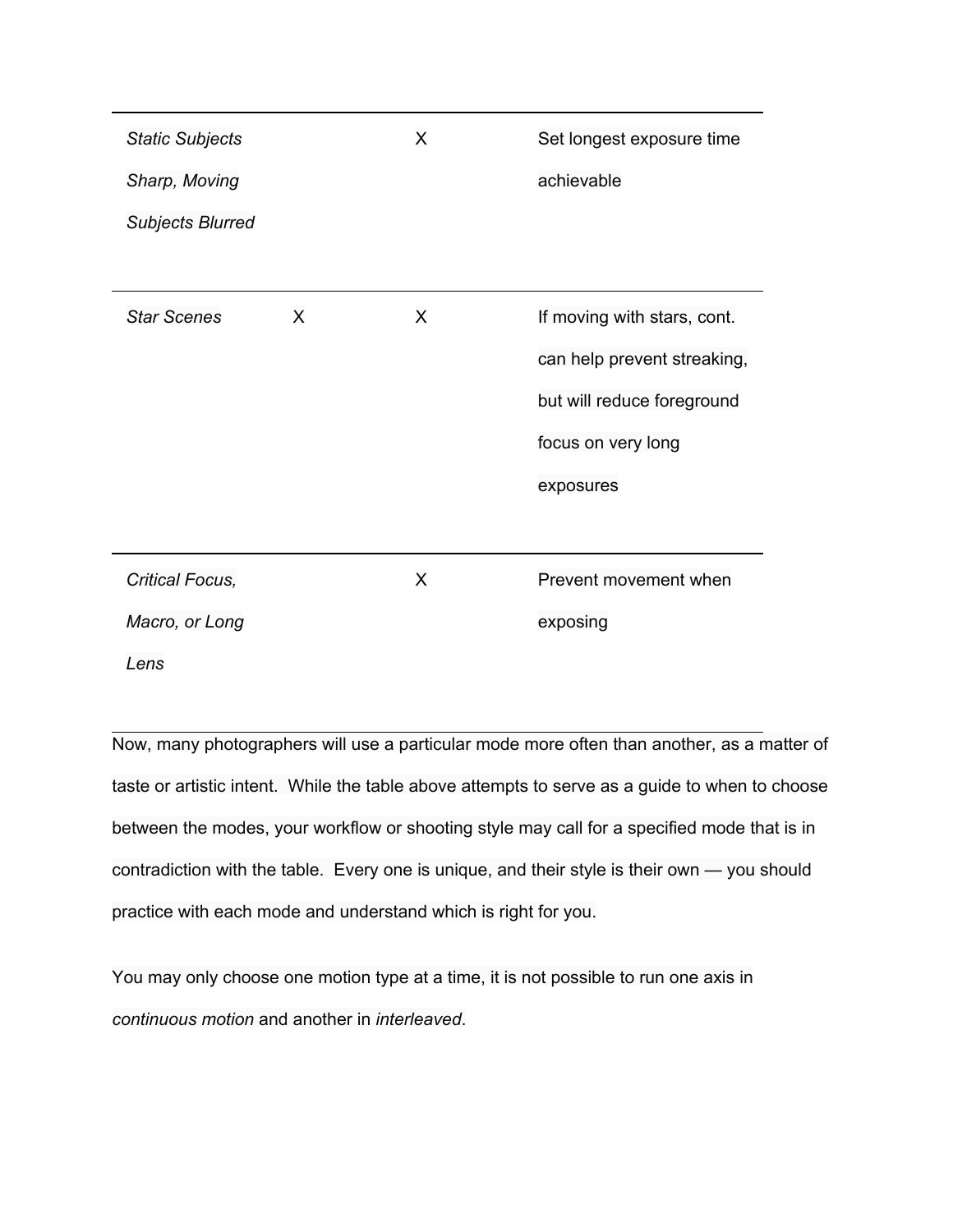| <b>Static Subjects</b>  |   | X | Set longest exposure time   |
|-------------------------|---|---|-----------------------------|
| Sharp, Moving           |   |   | achievable                  |
| <b>Subjects Blurred</b> |   |   |                             |
|                         |   |   |                             |
| <b>Star Scenes</b>      | X | X | If moving with stars, cont. |
|                         |   |   | can help prevent streaking, |
|                         |   |   | but will reduce foreground  |
|                         |   |   | focus on very long          |
|                         |   |   | exposures                   |
|                         |   |   |                             |
| Critical Focus,         |   | X | Prevent movement when       |
| Macro, or Long          |   |   | exposing                    |
| Lens                    |   |   |                             |

Now, many photographers will use a particular mode more often than another, as a matter of taste or artistic intent. While the table above attempts to serve as a guide to when to choose between the modes, your workflow or shooting style may call for a specified mode that is in contradiction with the table. Every one is unique, and their style is their own — you should practice with each mode and understand which is right for you.

You may only choose one motion type at a time, it is not possible to run one axis in *continuous motion* and another in *interleaved*.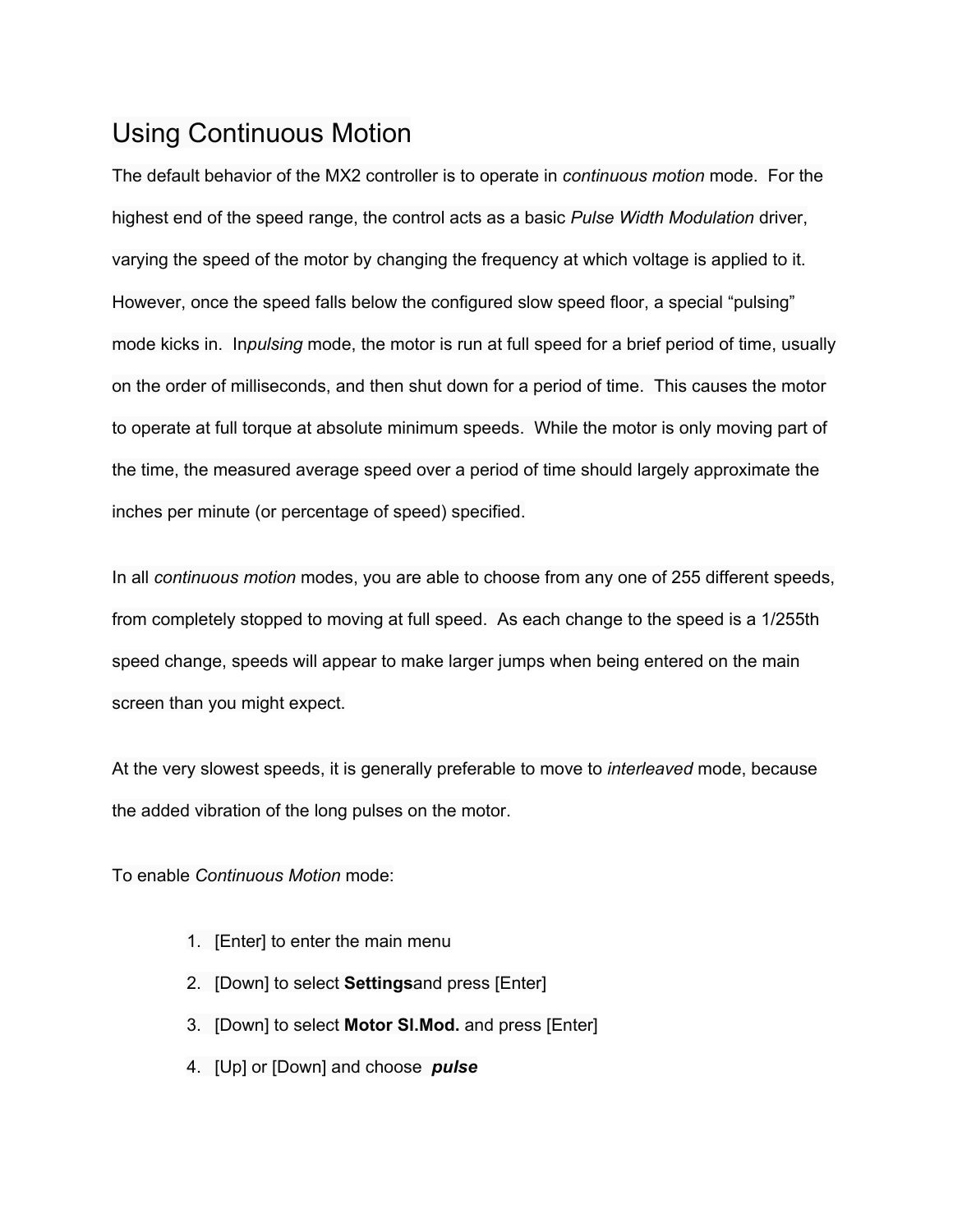# Using Continuous Motion

The default behavior of the MX2 controller is to operate in *continuous motion* mode. For the highest end of the speed range, the control acts as a basic *Pulse Width Modulation* driver, varying the speed of the motor by changing the frequency at which voltage is applied to it. However, once the speed falls below the configured slow speed floor, a special "pulsing" mode kicks in. In*pulsing* mode, the motor is run at full speed for a brief period of time, usually on the order of milliseconds, and then shut down for a period of time. This causes the motor to operate at full torque at absolute minimum speeds. While the motor is only moving part of the time, the measured average speed over a period of time should largely approximate the inches per minute (or percentage of speed) specified.

In all *continuous motion* modes, you are able to choose from any one of 255 different speeds, from completely stopped to moving at full speed. As each change to the speed is a 1/255th speed change, speeds will appear to make larger jumps when being entered on the main screen than you might expect.

At the very slowest speeds, it is generally preferable to move to *interleaved* mode, because the added vibration of the long pulses on the motor.

To enable *Continuous Motion* mode:

- 1. [Enter] to enter the main menu
- 2. [Down] to select **Settings**and press [Enter]
- 3. [Down] to select **Motor Sl.Mod.** and press [Enter]
- 4. [Up] or [Down] and choose *pulse*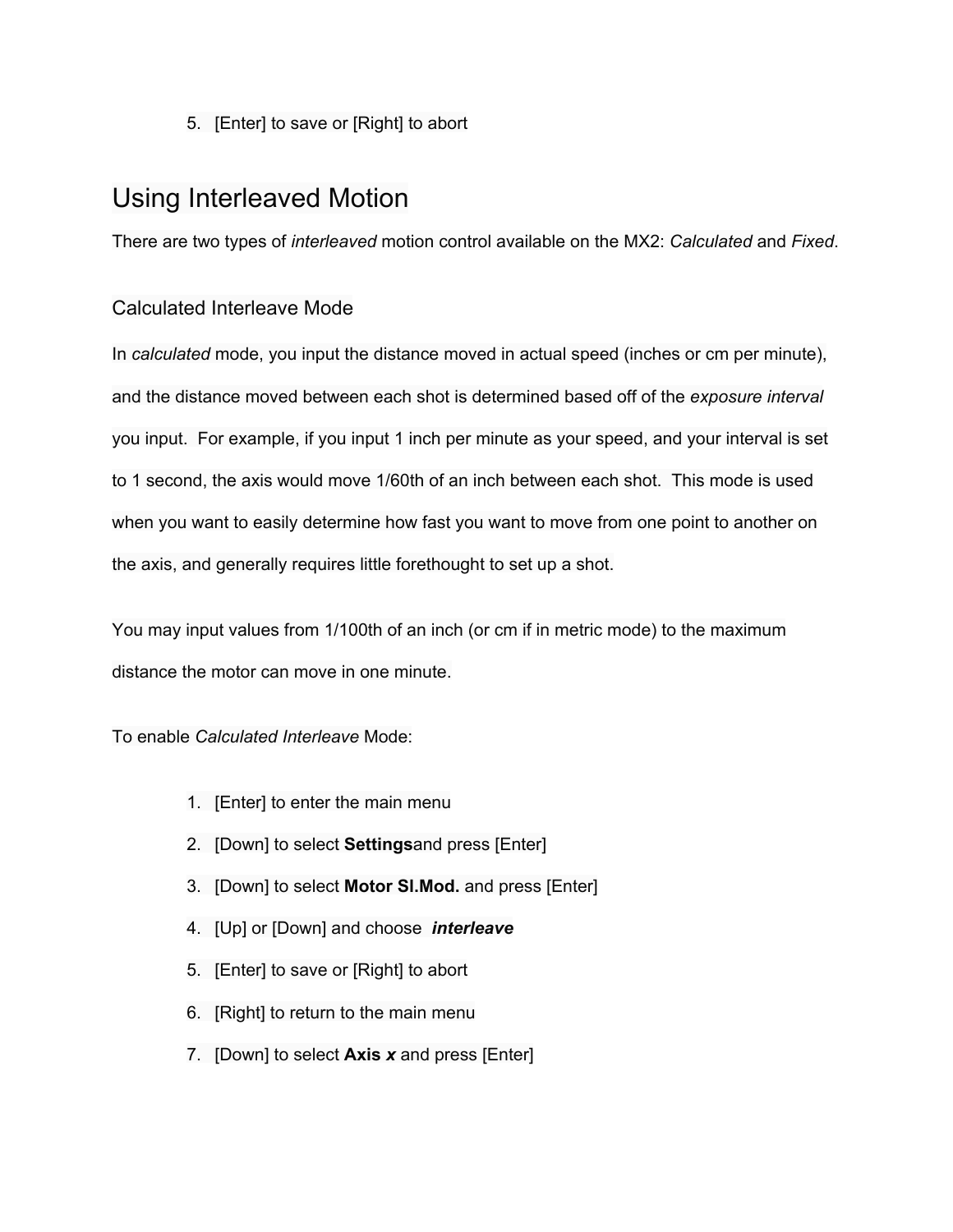5. [Enter] to save or [Right] to abort

## Using Interleaved Motion

There are two types of *interleaved* motion control available on the MX2: *Calculated* and *Fixed*.

### Calculated Interleave Mode

In *calculated* mode, you input the distance moved in actual speed (inches or cm per minute), and the distance moved between each shot is determined based off of the *exposure interval* you input. For example, if you input 1 inch per minute as your speed, and your interval is set to 1 second, the axis would move 1/60th of an inch between each shot. This mode is used when you want to easily determine how fast you want to move from one point to another on the axis, and generally requires little forethought to set up a shot.

You may input values from 1/100th of an inch (or cm if in metric mode) to the maximum distance the motor can move in one minute.

To enable *Calculated Interleave* Mode:

- 1. [Enter] to enter the main menu
- 2. [Down] to select **Settings**and press [Enter]
- 3. [Down] to select **Motor Sl.Mod.** and press [Enter]
- 4. [Up] or [Down] and choose *interleave*
- 5. [Enter] to save or [Right] to abort
- 6. [Right] to return to the main menu
- 7. [Down] to select **Axis** *x* and press [Enter]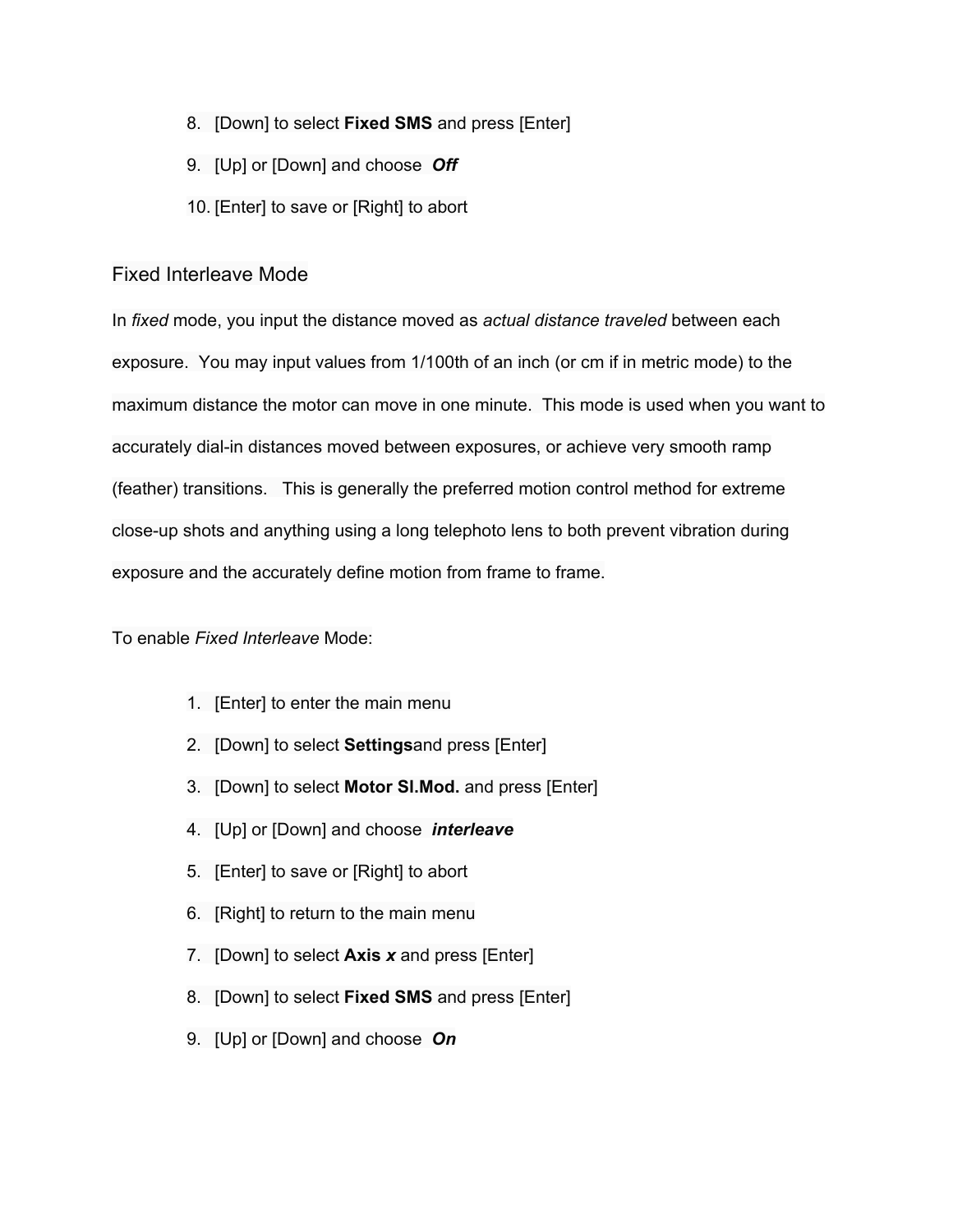- 8. [Down] to select **Fixed SMS**and press [Enter]
- 9. [Up] or [Down] and choose *Off*
- 10. [Enter] to save or [Right] to abort

### Fixed Interleave Mode

In *fixed* mode, you input the distance moved as *actual distance traveled* between each exposure. You may input values from 1/100th of an inch (or cm if in metric mode) to the maximum distance the motor can move in one minute. This mode is used when you want to accurately dial-in distances moved between exposures, or achieve very smooth ramp (feather) transitions. This is generally the preferred motion control method for extreme close-up shots and anything using a long telephoto lens to both prevent vibration during exposure and the accurately define motion from frame to frame.

To enable *Fixed Interleave* Mode:

- 1. [Enter] to enter the main menu
- 2. [Down] to select **Settings**and press [Enter]
- 3. [Down] to select **Motor Sl.Mod.** and press [Enter]
- 4. [Up] or [Down] and choose *interleave*
- 5. [Enter] to save or [Right] to abort
- 6. [Right] to return to the main menu
- 7. [Down] to select **Axis** *x* and press [Enter]
- 8. [Down] to select **Fixed SMS**and press [Enter]
- 9. [Up] or [Down] and choose *On*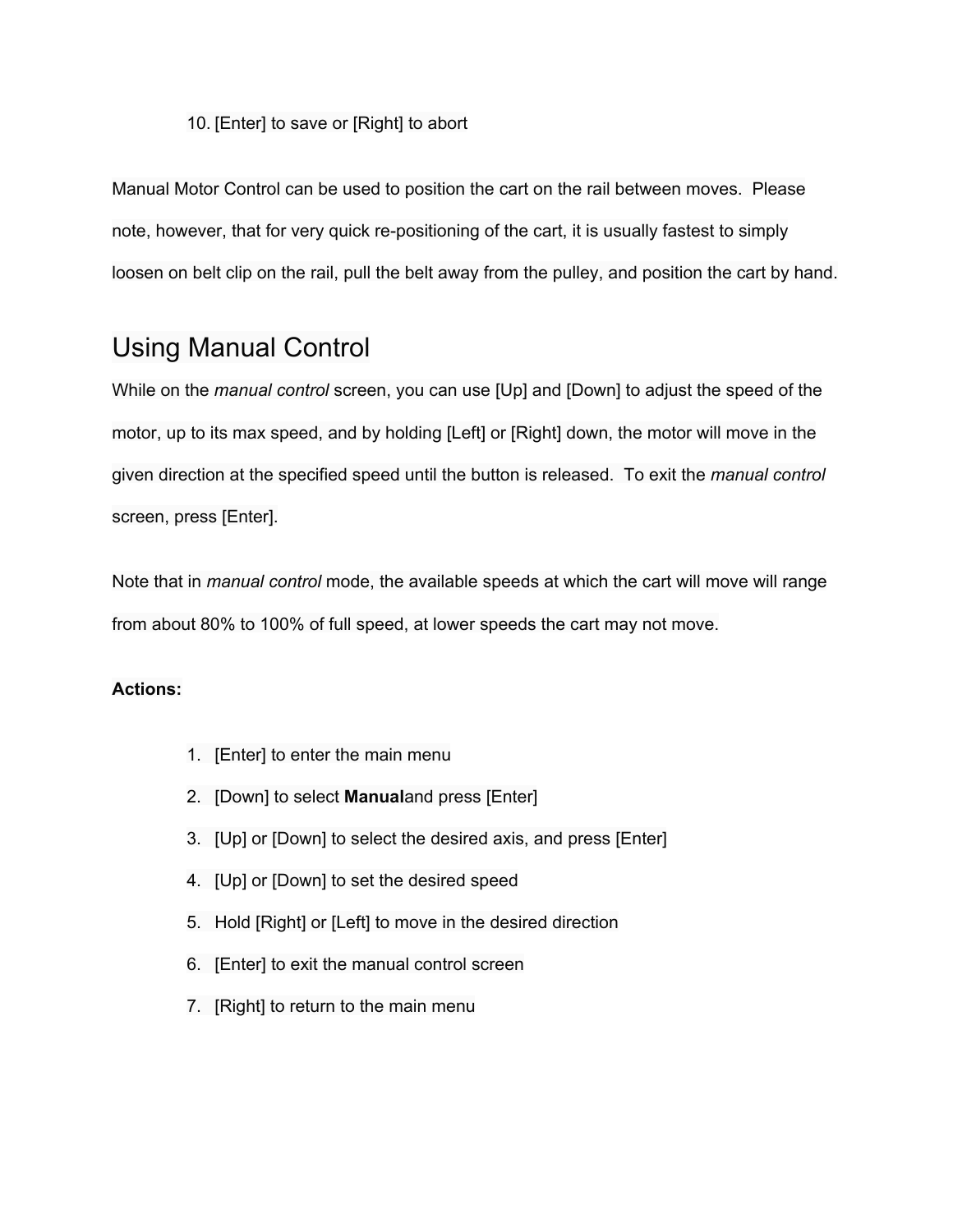### 10. [Enter] to save or [Right] to abort

Manual Motor Control can be used to position the cart on the rail between moves. Please note, however, that for very quick re-positioning of the cart, it is usually fastest to simply loosen on belt clip on the rail, pull the belt away from the pulley, and position the cart by hand.

## Using Manual Control

While on the *manual control* screen, you can use [Up] and [Down] to adjust the speed of the motor, up to its max speed, and by holding [Left] or [Right] down, the motor will move in the given direction at the specified speed until the button is released. To exit the *manual control* screen, press [Enter].

Note that in *manual control* mode, the available speeds at which the cart will move will range from about 80% to 100% of full speed, at lower speeds the cart may not move.

- 1. [Enter] to enter the main menu
- 2. [Down] to select **Manual**and press [Enter]
- 3. [Up] or [Down] to select the desired axis, and press [Enter]
- 4. [Up] or [Down] to set the desired speed
- 5. Hold [Right] or [Left] to move in the desired direction
- 6. [Enter] to exit the manual control screen
- 7. [Right] to return to the main menu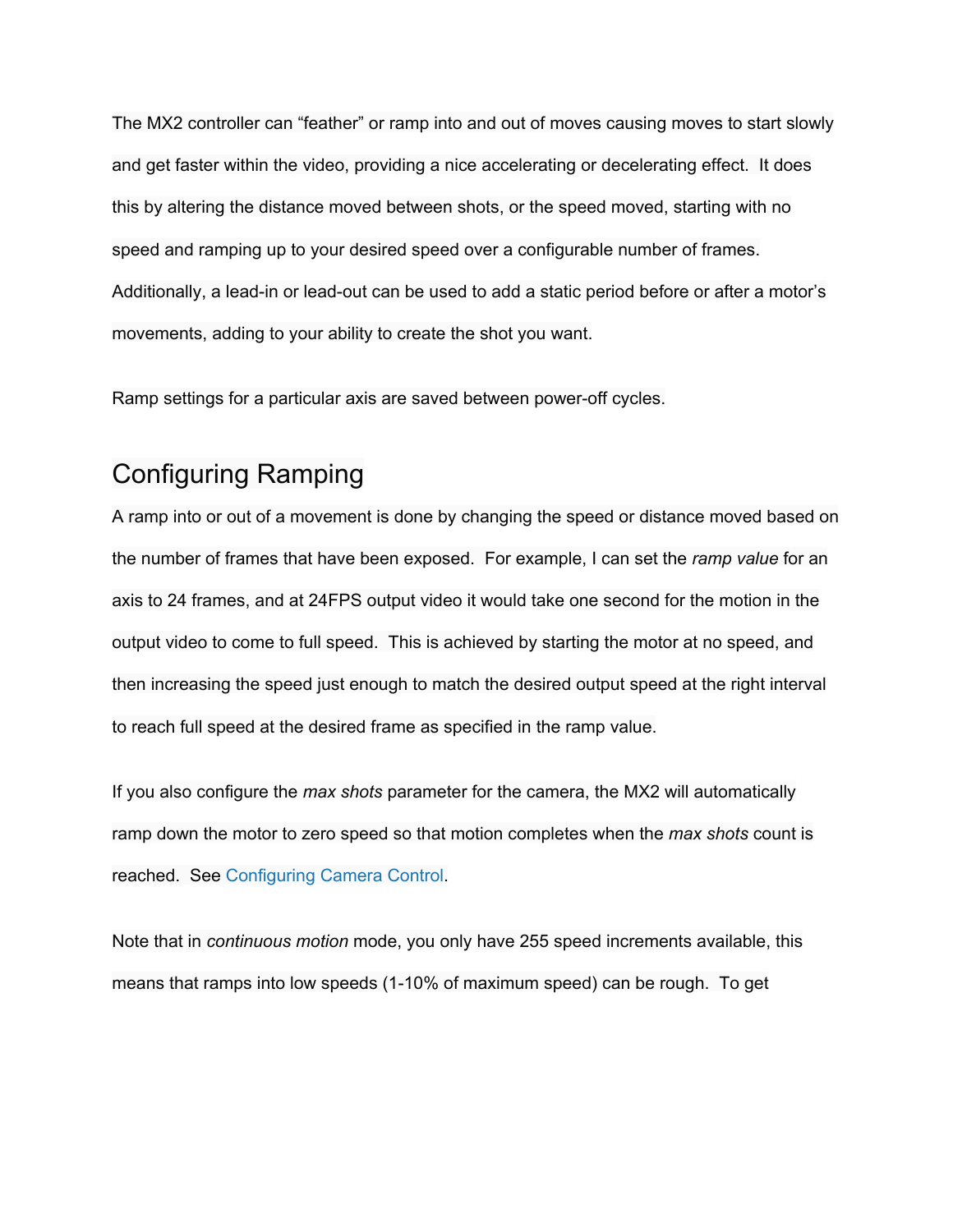The MX2 controller can "feather" or ramp into and out of moves causing moves to start slowly and get faster within the video, providing a nice accelerating or decelerating effect. It does this by altering the distance moved between shots, or the speed moved, starting with no speed and ramping up to your desired speed over a configurable number of frames. Additionally, a lead-in or lead-out can be used to add a static period before or after a motor's movements, adding to your ability to create the shot you want.

Ramp settings for a particular axis are saved between power-off cycles.

## Configuring Ramping

A ramp into or out of a movement is done by changing the speed or distance moved based on the number of frames that have been exposed. For example, I can set the *ramp value* for an axis to 24 frames, and at 24FPS output video it would take one second for the motion in the output video to come to full speed. This is achieved by starting the motor at no speed, and then increasing the speed just enough to match the desired output speed at the right interval to reach full speed at the desired frame as specified in the ramp value.

If you also configure the *max shots* parameter for the camera, the MX2 will automatically ramp down the motor to zero speed so that motion completes when the *max shots* count is reached. See [Configuring](http://www.google.com/url?q=http%3A%2F%2Fec2-54-237-175-245.compute-1.amazonaws.com%2Fcontent%2Fconfiguring-camera-control&sa=D&sntz=1&usg=AFQjCNFFG_nm4ZvQCopUI1ppzu3VRKao7A) Camera Control.

Note that in *continuous motion* mode, you only have 255 speed increments available, this means that ramps into low speeds (1-10% of maximum speed) can be rough. To get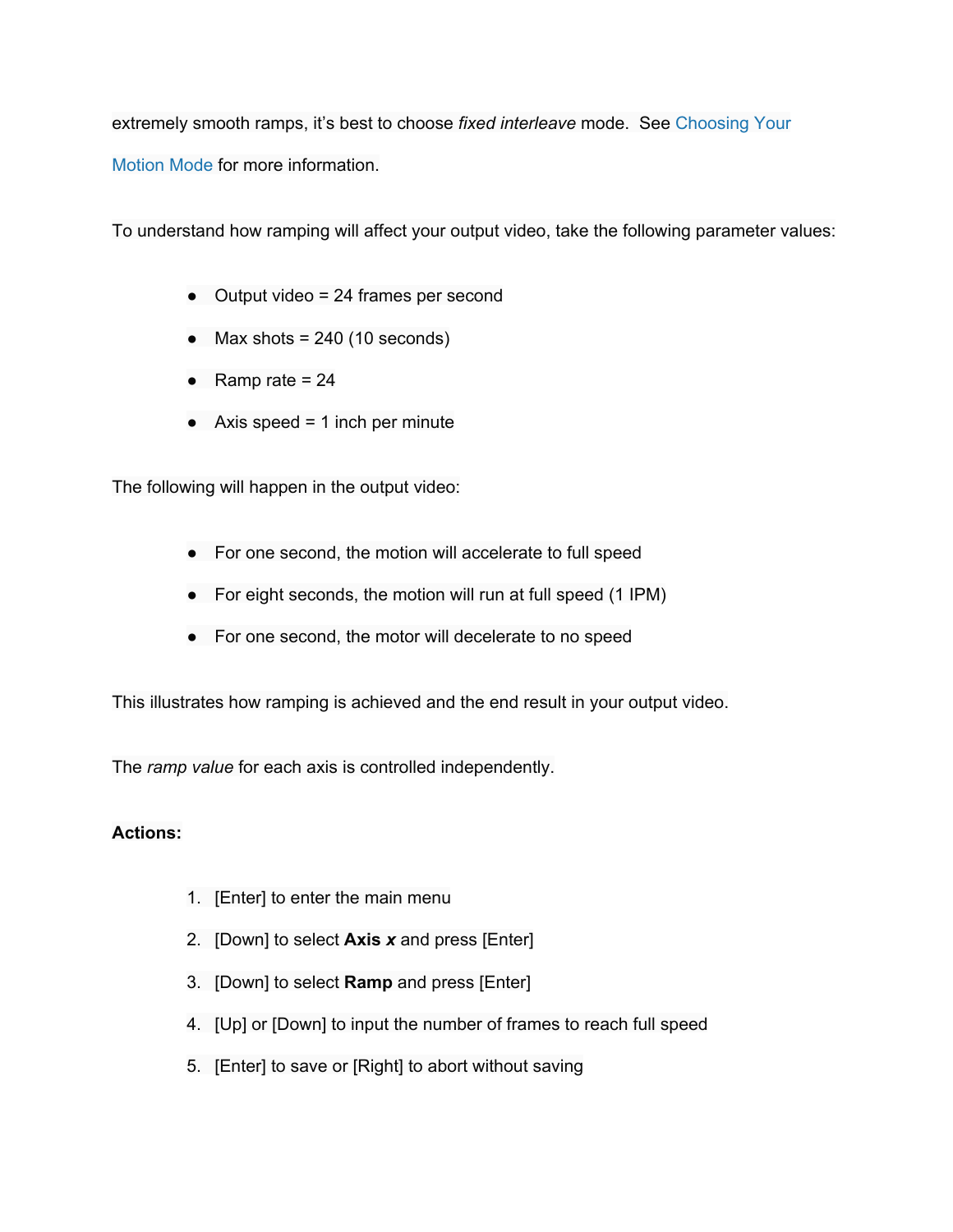extremely smooth ramps, it's best to choose *fixed interleave* mode. See [Choosing](http://www.google.com/url?q=http%3A%2F%2Fec2-54-237-175-245.compute-1.amazonaws.com%2Fcontent%2Fchoosing-your-motion-mode&sa=D&sntz=1&usg=AFQjCNHaEyFvT5ZTqRcK1S6UHpp9x9-b_Q) Your [Motion](http://www.google.com/url?q=http%3A%2F%2Fec2-54-237-175-245.compute-1.amazonaws.com%2Fcontent%2Fchoosing-your-motion-mode&sa=D&sntz=1&usg=AFQjCNHaEyFvT5ZTqRcK1S6UHpp9x9-b_Q) Mode for more information.

To understand how ramping will affect your output video, take the following parameter values:

- Output video = 24 frames per second
- $\bullet$  Max shots = 240 (10 seconds)
- Ramp rate  $= 24$
- $\bullet$  Axis speed = 1 inch per minute

The following will happen in the output video:

- For one second, the motion will accelerate to full speed
- For eight seconds, the motion will run at full speed (1 IPM)
- For one second, the motor will decelerate to no speed

This illustrates how ramping is achieved and the end result in your output video.

The *ramp value* for each axis is controlled independently.

- 1. [Enter] to enter the main menu
- 2. [Down] to select **Axis** *x*and press [Enter]
- 3. [Down] to select **Ramp** and press [Enter]
- 4. [Up] or [Down] to input the number of frames to reach full speed
- 5. [Enter] to save or [Right] to abort without saving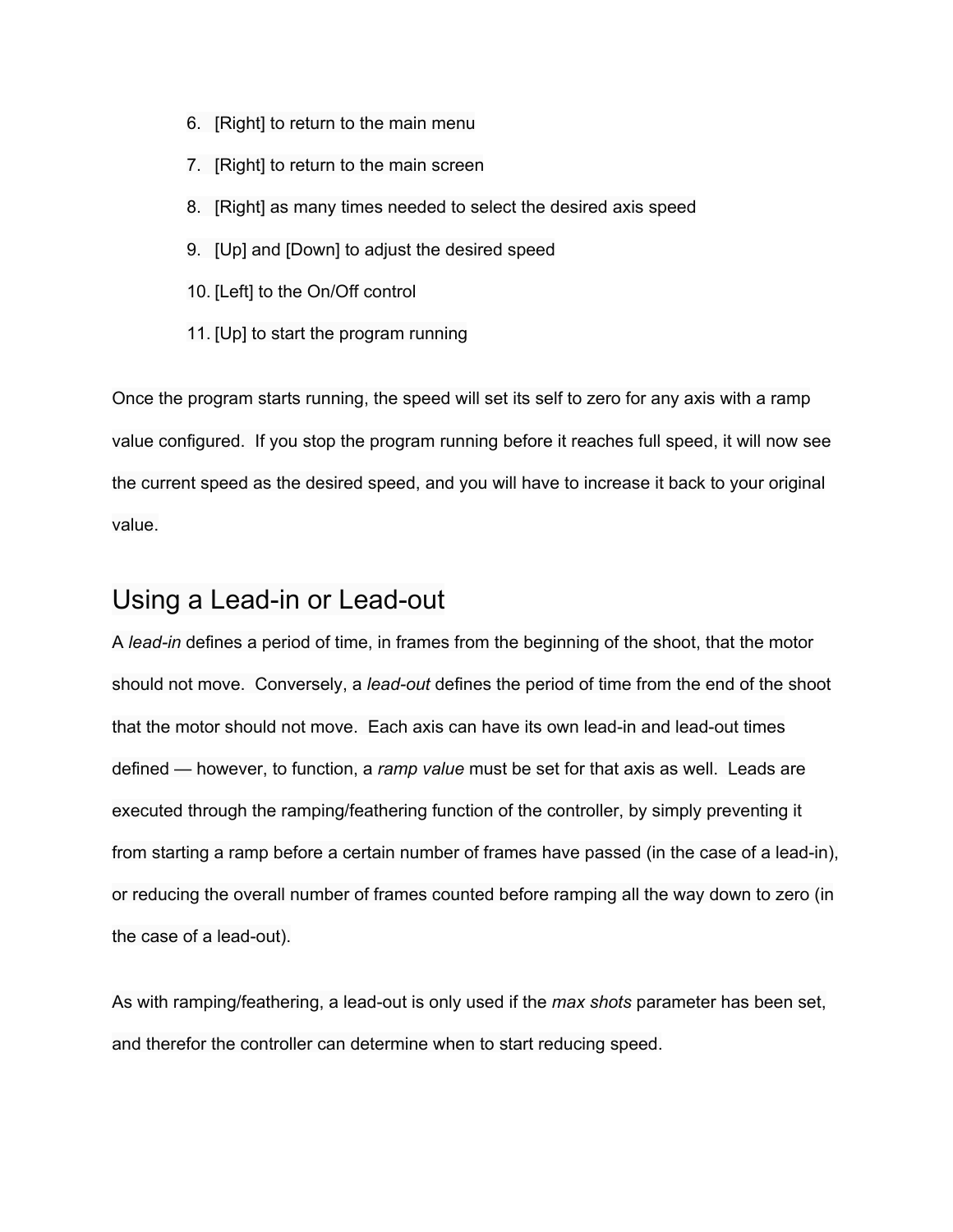- 6. [Right] to return to the main menu
- 7. [Right] to return to the main screen
- 8. [Right] as many times needed to select the desired axis speed
- 9. [Up] and [Down] to adjust the desired speed
- 10. [Left] to the On/Off control
- 11. [Up] to start the program running

Once the program starts running, the speed will set its self to zero for any axis with a ramp value configured. If you stop the program running before it reaches full speed, it will now see the current speed as the desired speed, and you will have to increase it back to your original value.

## Using a Lead-in or Lead-out

A *lead-in* defines a period of time, in frames from the beginning of the shoot, that the motor should not move. Conversely, a *lead-out* defines the period of time from the end of the shoot that the motor should not move. Each axis can have its own lead-in and lead-out times defined — however, to function, a *ramp value* must be set for that axis as well. Leads are executed through the ramping/feathering function of the controller, by simply preventing it from starting a ramp before a certain number of frames have passed (in the case of a lead-in), or reducing the overall number of frames counted before ramping all the way down to zero (in the case of a lead-out).

As with ramping/feathering, a lead-out is only used if the *max shots* parameter has been set, and therefor the controller can determine when to start reducing speed.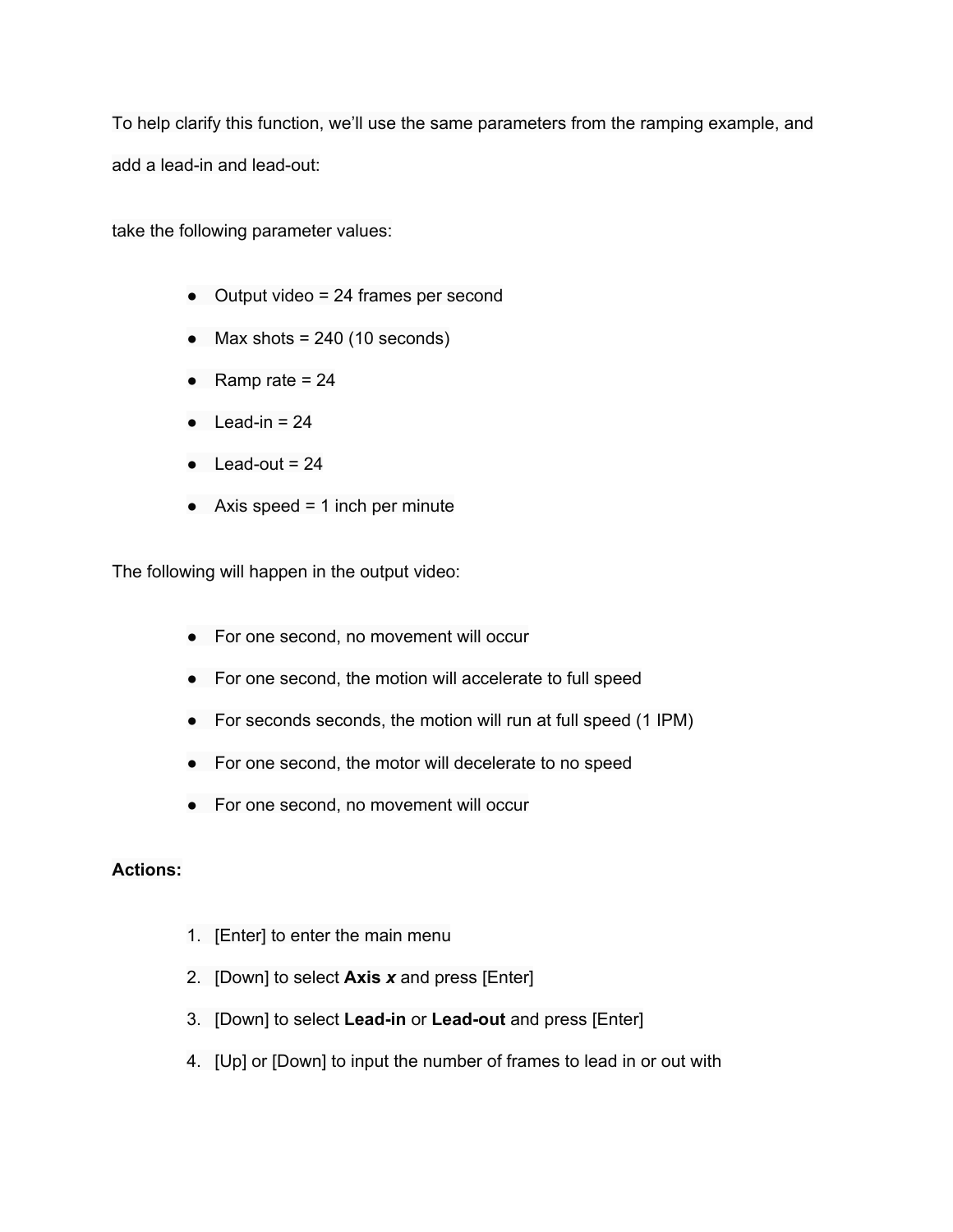To help clarify this function, we'll use the same parameters from the ramping example, and add a lead-in and lead-out:

take the following parameter values:

- Output video = 24 frames per second
- $\bullet$  Max shots = 240 (10 seconds)
- Ramp rate  $= 24$
- $\bullet$  Lead-in = 24
- $\bullet$  Lead-out = 24
- $\bullet$  Axis speed = 1 inch per minute

The following will happen in the output video:

- For one second, no movement will occur
- For one second, the motion will accelerate to full speed
- For seconds seconds, the motion will run at full speed (1 IPM)
- For one second, the motor will decelerate to no speed
- For one second, no movement will occur

- 1. [Enter] to enter the main menu
- 2. [Down] to select **Axis** *x*and press [Enter]
- 3. [Down] to select Lead-in or Lead-out and press [Enter]
- 4. [Up] or [Down] to input the number of frames to lead in or out with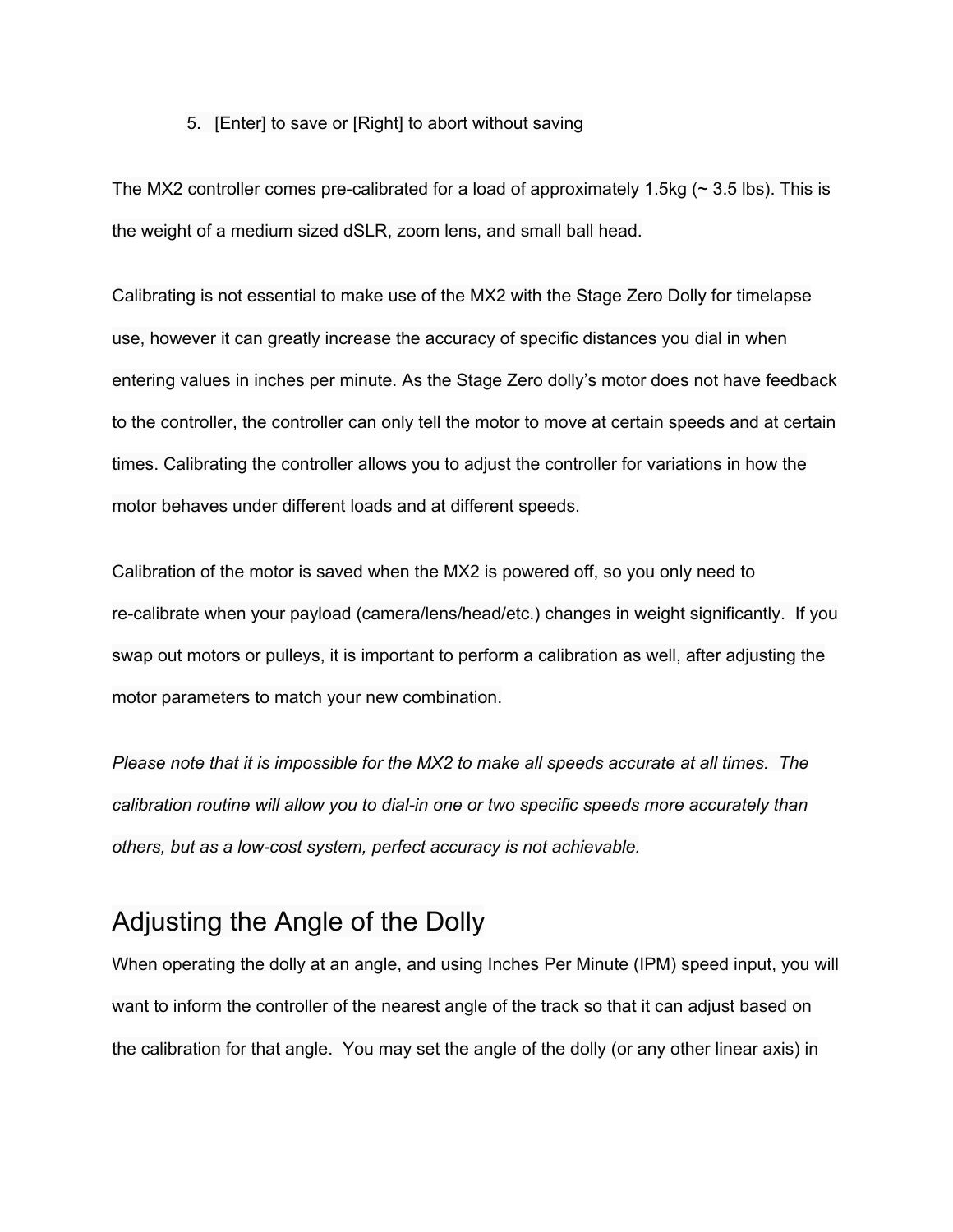#### 5. [Enter] to save or [Right] to abort without saving

The MX2 controller comes pre-calibrated for a load of approximately 1.5kg ( $\sim$  3.5 lbs). This is the weight of a medium sized dSLR, zoom lens, and small ball head.

Calibrating is not essential to make use of the MX2 with the Stage Zero Dolly for timelapse use, however it can greatly increase the accuracy of specific distances you dial in when entering values in inches per minute. As the Stage Zero dolly's motor does not have feedback to the controller, the controller can only tell the motor to move at certain speeds and at certain times. Calibrating the controller allows you to adjust the controller for variations in how the motor behaves under different loads and at different speeds.

Calibration of the motor is saved when the MX2 is powered off, so you only need to recalibrate when your payload (camera/lens/head/etc.) changes in weight significantly. If you swap out motors or pulleys, it is important to perform a calibration as well, after adjusting the motor parameters to match your new combination.

*Please note that it is impossible for the MX2 to make all speeds accurate at all times. The calibration routine will allow you to dialin one or two specific speeds more accurately than others, but as a lowcost system, perfect accuracy is not achievable.*

## Adjusting the Angle of the Dolly

When operating the dolly at an angle, and using Inches Per Minute (IPM) speed input, you will want to inform the controller of the nearest angle of the track so that it can adjust based on the calibration for that angle. You may set the angle of the dolly (or any other linear axis) in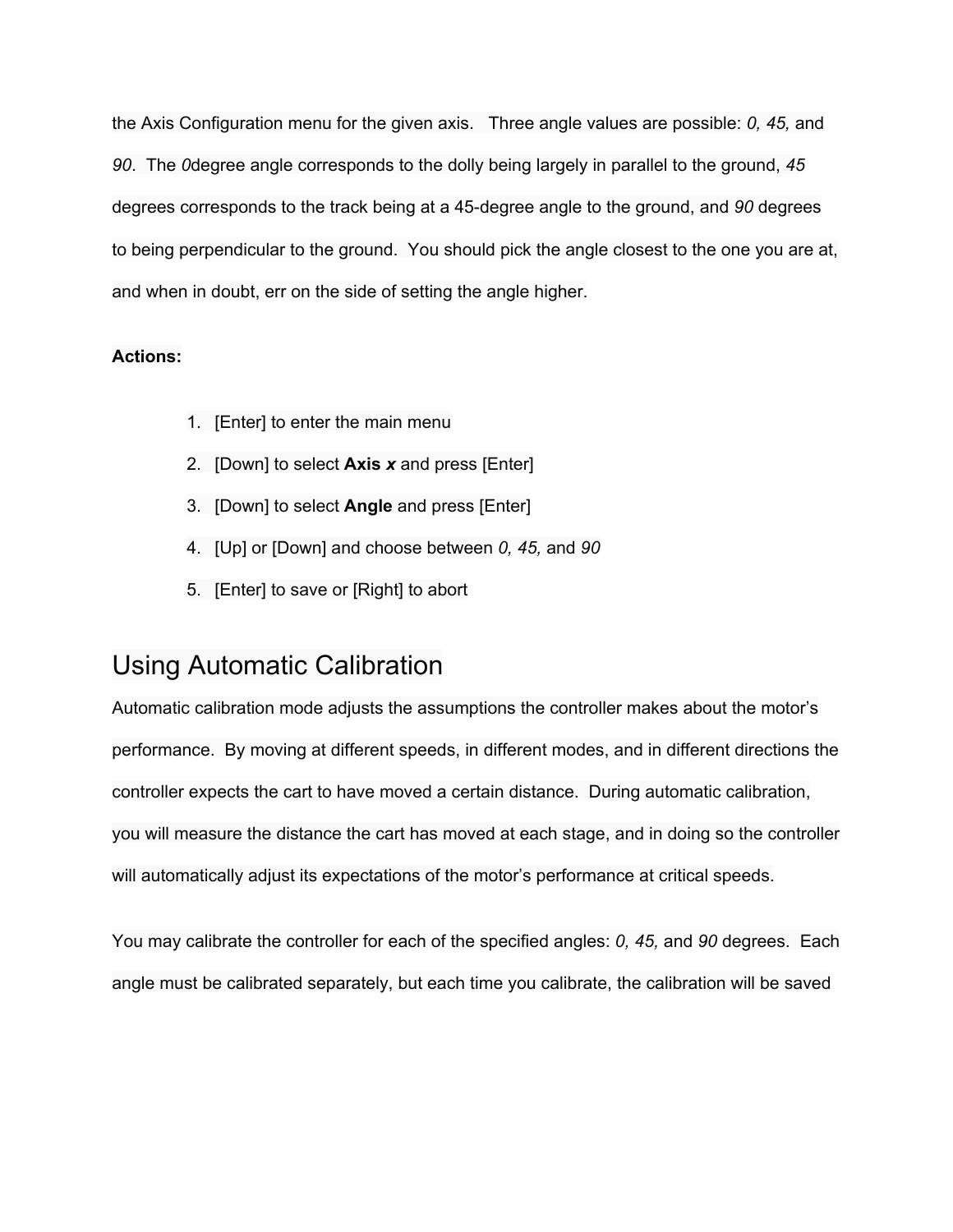the Axis Configuration menu for the given axis. Three angle values are possible: *0, 45,* and *90*. The *0*degree angle corresponds to the dolly being largely in parallel to the ground, *45* degrees corresponds to the track being at a 45-degree angle to the ground, and 90 degrees to being perpendicular to the ground. You should pick the angle closest to the one you are at, and when in doubt, err on the side of setting the angle higher.

#### **Actions:**

- 1. [Enter] to enter the main menu
- 2. [Down] to select **Axis** *x*and press [Enter]
- 3. [Down] to select **Angle** and press [Enter]
- 4. [Up] or [Down] and choose between *0, 45,* and *90*
- 5. [Enter] to save or [Right] to abort

## Using Automatic Calibration

Automatic calibration mode adjusts the assumptions the controller makes about the motor's performance. By moving at different speeds, in different modes, and in different directions the controller expects the cart to have moved a certain distance. During automatic calibration, you will measure the distance the cart has moved at each stage, and in doing so the controller will automatically adjust its expectations of the motor's performance at critical speeds.

You may calibrate the controller for each of the specified angles: *0, 45,* and *90* degrees. Each angle must be calibrated separately, but each time you calibrate, the calibration will be saved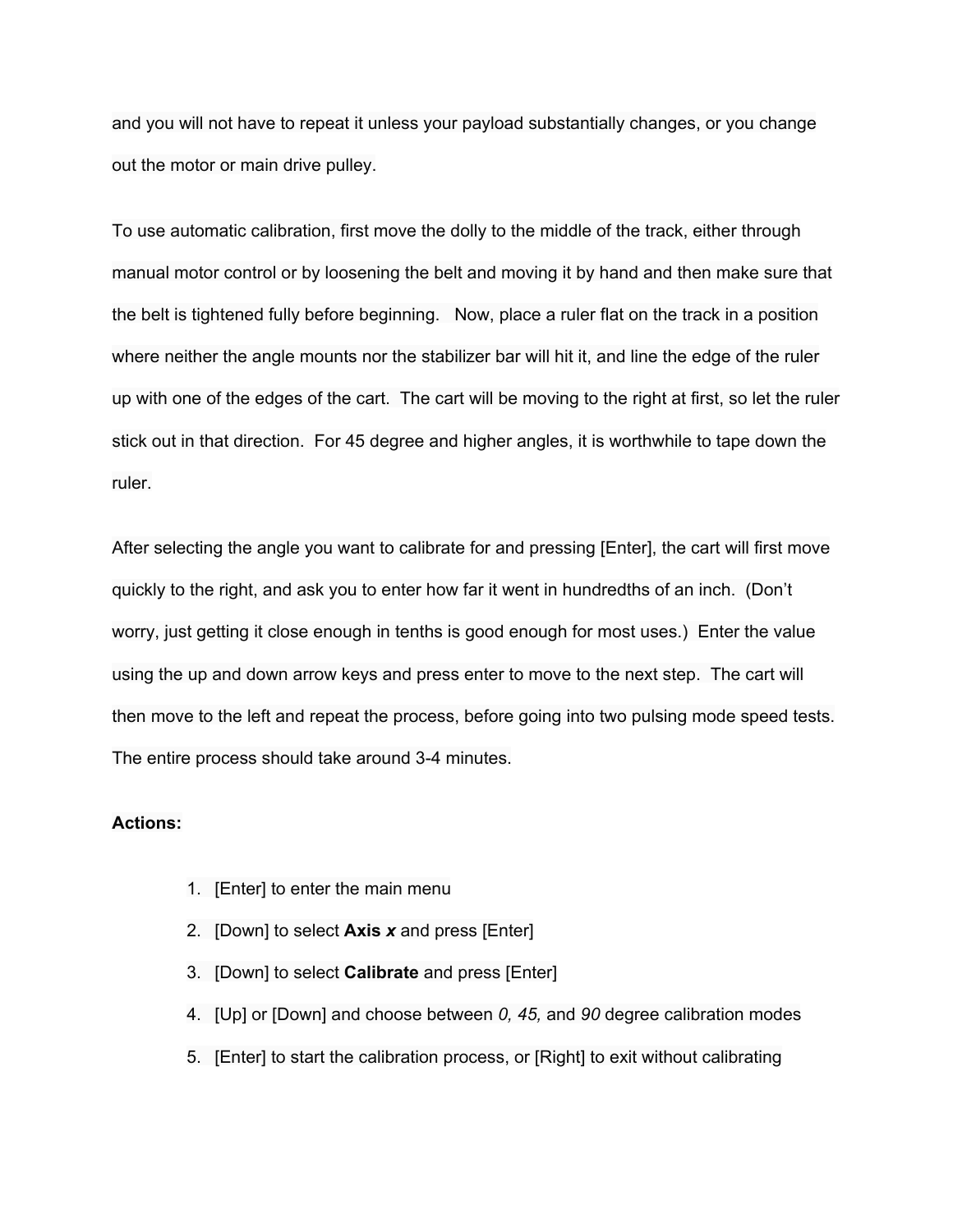and you will not have to repeat it unless your payload substantially changes, or you change out the motor or main drive pulley.

To use automatic calibration, first move the dolly to the middle of the track, either through manual motor control or by loosening the belt and moving it by hand and then make sure that the belt is tightened fully before beginning. Now, place a ruler flat on the track in a position where neither the angle mounts nor the stabilizer bar will hit it, and line the edge of the ruler up with one of the edges of the cart. The cart will be moving to the right at first, so let the ruler stick out in that direction. For 45 degree and higher angles, it is worthwhile to tape down the ruler.

After selecting the angle you want to calibrate for and pressing [Enter], the cart will first move quickly to the right, and ask you to enter how far it went in hundredths of an inch. (Don't worry, just getting it close enough in tenths is good enough for most uses.) Enter the value using the up and down arrow keys and press enter to move to the next step. The cart will then move to the left and repeat the process, before going into two pulsing mode speed tests. The entire process should take around 3-4 minutes.

- 1. [Enter] to enter the main menu
- 2. [Down] to select **Axis** *x*and press [Enter]
- 3. [Down] to select **Calibrate** and press [Enter]
- 4. [Up] or [Down] and choose between *0, 45,* and *90* degree calibration modes
- 5. [Enter] to start the calibration process, or [Right] to exit without calibrating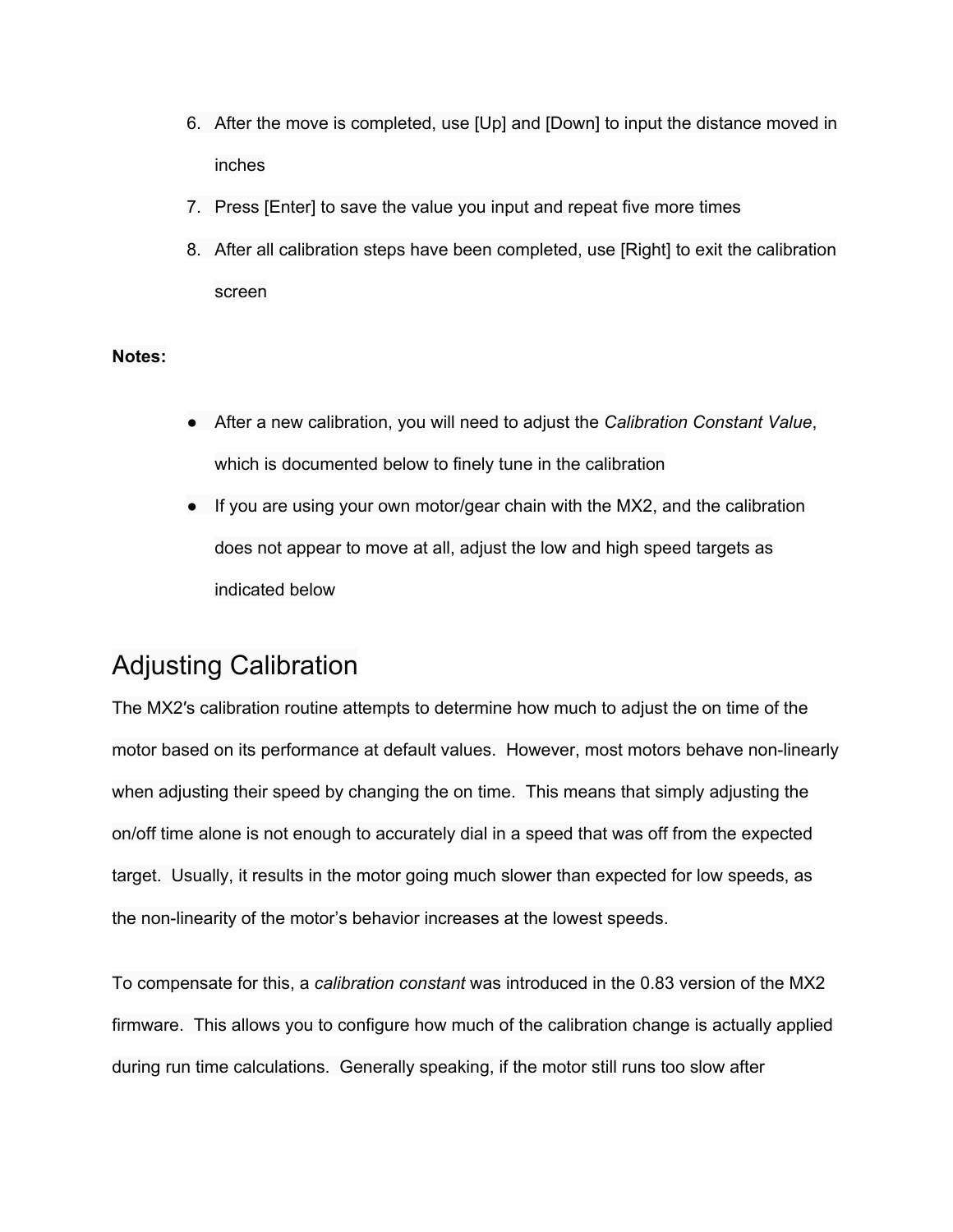- 6. After the move is completed, use [Up] and [Down] to input the distance moved in inches
- 7. Press [Enter] to save the value you input and repeat five more times
- 8. After all calibration steps have been completed, use [Right] to exit the calibration screen

#### **Notes:**

- After a new calibration, you will need to adjust the *Calibration Constant Value*, which is documented below to finely tune in the calibration
- If you are using your own motor/gear chain with the MX2, and the calibration does not appear to move at all, adjust the low and high speed targets as indicated below

## Adjusting Calibration

The MX2′s calibration routine attempts to determine how much to adjust the on time of the motor based on its performance at default values. However, most motors behave non-linearly when adjusting their speed by changing the on time. This means that simply adjusting the on/off time alone is not enough to accurately dial in a speed that was off from the expected target. Usually, it results in the motor going much slower than expected for low speeds, as the non-linearity of the motor's behavior increases at the lowest speeds.

To compensate for this, a *calibration constant* was introduced in the 0.83 version of the MX2 firmware. This allows you to configure how much of the calibration change is actually applied during run time calculations. Generally speaking, if the motor still runs too slow after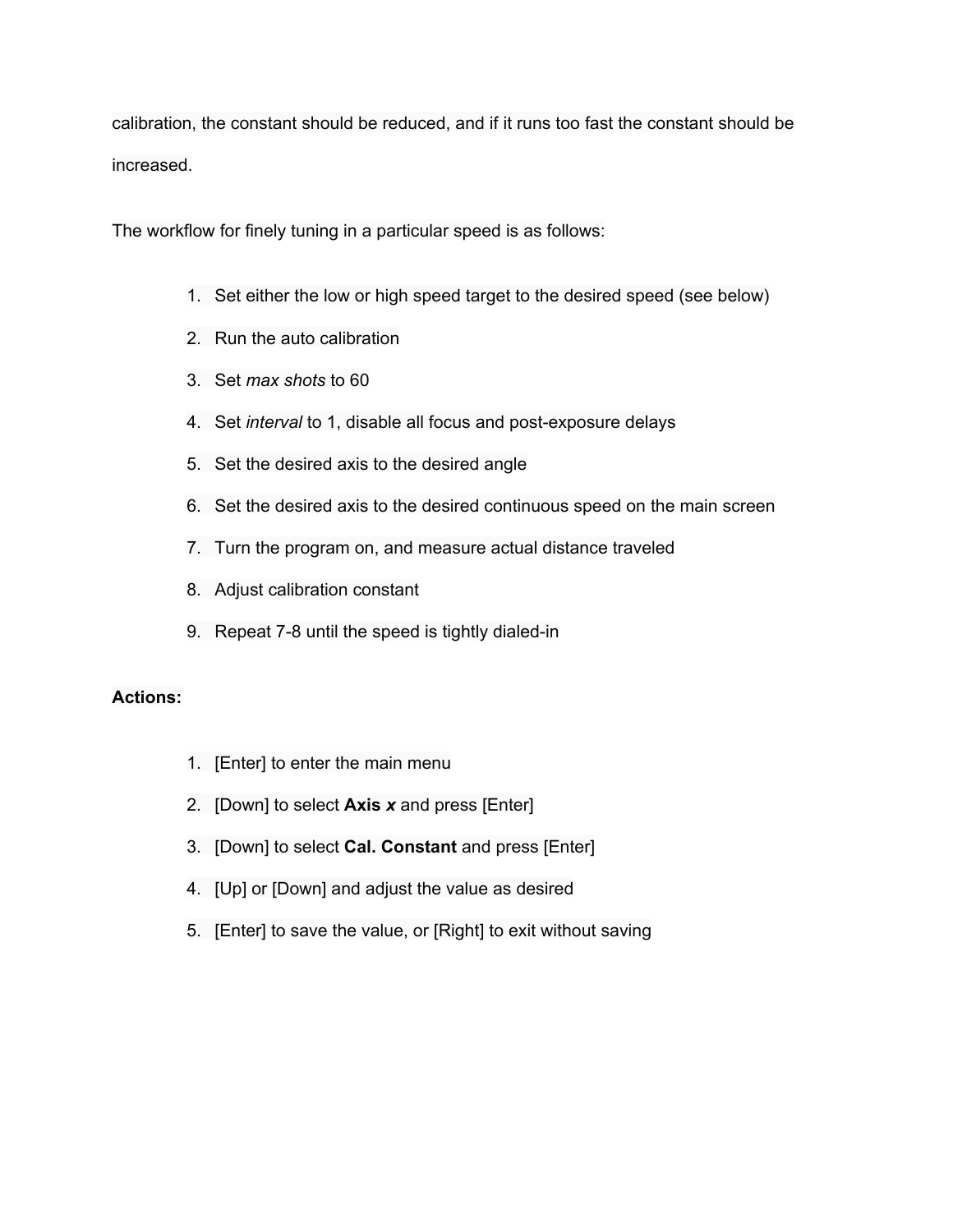calibration, the constant should be reduced, and if it runs too fast the constant should be increased.

The workflow for finely tuning in a particular speed is as follows:

- 1. Set either the low or high speed target to the desired speed (see below)
- 2. Run the auto calibration
- 3. Set *max shots* to 60
- 4. Set *interval* to 1, disable all focus and post-exposure delays
- 5. Set the desired axis to the desired angle
- 6. Set the desired axis to the desired continuous speed on the main screen
- 7. Turn the program on, and measure actual distance traveled
- 8. Adjust calibration constant
- 9. Repeat 7-8 until the speed is tightly dialed-in

- 1. [Enter] to enter the main menu
- 2. [Down] to select **Axis** *x*and press [Enter]
- 3. [Down] to select **Cal. Constant** and press [Enter]
- 4. [Up] or [Down] and adjust the value as desired
- 5. [Enter] to save the value, or [Right] to exit without saving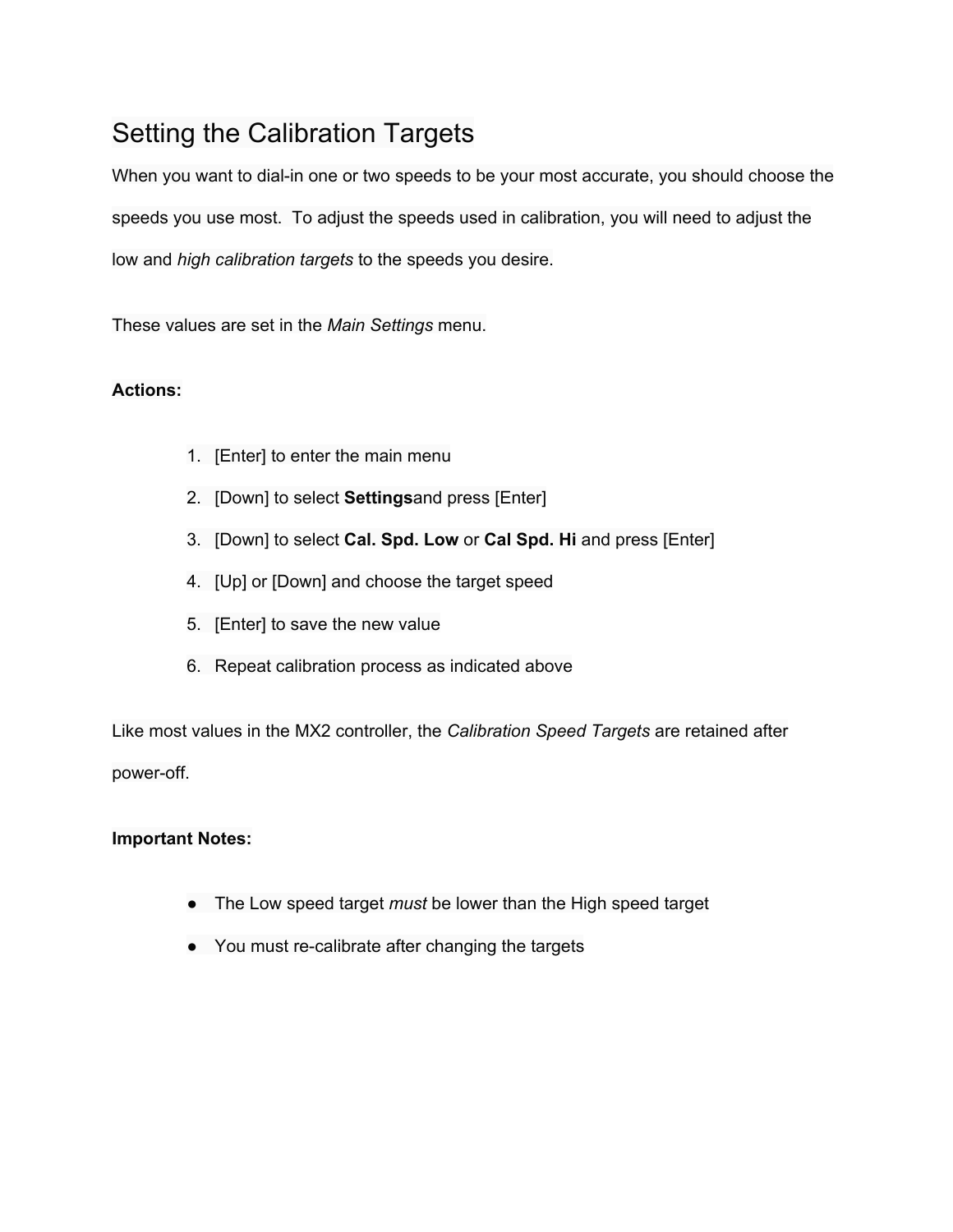# Setting the Calibration Targets

When you want to dial-in one or two speeds to be your most accurate, you should choose the speeds you use most. To adjust the speeds used in calibration, you will need to adjust the low and *high calibration targets* to the speeds you desire.

These values are set in the *Main Settings* menu.

### **Actions:**

- 1. [Enter] to enter the main menu
- 2. [Down] to select **Settings**and press [Enter]
- 3. [Down] to select **Cal. Spd. Low** or **Cal Spd. Hi** and press [Enter]
- 4. [Up] or [Down] and choose the target speed
- 5. [Enter] to save the new value
- 6. Repeat calibration process as indicated above

Like most values in the MX2 controller, the *Calibration Speed Targets* are retained after power-off.

#### **Important Notes:**

- The Low speed target *must* be lower than the High speed target
- You must re-calibrate after changing the targets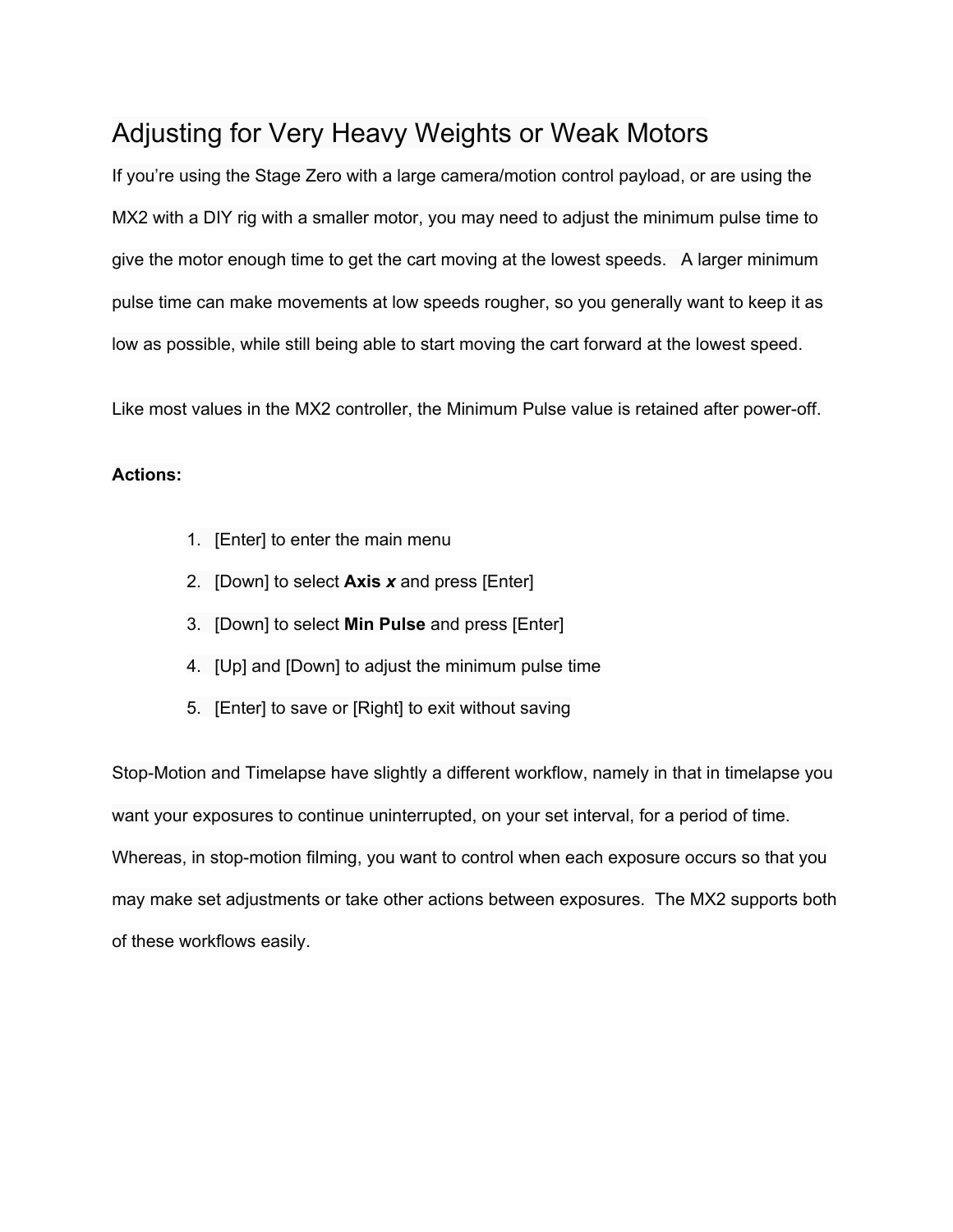# Adjusting for Very Heavy Weights or Weak Motors

If you're using the Stage Zero with a large camera/motion control payload, or are using the MX2 with a DIY rig with a smaller motor, you may need to adjust the minimum pulse time to give the motor enough time to get the cart moving at the lowest speeds. A larger minimum pulse time can make movements at low speeds rougher, so you generally want to keep it as low as possible, while still being able to start moving the cart forward at the lowest speed.

Like most values in the MX2 controller, the Minimum Pulse value is retained after power-off.

#### **Actions:**

- 1. [Enter] to enter the main menu
- 2. [Down] to select **Axis** *x*and press [Enter]
- 3. [Down] to select **Min Pulse** and press [Enter]
- 4. [Up] and [Down] to adjust the minimum pulse time
- 5. [Enter] to save or [Right] to exit without saving

Stop-Motion and Timelapse have slightly a different workflow, namely in that in timelapse you want your exposures to continue uninterrupted, on your set interval, for a period of time. Whereas, in stop-motion filming, you want to control when each exposure occurs so that you may make set adjustments or take other actions between exposures. The MX2 supports both of these workflows easily.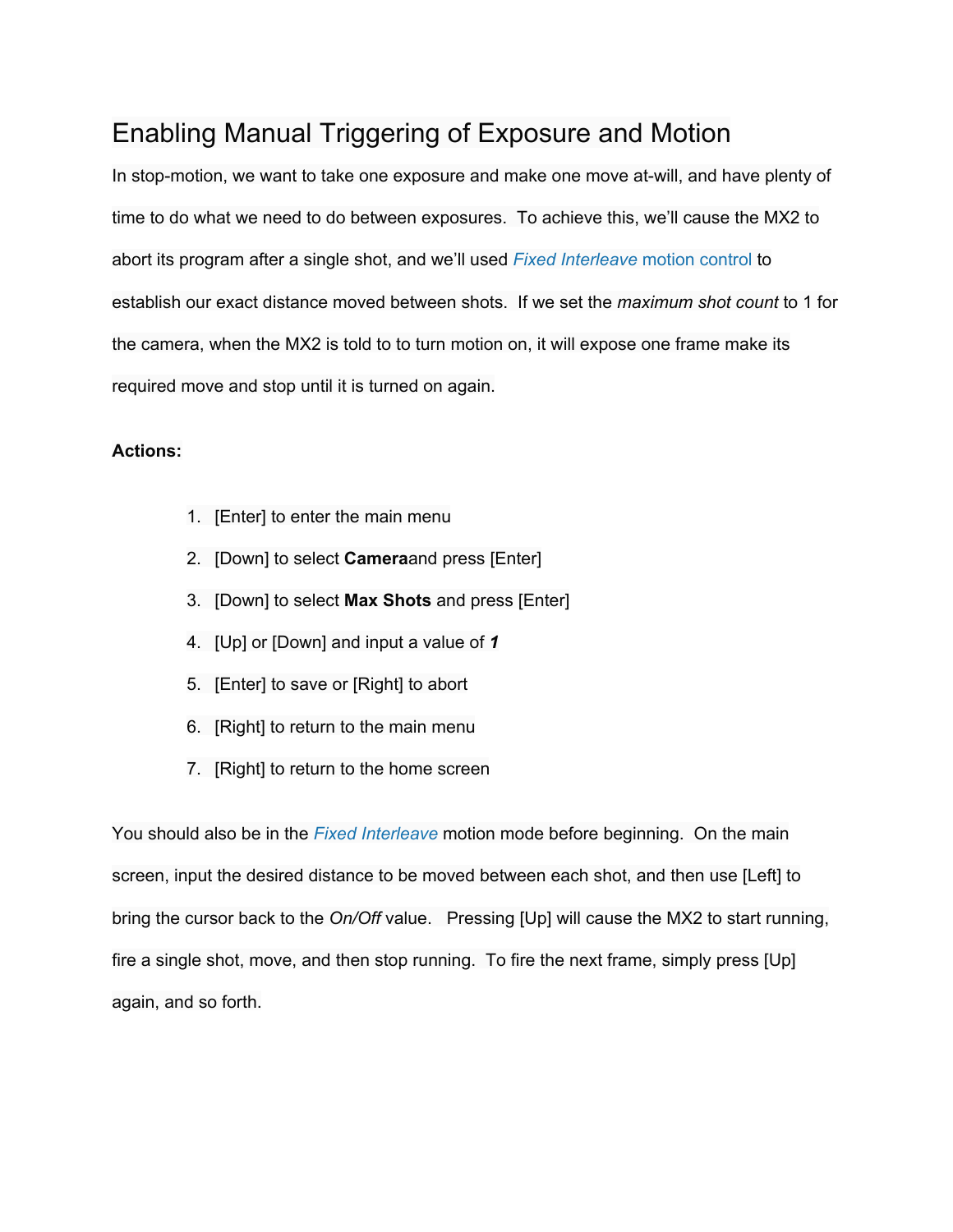# Enabling Manual Triggering of Exposure and Motion

In stop-motion, we want to take one exposure and make one move at-will, and have plenty of time to do what we need to do between exposures. To achieve this, we'll cause the MX2 to abort its program after a single shot, and we'll used *Fixed [Interleave](http://www.google.com/url?q=http%3A%2F%2Fdynamicperception.com%2Findex.php%3Fmain_page%3Dwordpress%26page_id%3D216&sa=D&sntz=1&usg=AFQjCNGx3v1G99ITlju12M2aTxE_Pe-VXg)* [motion](http://www.google.com/url?q=http%3A%2F%2Fdynamicperception.com%2Findex.php%3Fmain_page%3Dwordpress%26page_id%3D216&sa=D&sntz=1&usg=AFQjCNGx3v1G99ITlju12M2aTxE_Pe-VXg) control to establish our exact distance moved between shots. If we set the *maximum shot count* to 1 for the camera, when the MX2 is told to to turn motion on, it will expose one frame make its required move and stop until it is turned on again.

#### **Actions:**

- 1. [Enter] to enter the main menu
- 2. [Down] to select **Camera**and press [Enter]
- 3. [Down] to select **Max Shots** and press [Enter]
- 4. [Up] or [Down] and input a value of *1*
- 5. [Enter] to save or [Right] to abort
- 6. [Right] to return to the main menu
- 7. [Right] to return to the home screen

You should also be in the *Fixed [Interleave](http://www.google.com/url?q=http%3A%2F%2Fdynamicperception.com%2Findex.php%3Fmain_page%3Dwordpress%26page_id%3D216&sa=D&sntz=1&usg=AFQjCNGx3v1G99ITlju12M2aTxE_Pe-VXg)* motion mode before beginning. On the main screen, input the desired distance to be moved between each shot, and then use [Left] to bring the cursor back to the *On/Off* value. Pressing [Up] will cause the MX2 to start running, fire a single shot, move, and then stop running. To fire the next frame, simply press [Up] again, and so forth.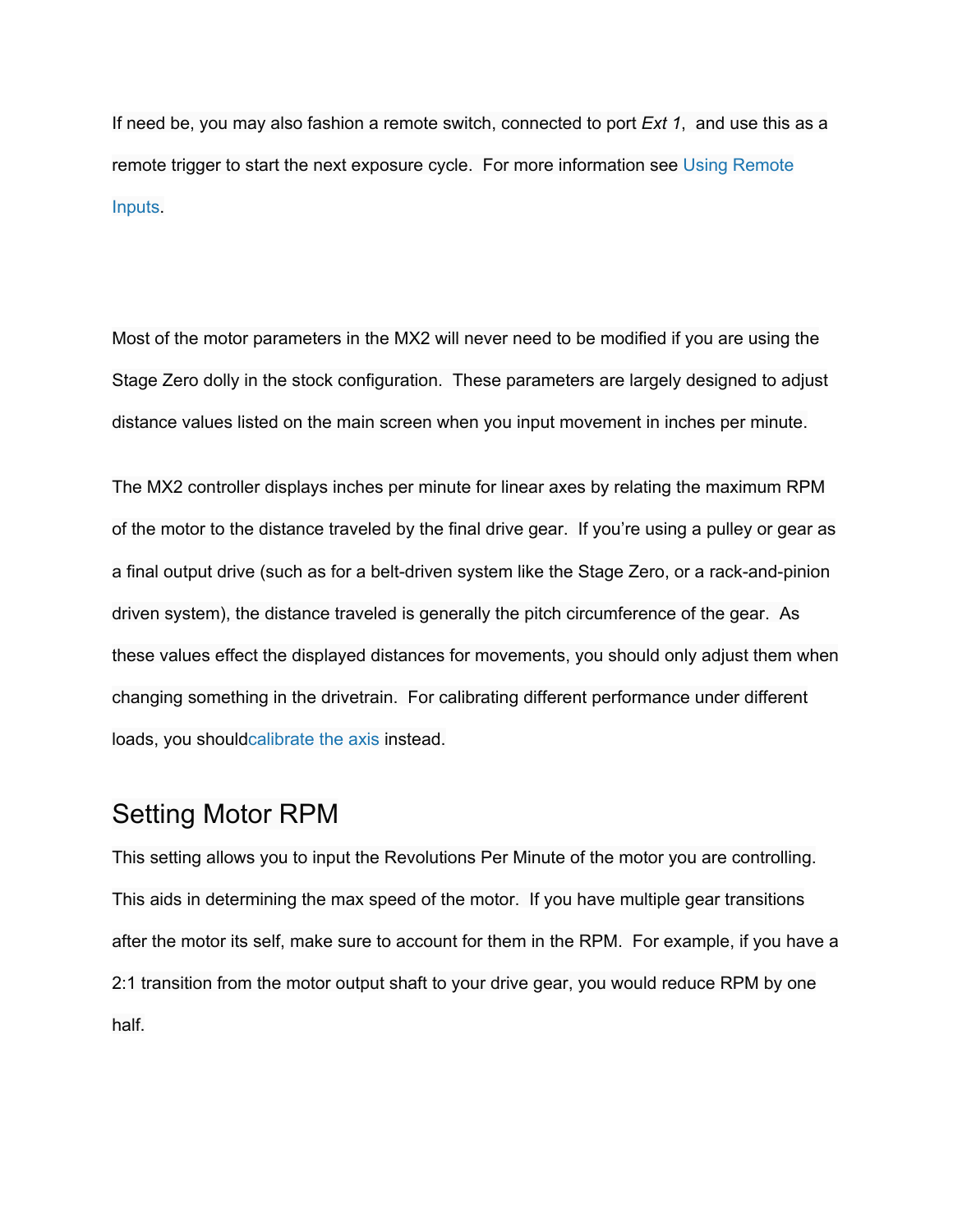If need be, you may also fashion a remote switch, connected to port *Ext 1*, and use this as a remote trigger to start the next exposure cycle. For more information see Using [Remote](http://www.google.com/url?q=http%3A%2F%2Fdynamicperception.com%2Findex.php%3Fmain_page%3Dwordpress%26page_id%3D284&sa=D&sntz=1&usg=AFQjCNEtbH43Q5f_WTHzF8vCtzpt1E7xqQ) [Inputs.](http://www.google.com/url?q=http%3A%2F%2Fdynamicperception.com%2Findex.php%3Fmain_page%3Dwordpress%26page_id%3D284&sa=D&sntz=1&usg=AFQjCNEtbH43Q5f_WTHzF8vCtzpt1E7xqQ)

Most of the motor parameters in the MX2 will never need to be modified if you are using the Stage Zero dolly in the stock configuration. These parameters are largely designed to adjust distance values listed on the main screen when you input movement in inches per minute.

The MX2 controller displays inches per minute for linear axes by relating the maximum RPM of the motor to the distance traveled by the final drive gear. If you're using a pulley or gear as a final output drive (such as for a belt-driven system like the Stage Zero, or a rack-and-pinion driven system), the distance traveled is generally the pitch circumference of the gear. As these values effect the displayed distances for movements, you should only adjust them when changing something in the drivetrain. For calibrating different performance under different loads, you shoul[dcalibrate](http://www.google.com/url?q=http%3A%2F%2Fdynamicperception.com%2Findex.php%3Fmain_page%3Dwordpress%26page_id%3D208&sa=D&sntz=1&usg=AFQjCNHATFEsCzn8Fi8QiUjDU1ACW8UhNg) the axis instead.

## Setting Motor RPM

This setting allows you to input the Revolutions Per Minute of the motor you are controlling. This aids in determining the max speed of the motor. If you have multiple gear transitions after the motor its self, make sure to account for them in the RPM. For example, if you have a 2:1 transition from the motor output shaft to your drive gear, you would reduce RPM by one half.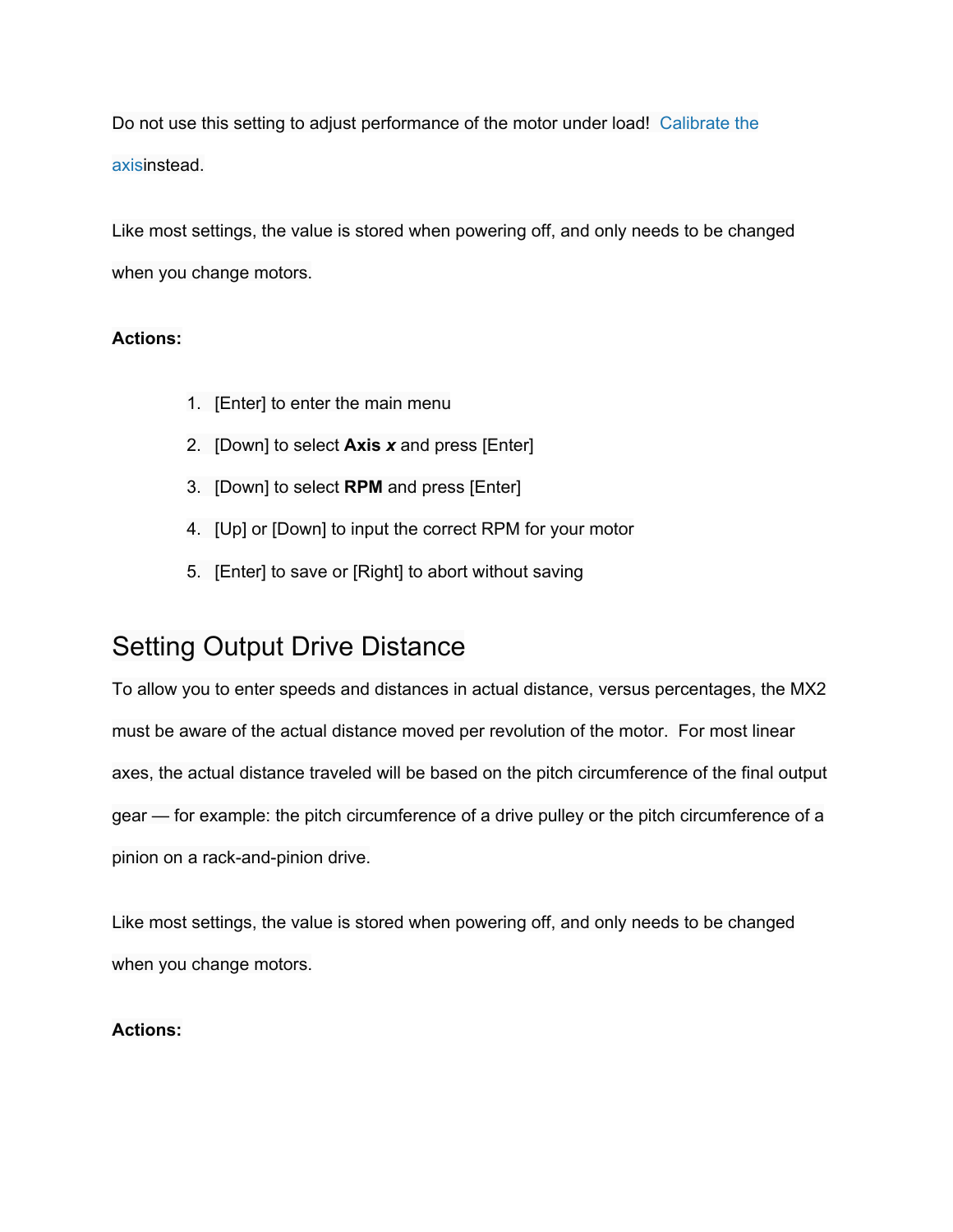Do not use this setting to adjust performance of the motor under load! [Calibrate](http://www.google.com/url?q=http%3A%2F%2Fdynamicperception.com%2Findex.php%3Fmain_page%3Dwordpress%26page_id%3D208&sa=D&sntz=1&usg=AFQjCNHATFEsCzn8Fi8QiUjDU1ACW8UhNg) the [axis](http://www.google.com/url?q=http%3A%2F%2Fdynamicperception.com%2Findex.php%3Fmain_page%3Dwordpress%26page_id%3D208&sa=D&sntz=1&usg=AFQjCNHATFEsCzn8Fi8QiUjDU1ACW8UhNg)instead.

Like most settings, the value is stored when powering off, and only needs to be changed when you change motors.

### **Actions:**

- 1. [Enter] to enter the main menu
- 2. [Down] to select **Axis** *x*and press [Enter]
- 3. [Down] to select **RPM** and press [Enter]
- 4. [Up] or [Down] to input the correct RPM for your motor
- 5. [Enter] to save or [Right] to abort without saving

# Setting Output Drive Distance

To allow you to enter speeds and distances in actual distance, versus percentages, the MX2 must be aware of the actual distance moved per revolution of the motor. For most linear axes, the actual distance traveled will be based on the pitch circumference of the final output gear — for example: the pitch circumference of a drive pulley or the pitch circumference of a pinion on a rack-and-pinion drive.

Like most settings, the value is stored when powering off, and only needs to be changed when you change motors.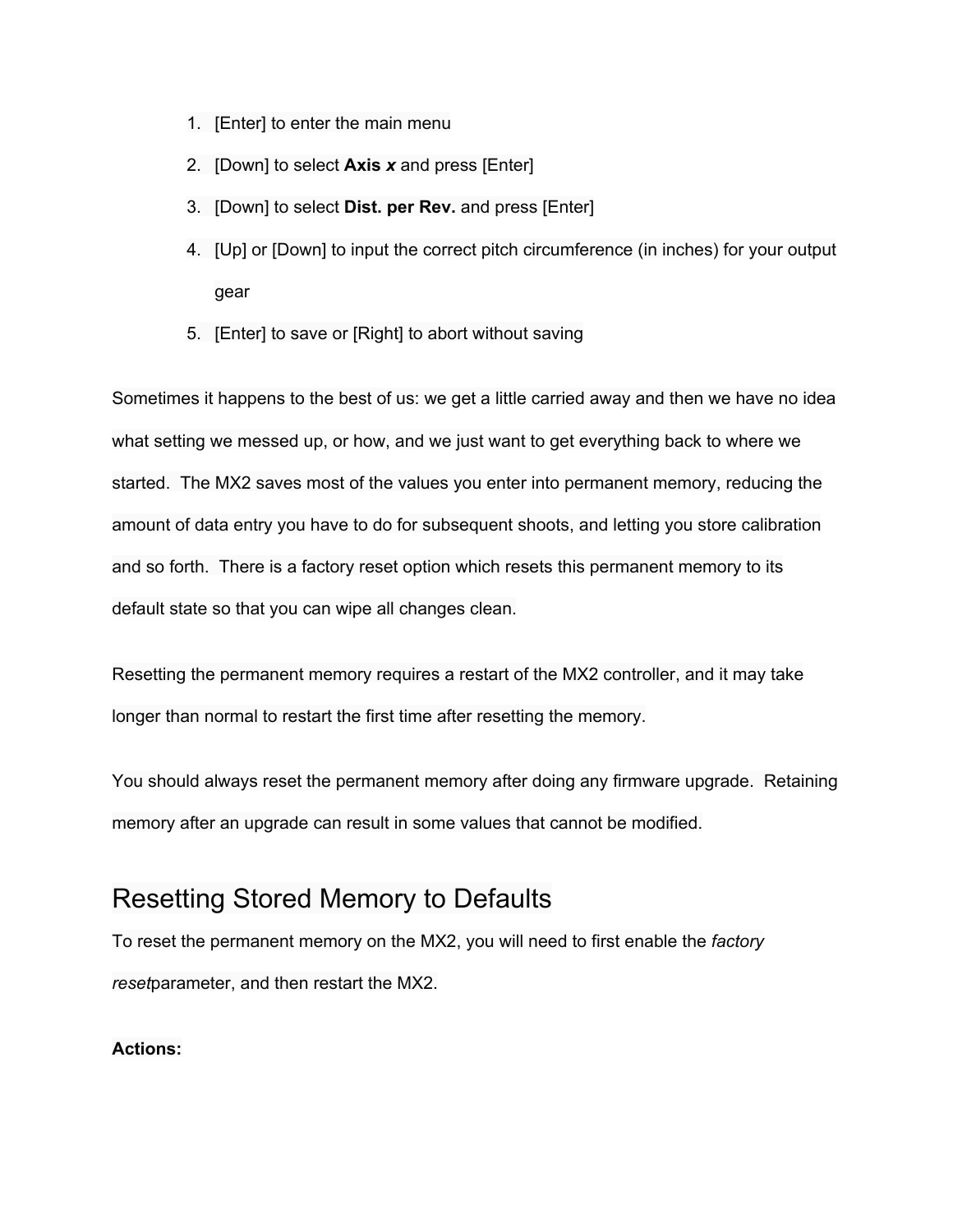- 1. [Enter] to enter the main menu
- 2. [Down] to select **Axis** *x*and press [Enter]
- 3. [Down] to select **Dist. per Rev.** and press [Enter]
- 4. [Up] or [Down] to input the correct pitch circumference (in inches) for your output gear
- 5. [Enter] to save or [Right] to abort without saving

Sometimes it happens to the best of us: we get a little carried away and then we have no idea what setting we messed up, or how, and we just want to get everything back to where we started. The MX2 saves most of the values you enter into permanent memory, reducing the amount of data entry you have to do for subsequent shoots, and letting you store calibration and so forth. There is a factory reset option which resets this permanent memory to its default state so that you can wipe all changes clean.

Resetting the permanent memory requires a restart of the MX2 controller, and it may take longer than normal to restart the first time after resetting the memory.

You should always reset the permanent memory after doing any firmware upgrade. Retaining memory after an upgrade can result in some values that cannot be modified.

# Resetting Stored Memory to Defaults

To reset the permanent memory on the MX2, you will need to first enable the *factory reset*parameter, and then restart the MX2.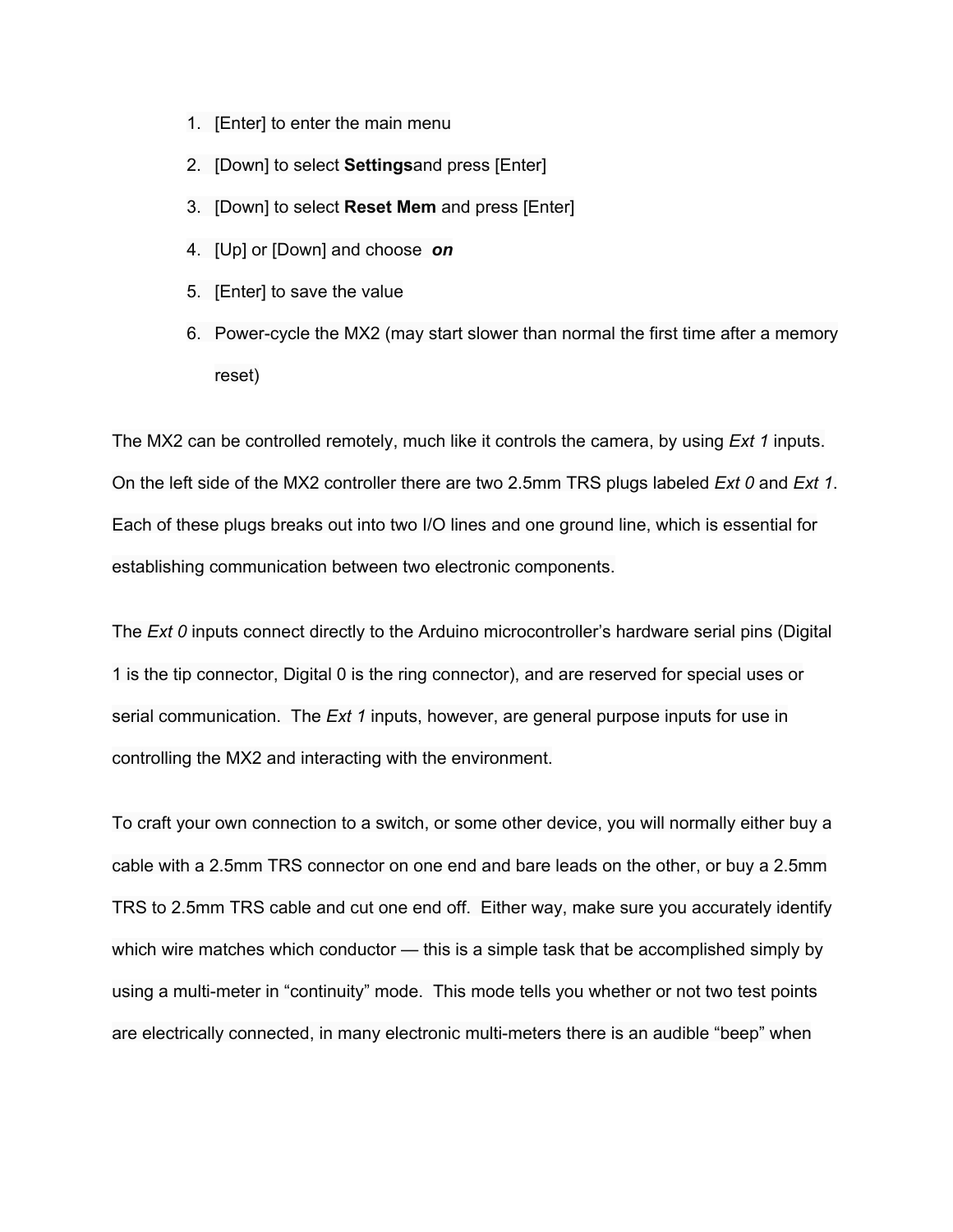- 1. [Enter] to enter the main menu
- 2. [Down] to select **Settings**and press [Enter]
- 3. [Down] to select **Reset Mem** and press [Enter]
- 4. [Up] or [Down] and choose *on*
- 5. [Enter] to save the value
- 6. Power-cycle the MX2 (may start slower than normal the first time after a memory reset)

The MX2 can be controlled remotely, much like it controls the camera, by using *Ext 1* inputs. On the left side of the MX2 controller there are two 2.5mm TRS plugs labeled *Ext 0* and *Ext 1*. Each of these plugs breaks out into two I/O lines and one ground line, which is essential for establishing communication between two electronic components.

The *Ext 0* inputs connect directly to the Arduino microcontroller's hardware serial pins (Digital 1 is the tip connector, Digital 0 is the ring connector), and are reserved for special uses or serial communication. The *Ext 1* inputs, however, are general purpose inputs for use in controlling the MX2 and interacting with the environment.

To craft your own connection to a switch, or some other device, you will normally either buy a cable with a 2.5mm TRS connector on one end and bare leads on the other, or buy a 2.5mm TRS to 2.5mm TRS cable and cut one end off. Either way, make sure you accurately identify which wire matches which conductor — this is a simple task that be accomplished simply by using a multi-meter in "continuity" mode. This mode tells you whether or not two test points are electrically connected, in many electronic multi-meters there is an audible "beep" when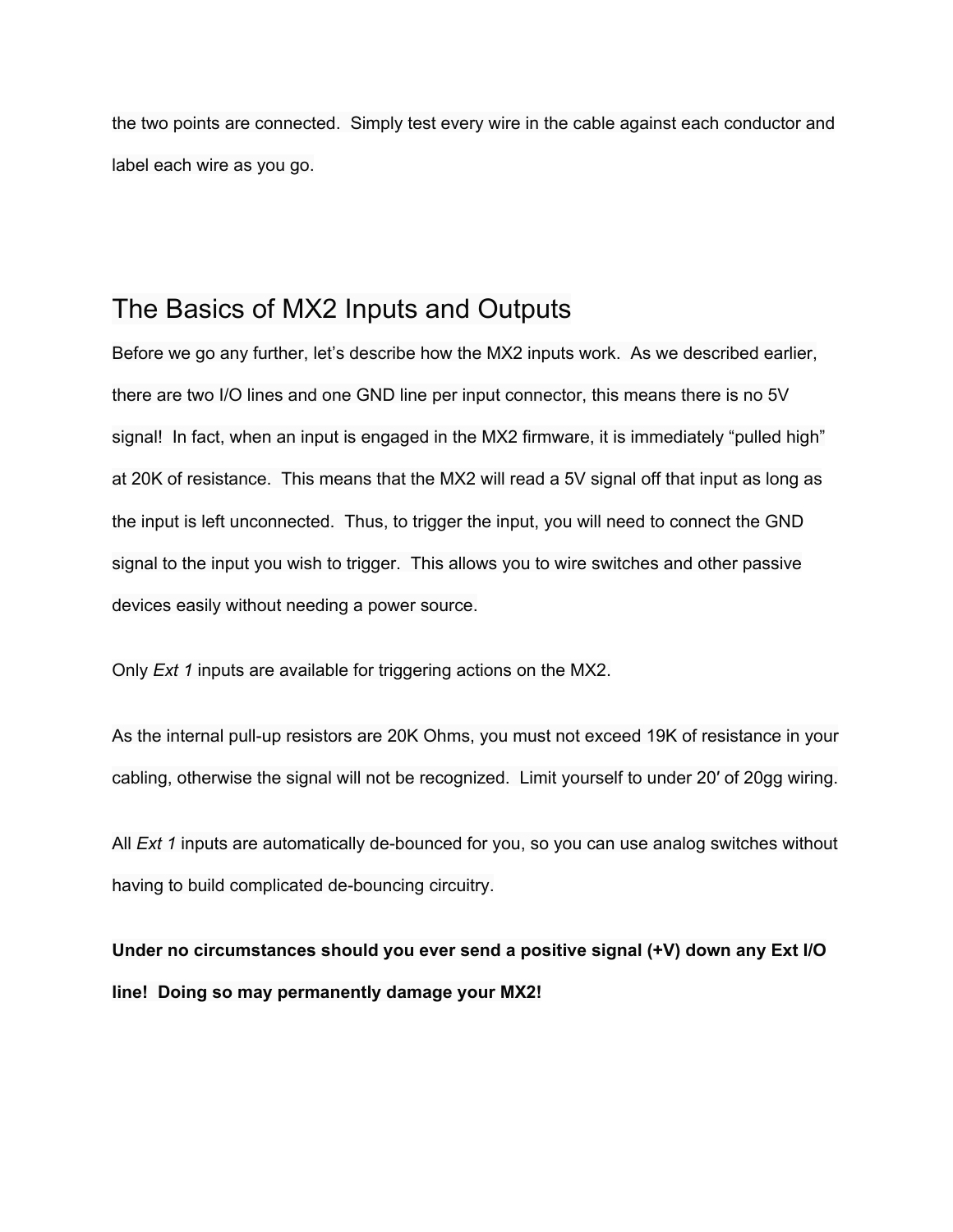the two points are connected. Simply test every wire in the cable against each conductor and label each wire as you go.

## The Basics of MX2 Inputs and Outputs

Before we go any further, let's describe how the MX2 inputs work. As we described earlier, there are two I/O lines and one GND line per input connector, this means there is no 5V signal! In fact, when an input is engaged in the MX2 firmware, it is immediately "pulled high" at 20K of resistance. This means that the MX2 will read a 5V signal off that input as long as the input is left unconnected. Thus, to trigger the input, you will need to connect the GND signal to the input you wish to trigger. This allows you to wire switches and other passive devices easily without needing a power source.

Only *Ext 1* inputs are available for triggering actions on the MX2.

As the internal pull-up resistors are 20K Ohms, you must not exceed 19K of resistance in your cabling, otherwise the signal will not be recognized. Limit yourself to under 20′ of 20gg wiring.

All *Ext* 1 inputs are automatically de-bounced for you, so you can use analog switches without having to build complicated de-bouncing circuitry.

**Under no circumstances should you ever send a positive signal (+V) down any Ext I/O line! Doing so may permanently damage your MX2!**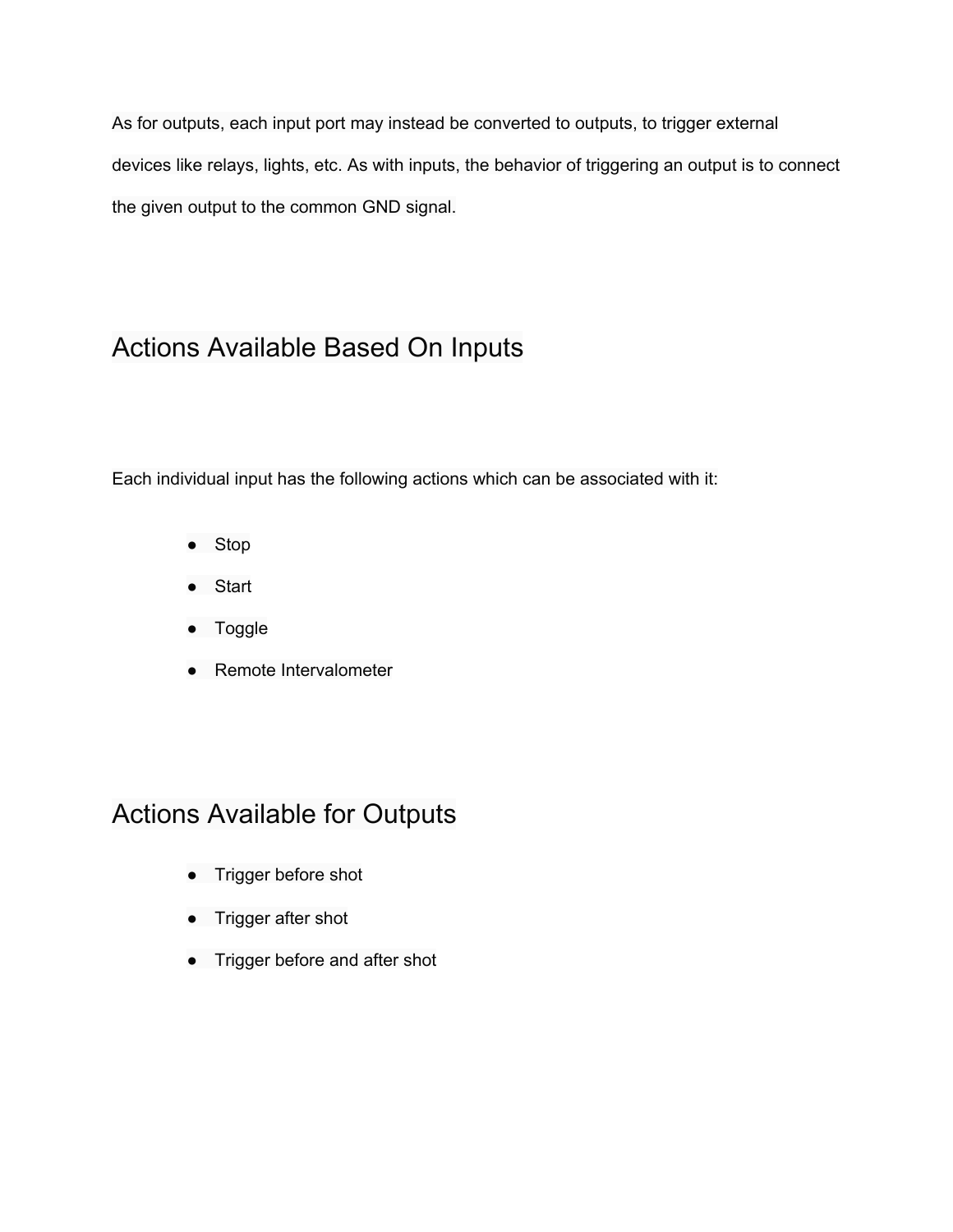As for outputs, each input port may instead be converted to outputs, to trigger external devices like relays, lights, etc. As with inputs, the behavior of triggering an output is to connect the given output to the common GND signal.

## Actions Available Based On Inputs

Each individual input has the following actions which can be associated with it:

- Stop
- Start
- Toggle
- Remote Intervalometer

# Actions Available for Outputs

- Trigger before shot
- Trigger after shot
- Trigger before and after shot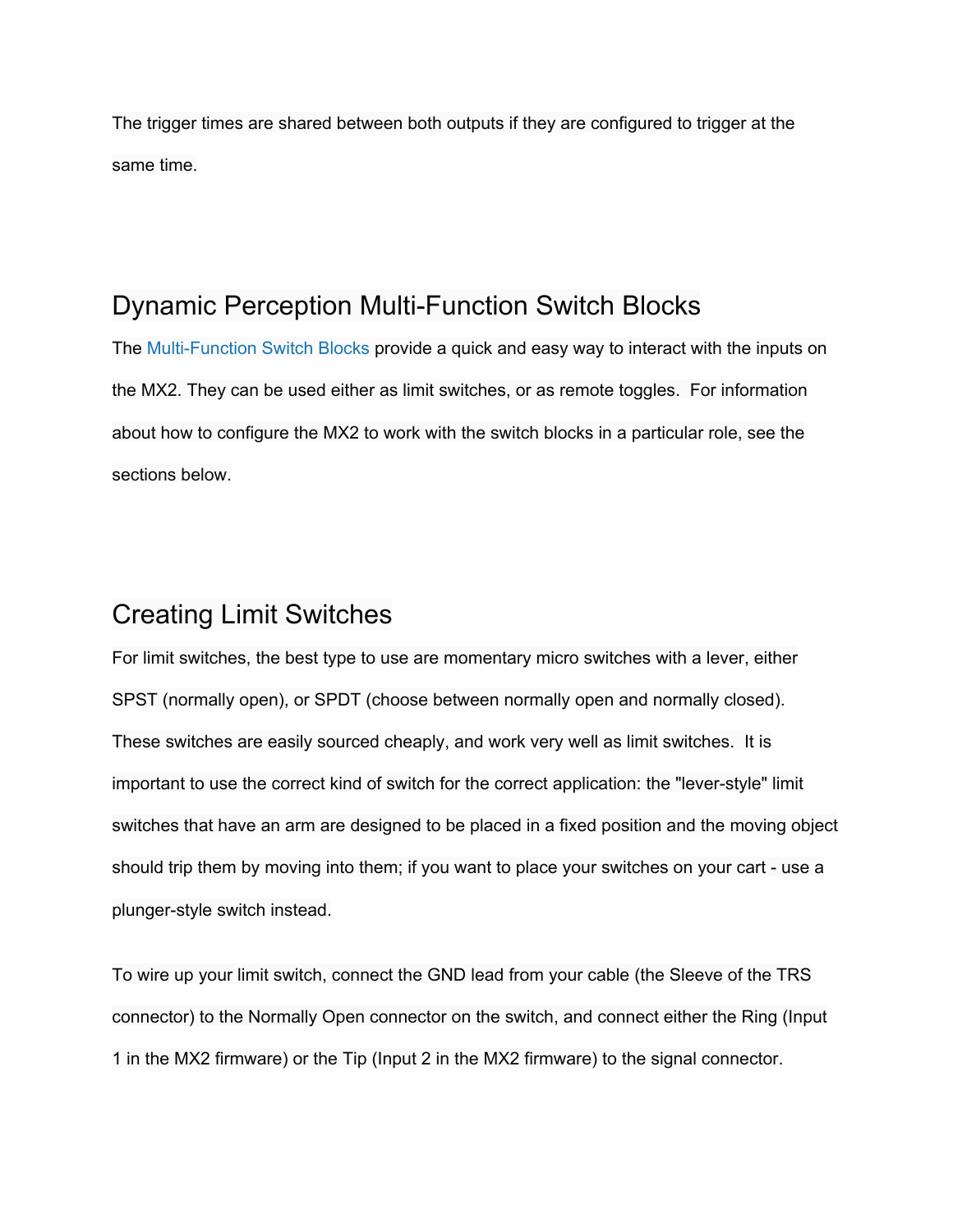The trigger times are shared between both outputs if they are configured to trigger at the same time.

## Dynamic Perception Multi-Function Switch Blocks

The Multi-Function Switch Blocks provide a quick and easy way to interact with the inputs on the MX2. They can be used either as limit switches, or as remote toggles. For information about how to configure the MX2 to work with the switch blocks in a particular role, see the sections below.

## Creating Limit Switches

For limit switches, the best type to use are momentary micro switches with a lever, either SPST (normally open), or SPDT (choose between normally open and normally closed). These switches are easily sourced cheaply, and work very well as limit switches. It is important to use the correct kind of switch for the correct application: the "lever-style" limit switches that have an arm are designed to be placed in a fixed position and the moving object should trip them by moving into them; if you want to place your switches on your cart - use a plunger-style switch instead.

To wire up your limit switch, connect the GND lead from your cable (the Sleeve of the TRS connector) to the Normally Open connector on the switch, and connect either the Ring (Input 1 in the MX2 firmware) or the Tip (Input 2 in the MX2 firmware) to the signal connector.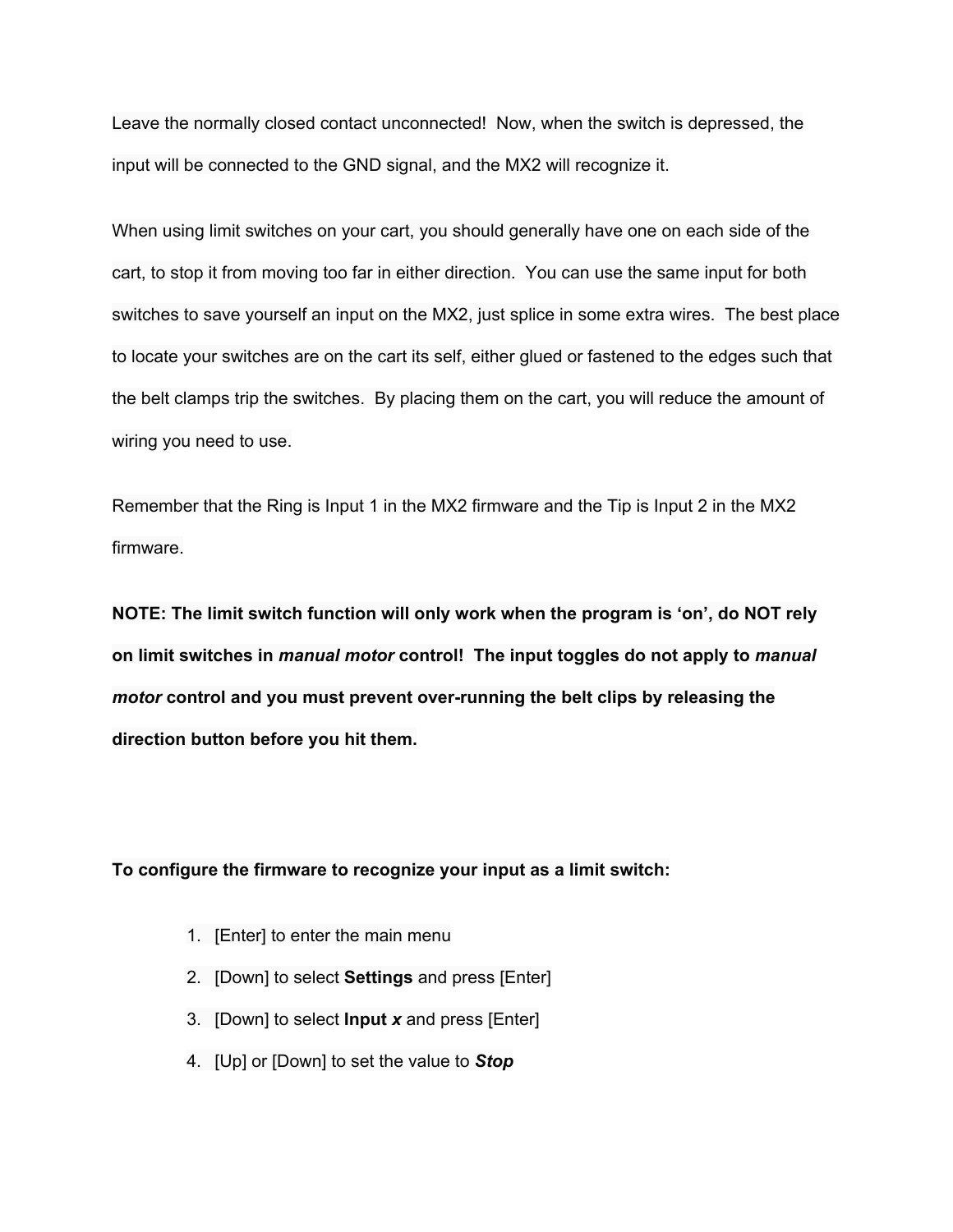Leave the normally closed contact unconnected! Now, when the switch is depressed, the input will be connected to the GND signal, and the MX2 will recognize it.

When using limit switches on your cart, you should generally have one on each side of the cart, to stop it from moving too far in either direction. You can use the same input for both switches to save yourself an input on the MX2, just splice in some extra wires. The best place to locate your switches are on the cart its self, either glued or fastened to the edges such that the belt clamps trip the switches. By placing them on the cart, you will reduce the amount of wiring you need to use.

Remember that the Ring is Input 1 in the MX2 firmware and the Tip is Input 2 in the MX2 firmware.

**NOTE: The limit switch function will only work when the program is 'on', do NOT rely on limit switches in** *manual motor***control! The input toggles do not apply to** *manual motor***control and you must prevent overrunning the belt clips by releasing the direction button before you hit them.**

#### **To configure the firmware to recognize your input as a limit switch:**

- 1. [Enter] to enter the main menu
- 2. [Down] to select **Settings**and press [Enter]
- 3. [Down] to select **Input** *x*and press [Enter]
- 4. [Up] or [Down] to set the value to *Stop*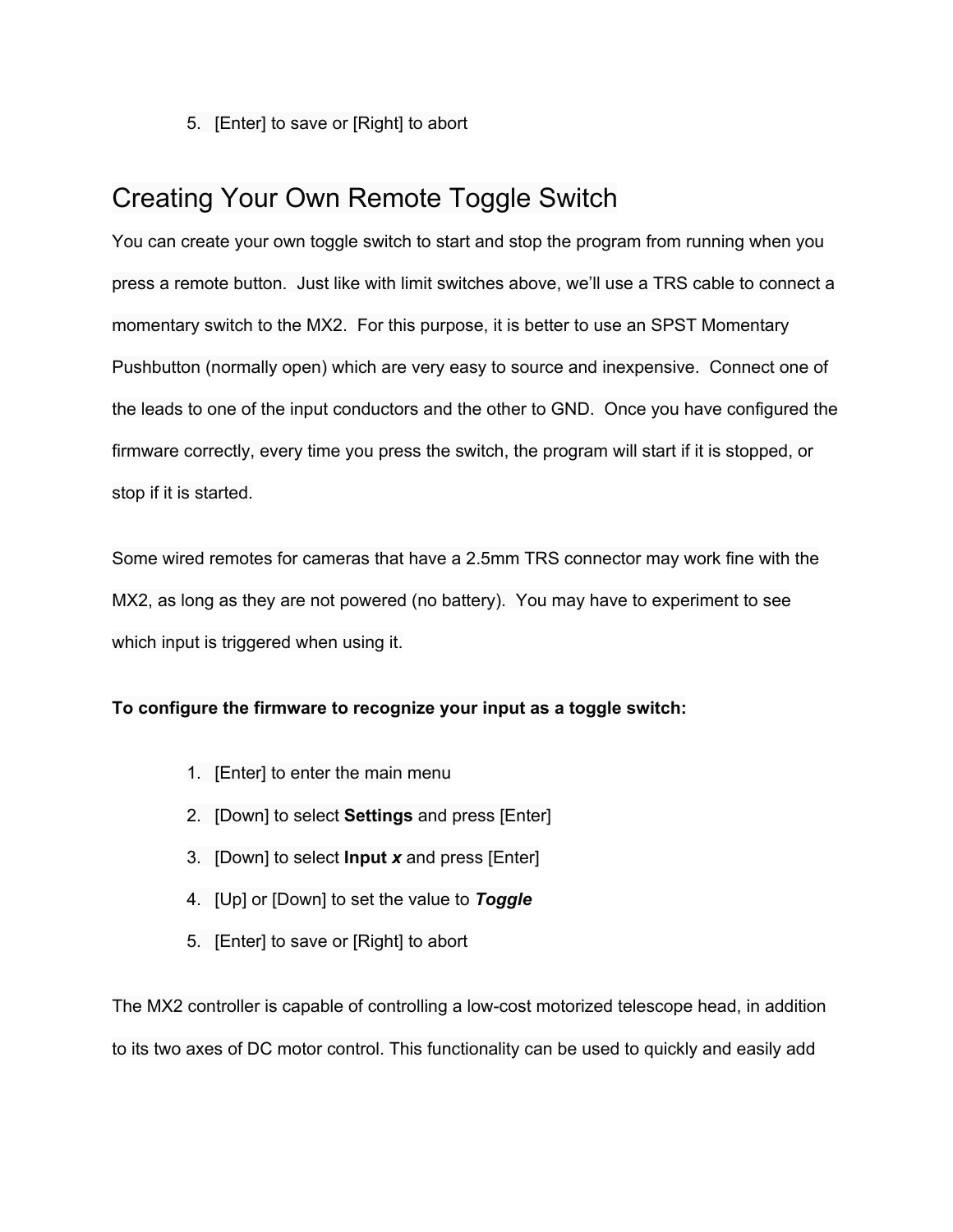5. [Enter] to save or [Right] to abort

# Creating Your Own Remote Toggle Switch

You can create your own toggle switch to start and stop the program from running when you press a remote button. Just like with limit switches above, we'll use a TRS cable to connect a momentary switch to the MX2. For this purpose, it is better to use an SPST Momentary Pushbutton (normally open) which are very easy to source and inexpensive. Connect one of the leads to one of the input conductors and the other to GND. Once you have configured the firmware correctly, every time you press the switch, the program will start if it is stopped, or stop if it is started.

Some wired remotes for cameras that have a 2.5mm TRS connector may work fine with the MX2, as long as they are not powered (no battery). You may have to experiment to see which input is triggered when using it.

### **To configure the firmware to recognize your input as a toggle switch:**

- 1. [Enter] to enter the main menu
- 2. [Down] to select **Settings**and press [Enter]
- 3. [Down] to select **Input** *x*and press [Enter]
- 4. [Up] or [Down] to set the value to *Toggle*
- 5. [Enter] to save or [Right] to abort

The MX2 controller is capable of controlling a low-cost motorized telescope head, in addition to its two axes of DC motor control. This functionality can be used to quickly and easily add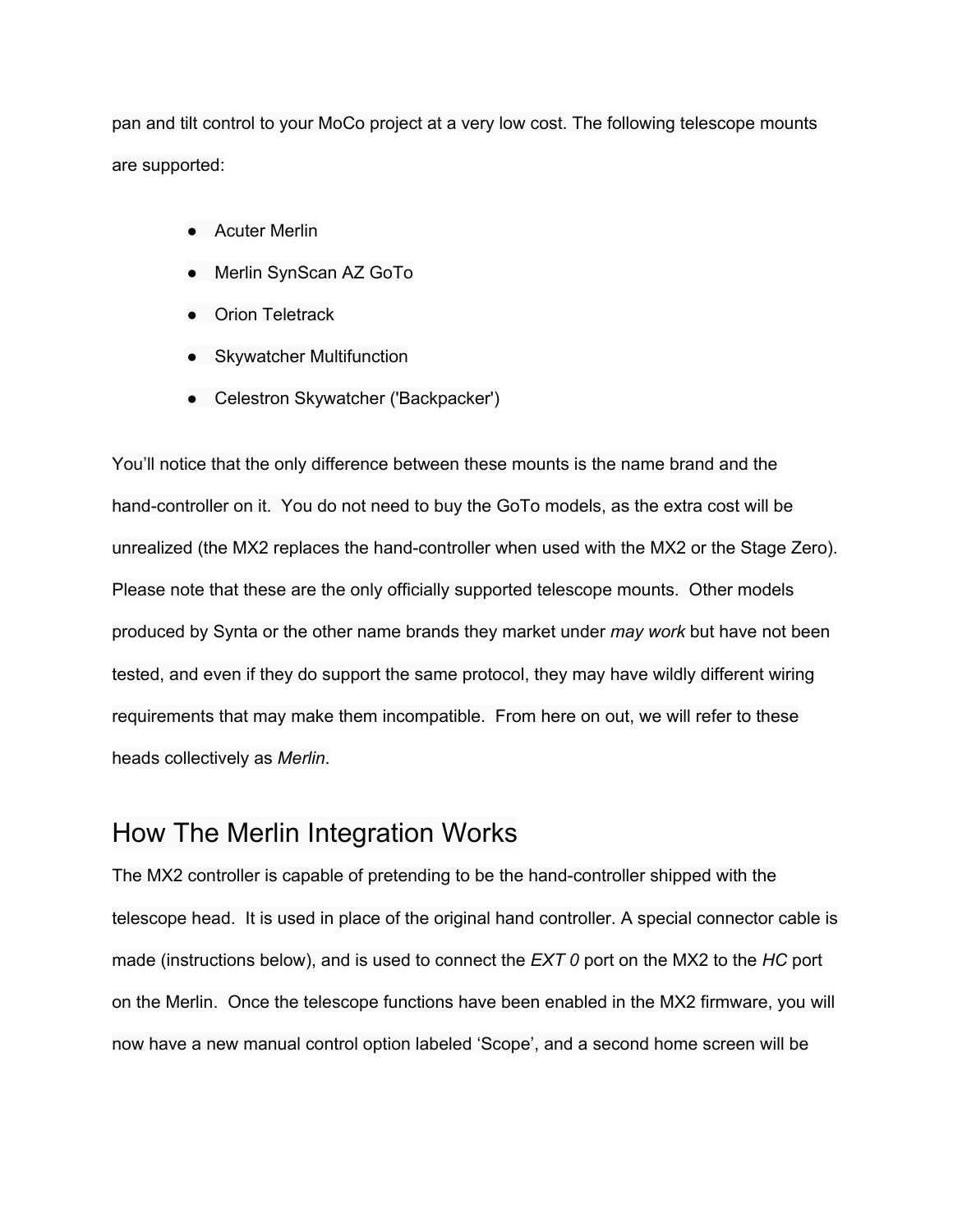pan and tilt control to your MoCo project at a very low cost. The following telescope mounts are supported:

- Acuter Merlin
- Merlin SynScan AZ GoTo
- Orion Teletrack
- Skywatcher Multifunction
- Celestron Skywatcher ('Backpacker')

You'll notice that the only difference between these mounts is the name brand and the hand-controller on it. You do not need to buy the GoTo models, as the extra cost will be unrealized (the MX2 replaces the hand-controller when used with the MX2 or the Stage Zero). Please note that these are the only officially supported telescope mounts. Other models produced by Synta or the other name brands they market under *may work* but have not been tested, and even if they do support the same protocol, they may have wildly different wiring requirements that may make them incompatible. From here on out, we will refer to these heads collectively as *Merlin*.

## How The Merlin Integration Works

The MX2 controller is capable of pretending to be the hand-controller shipped with the telescope head. It is used in place of the original hand controller. A special connector cable is made (instructions below), and is used to connect the *EXT 0* port on the MX2 to the *HC* port on the Merlin. Once the telescope functions have been enabled in the MX2 firmware, you will now have a new manual control option labeled 'Scope', and a second home screen will be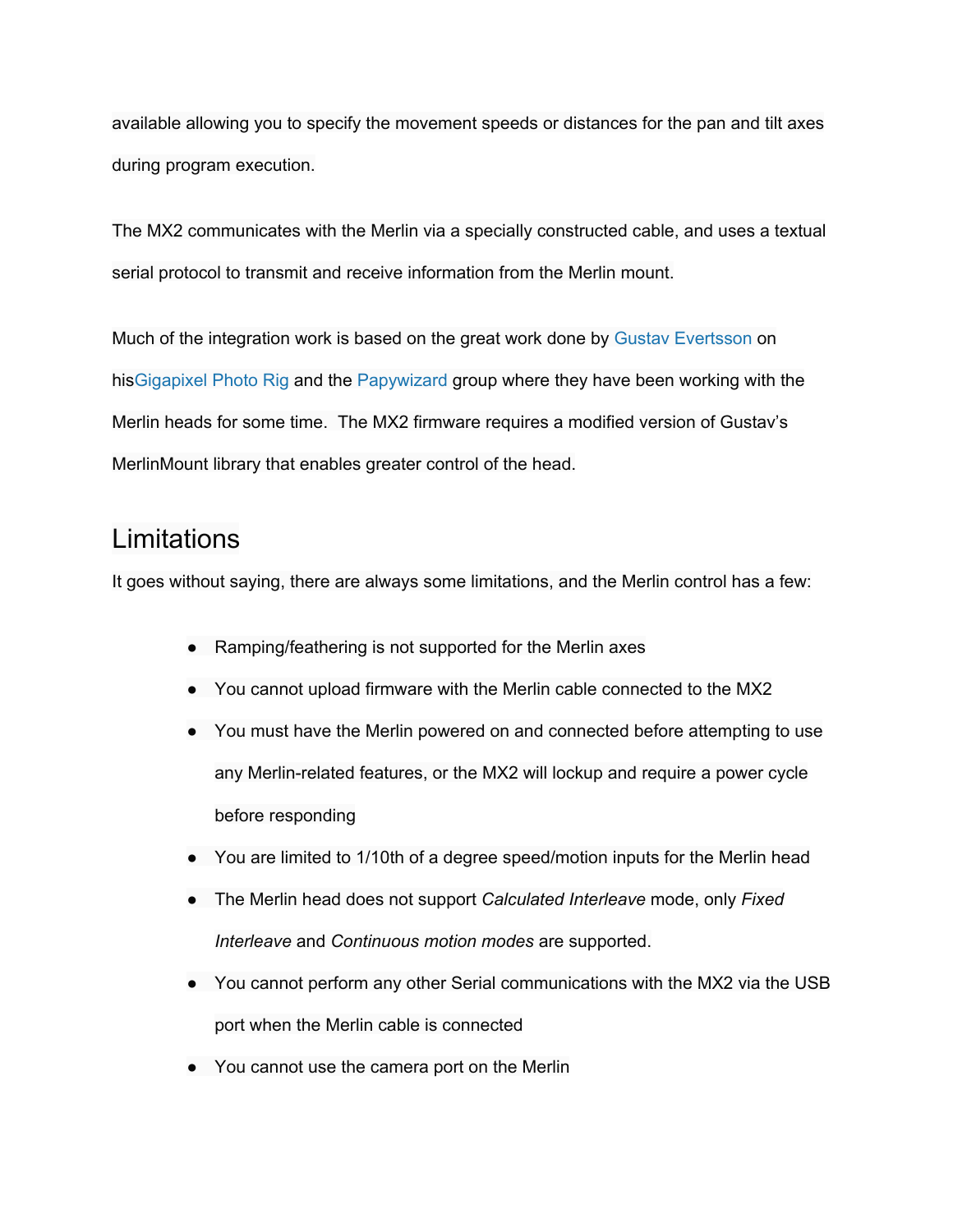available allowing you to specify the movement speeds or distances for the pan and tilt axes during program execution.

The MX2 communicates with the Merlin via a specially constructed cable, and uses a textual serial protocol to transmit and receive information from the Merlin mount.

Much of the integration work is based on the great work done by Gustav [Evertsson](http://www.google.com/url?q=http%3A%2F%2Fwww.guzzzt.com%2F&sa=D&sntz=1&usg=AFQjCNEUk8XvLKN4V20tXYuWkFMaDaZ1Mw) on hi[sGigapixel](http://www.google.com/url?q=http%3A%2F%2Fwww.gigapixel.nu%2Finfo_project.php&sa=D&sntz=1&usg=AFQjCNG6Lwcm_6UhxcQVl7boZR18wVeZug) Photo Rig and the [Papywizard](http://www.google.com/url?q=http%3A%2F%2Fwww.papywizard.org%2F&sa=D&sntz=1&usg=AFQjCNHIi-WriWLmXfk_Xh-SdyUfVVsIiQ) group where they have been working with the Merlin heads for some time. The MX2 firmware requires a modified version of Gustav's MerlinMount library that enables greater control of the head.

## **Limitations**

It goes without saying, there are always some limitations, and the Merlin control has a few:

- Ramping/feathering is not supported for the Merlin axes
- You cannot upload firmware with the Merlin cable connected to the MX2
- You must have the Merlin powered on and connected before attempting to use any Merlin-related features, or the MX2 will lockup and require a power cycle before responding
- You are limited to 1/10th of a degree speed/motion inputs for the Merlin head
- The Merlin head does not support *Calculated Interleave* mode, only *Fixed Interleave* and *Continuous motion modes* are supported.
- You cannot perform any other Serial communications with the MX2 via the USB port when the Merlin cable is connected
- You cannot use the camera port on the Merlin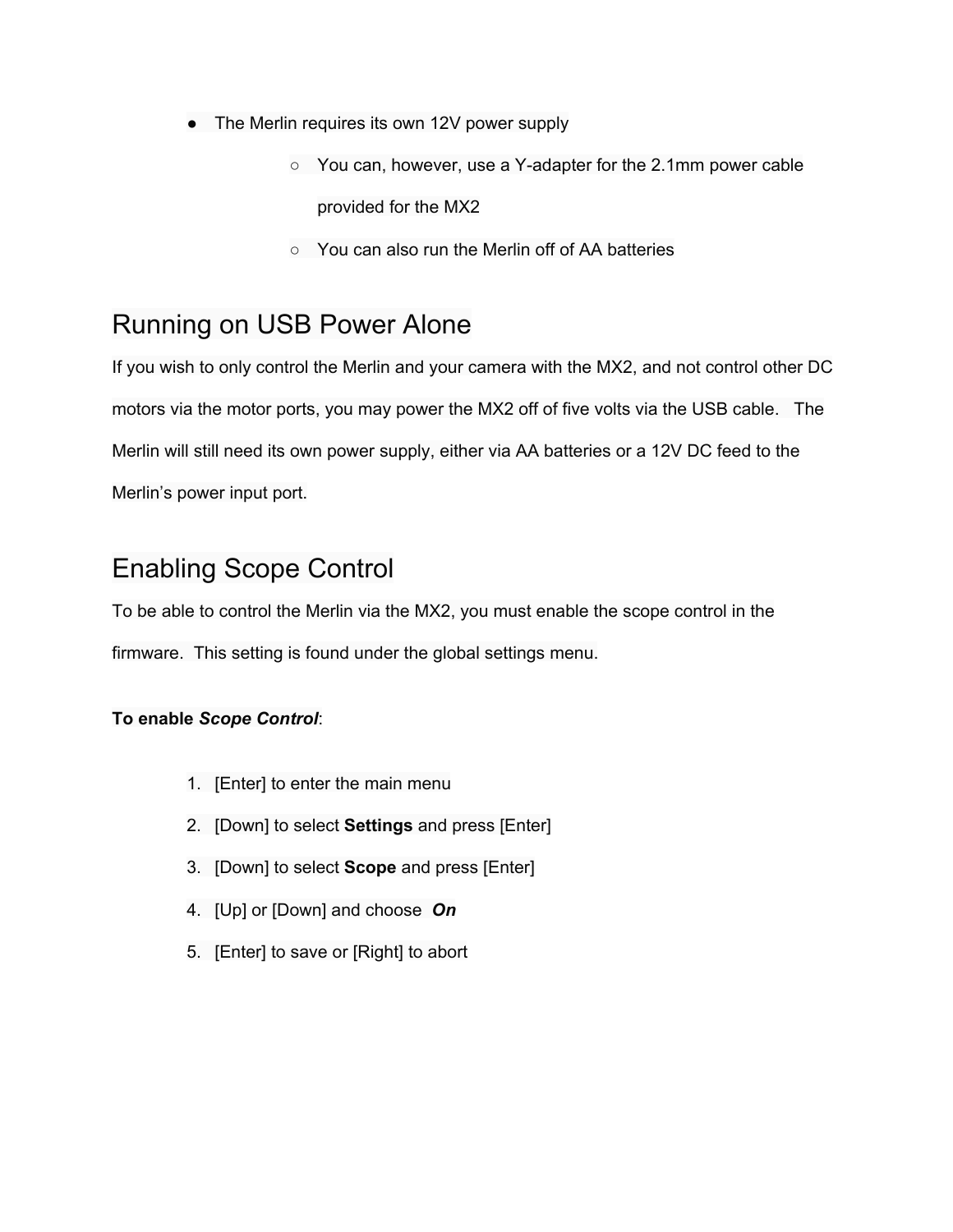- The Merlin requires its own 12V power supply
	- You can, however, use a Y-adapter for the 2.1mm power cable provided for the MX2
	- You can also run the Merlin off of AA batteries

# Running on USB Power Alone

If you wish to only control the Merlin and your camera with the MX2, and not control other DC motors via the motor ports, you may power the MX2 off of five volts via the USB cable. The Merlin will still need its own power supply, either via AA batteries or a 12V DC feed to the Merlin's power input port.

# Enabling Scope Control

To be able to control the Merlin via the MX2, you must enable the scope control in the firmware. This setting is found under the global settings menu.

## **To enable** *Scope Control*:

- 1. [Enter] to enter the main menu
- 2. [Down] to select **Settings** and press [Enter]
- 3. [Down] to select **Scope** and press [Enter]
- 4. [Up] or [Down] and choose *On*
- 5. [Enter] to save or [Right] to abort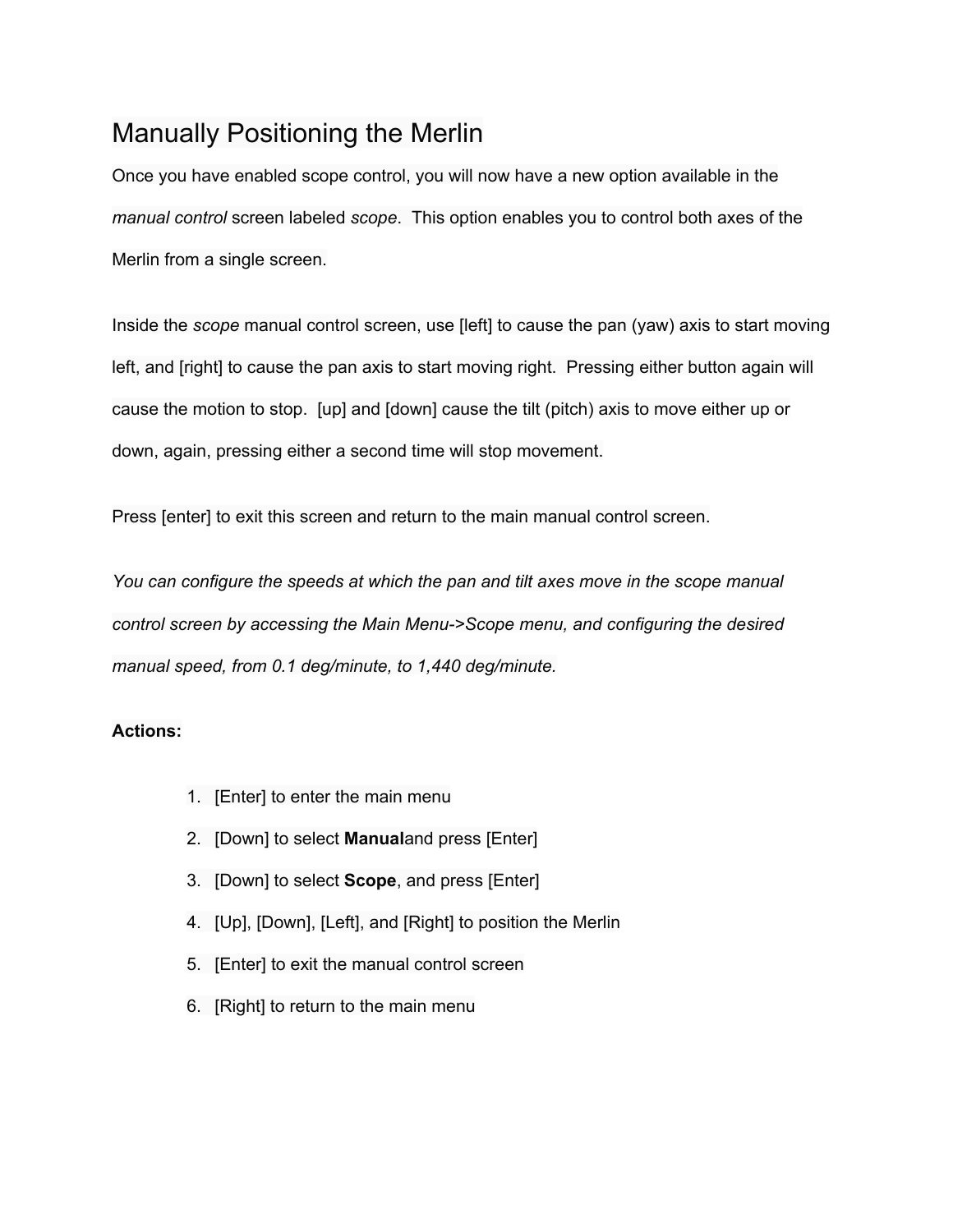# Manually Positioning the Merlin

Once you have enabled scope control, you will now have a new option available in the *manual control* screen labeled *scope*. This option enables you to control both axes of the Merlin from a single screen.

Inside the *scope* manual control screen, use [left] to cause the pan (yaw) axis to start moving left, and [right] to cause the pan axis to start moving right. Pressing either button again will cause the motion to stop. [up] and [down] cause the tilt (pitch) axis to move either up or down, again, pressing either a second time will stop movement.

Press [enter] to exit this screen and return to the main manual control screen.

*You can configure the speeds at which the pan and tilt axes move in the scope manual control screen by accessing the Main Menu>Scope menu, and configuring the desired manual speed, from 0.1 deg/minute, to 1,440 deg/minute.*

- 1. [Enter] to enter the main menu
- 2. [Down] to select **Manual**and press [Enter]
- 3. [Down] to select **Scope**, and press [Enter]
- 4. [Up], [Down], [Left], and [Right] to position the Merlin
- 5. [Enter] to exit the manual control screen
- 6. [Right] to return to the main menu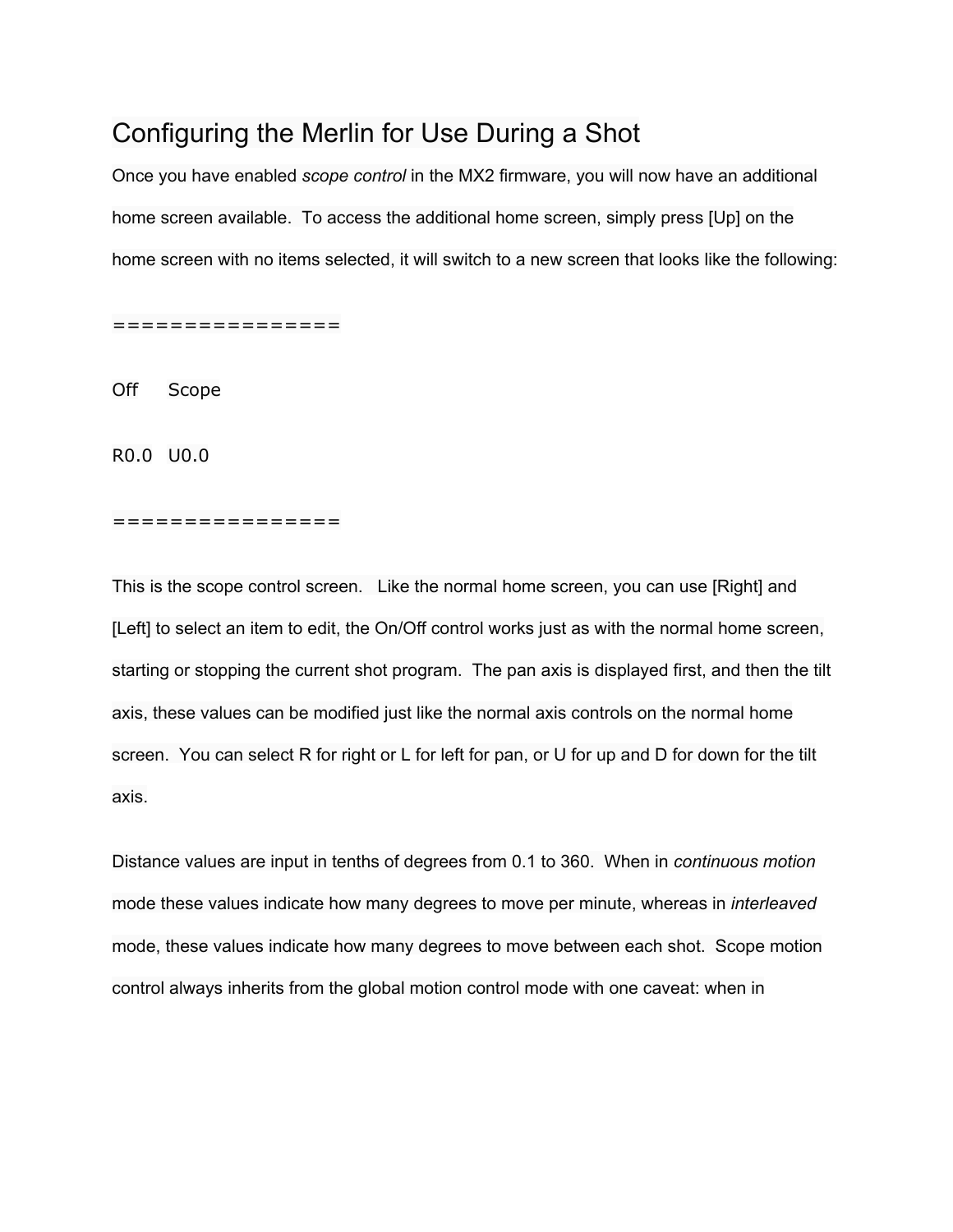# Configuring the Merlin for Use During a Shot

Once you have enabled *scope control* in the MX2 firmware, you will now have an additional home screen available. To access the additional home screen, simply press [Up] on the home screen with no items selected, it will switch to a new screen that looks like the following:

================

Off Scope

R0.0 U0.0

#### ================

This is the scope control screen. Like the normal home screen, you can use [Right] and [Left] to select an item to edit, the On/Off control works just as with the normal home screen, starting or stopping the current shot program. The pan axis is displayed first, and then the tilt axis, these values can be modified just like the normal axis controls on the normal home screen. You can select R for right or L for left for pan, or U for up and D for down for the tilt axis.

Distance values are input in tenths of degrees from 0.1 to 360. When in *continuous motion* mode these values indicate how many degrees to move per minute, whereas in *interleaved* mode, these values indicate how many degrees to move between each shot. Scope motion control always inherits from the global motion control mode with one caveat: when in